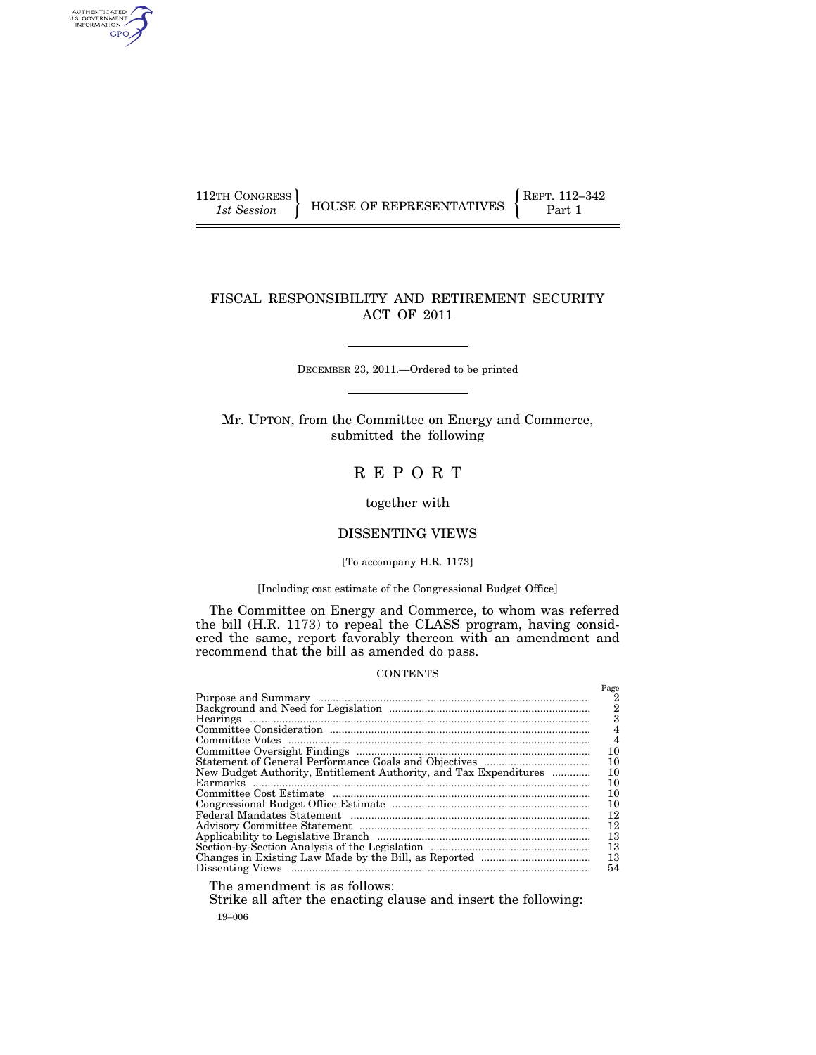| 112TH CONGRESS |                          | REPT. 112-342 |
|----------------|--------------------------|---------------|
| 1st Session    | HOUSE OF REPRESENTATIVES | Part 1        |

AUTHENTICATED<br>U.S. GOVERNMENT<br>INFORMATION

GPO

## FISCAL RESPONSIBILITY AND RETIREMENT SECURITY ACT OF 2011

DECEMBER 23, 2011.—Ordered to be printed

Mr. UPTON, from the Committee on Energy and Commerce, submitted the following

## R E P O R T

together with

## DISSENTING VIEWS

#### [To accompany H.R. 1173]

## [Including cost estimate of the Congressional Budget Office]

The Committee on Energy and Commerce, to whom was referred the bill (H.R. 1173) to repeal the CLASS program, having considered the same, report favorably thereon with an amendment and recommend that the bill as amended do pass.

## **CONTENTS**

|                                                                   | Page             |
|-------------------------------------------------------------------|------------------|
|                                                                   | $\boldsymbol{2}$ |
|                                                                   | $\boldsymbol{2}$ |
|                                                                   | 3                |
|                                                                   |                  |
|                                                                   | $\overline{4}$   |
|                                                                   | 10               |
|                                                                   | 10               |
| New Budget Authority, Entitlement Authority, and Tax Expenditures | 10               |
|                                                                   | 10               |
|                                                                   | 10               |
|                                                                   | 10               |
|                                                                   | 12               |
|                                                                   | 12               |
|                                                                   | 13               |
|                                                                   | 13               |
|                                                                   | 13               |
|                                                                   | 54               |

The amendment is as follows:

19–006 Strike all after the enacting clause and insert the following: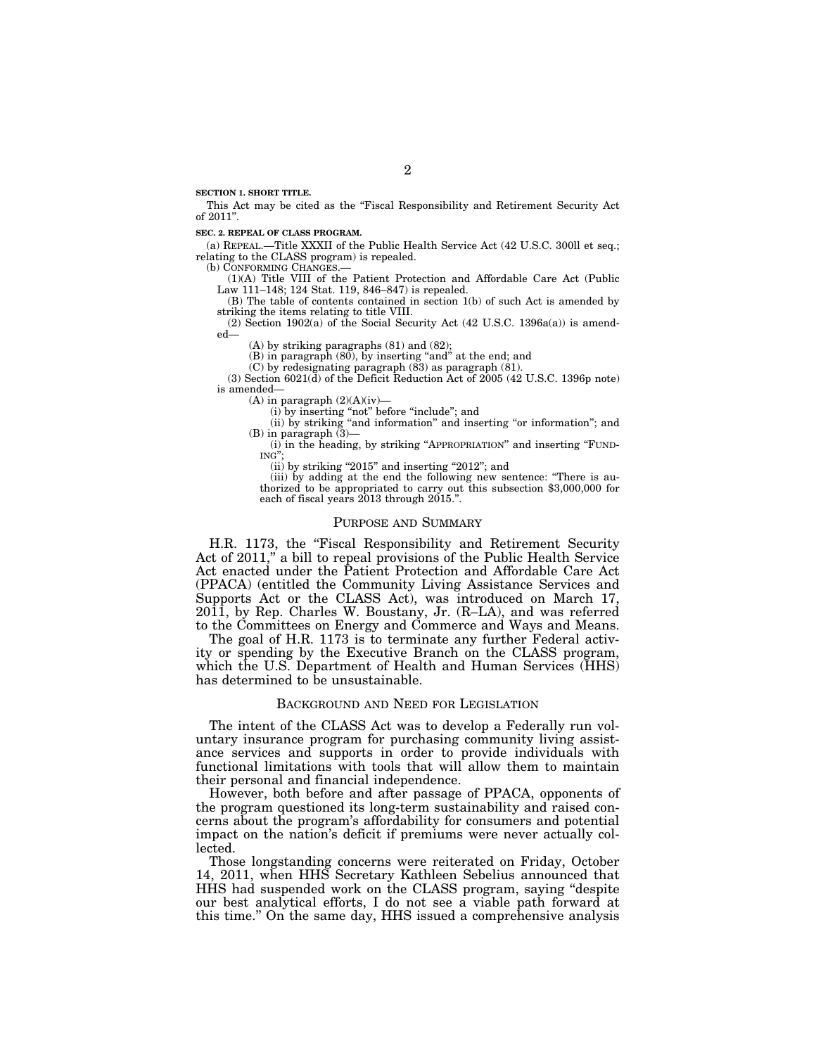**SECTION 1. SHORT TITLE.** 

This Act may be cited as the "Fiscal Responsibility and Retirement Security Act of 2011''.

**SEC. 2. REPEAL OF CLASS PROGRAM.** 

(a) REPEAL.—Title XXXII of the Public Health Service Act (42 U.S.C. 300ll et seq.; relating to the CLASS program) is repealed.

(b) CONFORMING CHANGES.—

(1)(A) Title VIII of the Patient Protection and Affordable Care Act (Public Law 111–148; 124 Stat. 119, 846–847) is repealed.

(B) The table of contents contained in section 1(b) of such Act is amended by striking the items relating to title VIII.

(2) Section 1902(a) of the Social Security Act (42 U.S.C. 1396a(a)) is amended—

(A) by striking paragraphs (81) and (82);

(B) in paragraph (80), by inserting "and" at the end: and

(C) by redesignating paragraph (83) as paragraph (81).

(3) Section 6021(d) of the Deficit Reduction Act of 2005 (42 U.S.C. 1396p note) is amended— $(A)$  in paragraph  $(2)(A)(iv)$ –

(A) in paragraph  $(2)(A)(iv)$ —

(i) by inserting ''not'' before ''include''; and

(ii) by striking "and information" and inserting "or information"; and (B) in paragraph (3)—

(i) in the heading, by striking "APPROPRIATION" and inserting "FUND- $ING<sup>2</sup>$ 

 $(ii)$  by striking "2015" and inserting "2012"; and

(iii) by adding at the end the following new sentence: ''There is authorized to be appropriated to carry out this subsection \$3,000,000 for each of fiscal years 2013 through 2015.".

#### PURPOSE AND SUMMARY

H.R. 1173, the ''Fiscal Responsibility and Retirement Security Act of 2011,'' a bill to repeal provisions of the Public Health Service Act enacted under the Patient Protection and Affordable Care Act (PPACA) (entitled the Community Living Assistance Services and Supports Act or the CLASS Act), was introduced on March 17, 2011, by Rep. Charles W. Boustany, Jr. (R–LA), and was referred to the Committees on Energy and Commerce and Ways and Means.

The goal of H.R. 1173 is to terminate any further Federal activity or spending by the Executive Branch on the CLASS program, which the U.S. Department of Health and Human Services (HHS) has determined to be unsustainable.

## BACKGROUND AND NEED FOR LEGISLATION

The intent of the CLASS Act was to develop a Federally run voluntary insurance program for purchasing community living assistance services and supports in order to provide individuals with functional limitations with tools that will allow them to maintain their personal and financial independence.

However, both before and after passage of PPACA, opponents of the program questioned its long-term sustainability and raised concerns about the program's affordability for consumers and potential impact on the nation's deficit if premiums were never actually collected.

Those longstanding concerns were reiterated on Friday, October 14, 2011, when HHS Secretary Kathleen Sebelius announced that HHS had suspended work on the CLASS program, saying ''despite our best analytical efforts, I do not see a viable path forward at this time.'' On the same day, HHS issued a comprehensive analysis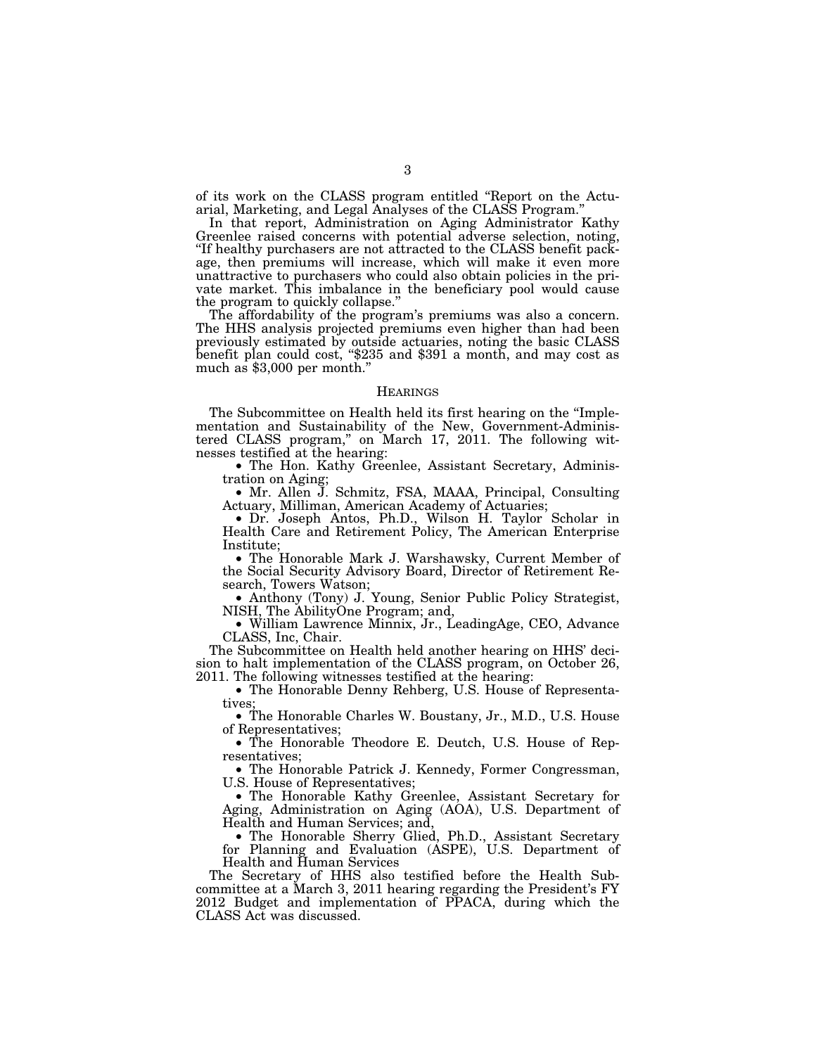of its work on the CLASS program entitled ''Report on the Actuarial, Marketing, and Legal Analyses of the CLASS Program.''

In that report, Administration on Aging Administrator Kathy Greenlee raised concerns with potential adverse selection, noting, ''If healthy purchasers are not attracted to the CLASS benefit package, then premiums will increase, which will make it even more unattractive to purchasers who could also obtain policies in the private market. This imbalance in the beneficiary pool would cause the program to quickly collapse.''

The affordability of the program's premiums was also a concern. The HHS analysis projected premiums even higher than had been previously estimated by outside actuaries, noting the basic CLASS benefit plan could cost, ''\$235 and \$391 a month, and may cost as much as \$3,000 per month.''

#### **HEARINGS**

The Subcommittee on Health held its first hearing on the ''Implementation and Sustainability of the New, Government-Administered CLASS program," on March 17, 2011. The following witnesses testified at the hearing:

• The Hon. Kathy Greenlee, Assistant Secretary, Adminis-

tration on Aging; • Mr. Allen J. Schmitz, FSA, MAAA, Principal, Consulting

• Dr. Joseph Antos, Ph.D., Wilson H. Taylor Scholar in Health Care and Retirement Policy, The American Enterprise Institute; • The Honorable Mark J. Warshawsky, Current Member of

the Social Security Advisory Board, Director of Retirement Re-

search, Towers Watson;<br>• Anthony (Tony) J. Young, Senior Public Policy Strategist,<br>NISH, The AbilityOne Program; and,

· William Lawrence Minnix, Jr., LeadingAge, CEO, Advance CLASS, Inc, Chair.

The Subcommittee on Health held another hearing on HHS' decision to halt implementation of the CLASS program, on October 26,

2011. The following witnesses testified at the hearing:<br>• The Honorable Denny Rehberg, U.S. House of Representa-<br>tives:

• The Honorable Charles W. Boustany, Jr., M.D., U.S. House

of Representatives; • The Honorable Theodore E. Deutch, U.S. House of Representatives;

• The Honorable Patrick J. Kennedy, Former Congressman, U.S. House of Representatives;

• The Honorable Kathy Greenlee, Assistant Secretary for Aging, Administration on Aging (AOA), U.S. Department of Health and Human Services; and,

• The Honorable Sherry Glied, Ph.D., Assistant Secretary for Planning and Evaluation (ASPE), U.S. Department of Health and Human Services

The Secretary of HHS also testified before the Health Subcommittee at a March 3, 2011 hearing regarding the President's FY 2012 Budget and implementation of PPACA, during which the CLASS Act was discussed.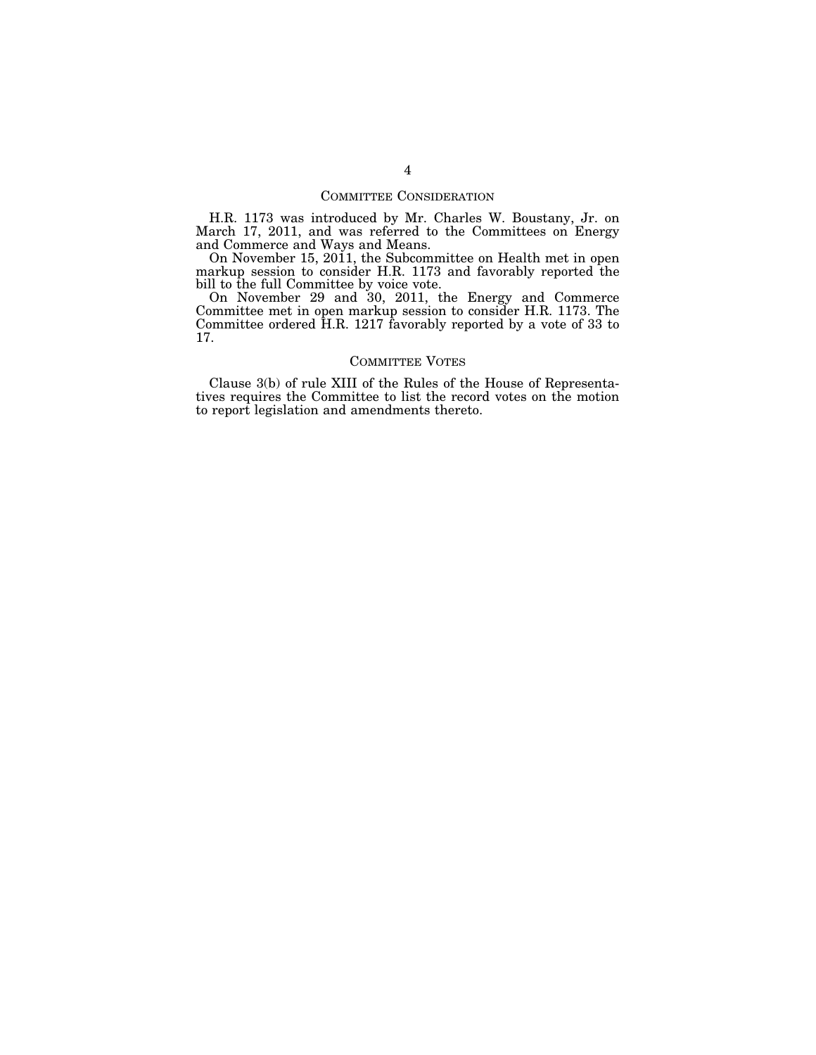## COMMITTEE CONSIDERATION

H.R. 1173 was introduced by Mr. Charles W. Boustany, Jr. on March 17, 2011, and was referred to the Committees on Energy and Commerce and Ways and Means.

On November 15, 2011, the Subcommittee on Health met in open markup session to consider H.R. 1173 and favorably reported the bill to the full Committee by voice vote.

On November 29 and 30, 2011, the Energy and Commerce Committee met in open markup session to consider H.R. 1173. The Committee ordered H.R. 1217 favorably reported by a vote of 33 to 17.

## COMMITTEE VOTES

Clause 3(b) of rule XIII of the Rules of the House of Representatives requires the Committee to list the record votes on the motion to report legislation and amendments thereto.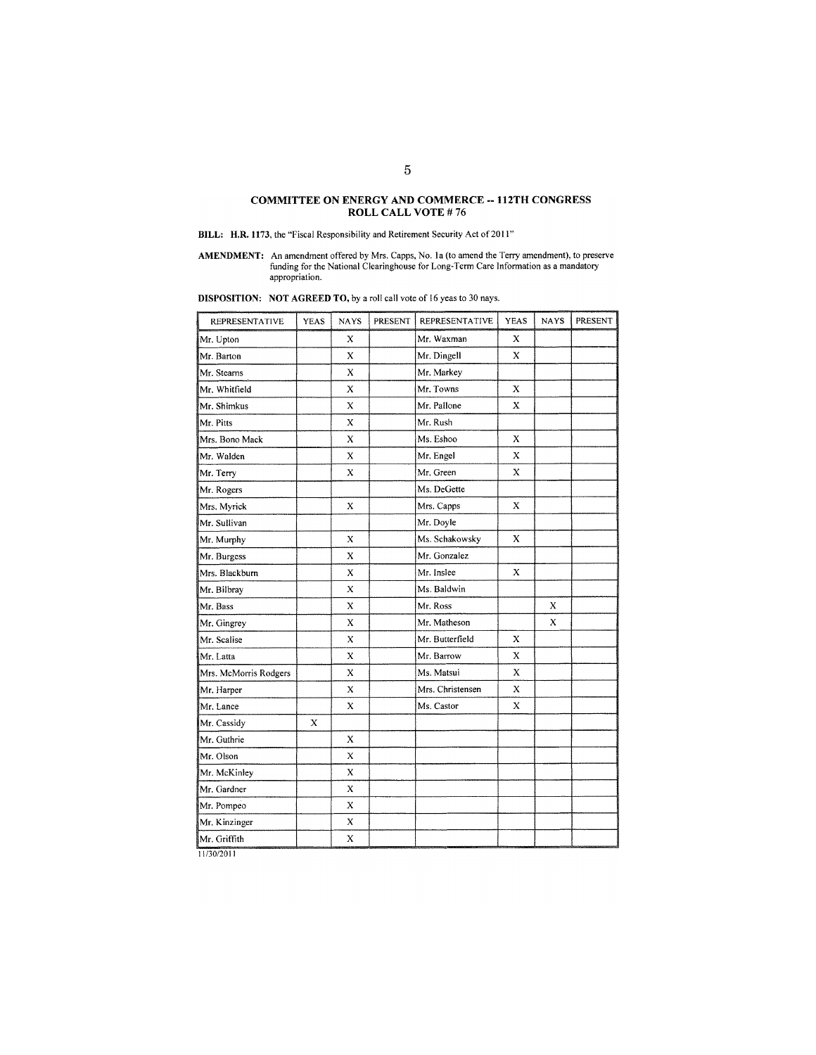BILL: H.R. 1173, the "Fiscal Responsibility and Retirement Security Act of 2011"

**AMENDMENT:** An amendment offered by Mrs. Capps, No. 1a (to amend the Terry amendment), to preserve funding for the National Clearinghouse for Long-Term Care Information as a mandatory appropriation.

| <b>REPRESENTATIVE</b> | <b>YEAS</b> | <b>NAYS</b>  | <b>PRESENT</b> | <b>REPRESENTATIVE</b> | <b>YEAS</b> | <b>NAYS</b> | <b>PRESENT</b> |
|-----------------------|-------------|--------------|----------------|-----------------------|-------------|-------------|----------------|
| Mr. Upton             |             | X            |                | Mr. Waxman            | X           |             |                |
| Mr. Barton            |             | X            |                | Mr. Dingell           | X           |             |                |
| Mr. Stearns           |             | X            |                | Mr. Markey            |             |             |                |
| Mr. Whitfield         |             | $\mathbf{x}$ |                | Mr. Towns             | X           |             |                |
| Mr. Shimkus           |             | X            |                | Mr. Pallone           | X           |             |                |
| Mr. Pitts             |             | X            |                | Mr. Rush              |             |             |                |
| Mrs. Bono Mack        |             | $\bf{X}$     |                | Ms. Eshoo             | X           |             |                |
| Mr. Walden            |             | X            |                | Mr. Engel             | X           |             |                |
| Mr. Terry             |             | X            |                | Mr. Green             | X           |             |                |
| Mr. Rogers            |             |              |                | Ms. DeGette           |             |             |                |
| Mrs. Myrick           |             | $\mathbf x$  |                | Mrs. Capps            | X           |             |                |
| Mr. Sullivan          |             |              |                | Mr. Doyle             |             |             |                |
| Mr. Murphy            |             | $\mathbf x$  |                | Ms. Schakowsky        | X           |             |                |
| Mr. Burgess           |             | X            |                | Mr. Gonzalez          |             |             |                |
| Mrs. Blackburn        |             | X            |                | Mr. Inslee            | X           |             |                |
| Mr. Bilbray           |             | X            |                | Ms. Baldwin           |             |             |                |
| Mr. Bass              |             | X            |                | Mr. Ross              |             | X           |                |
| Mr. Gingrey           |             | X            |                | Mr. Matheson          |             | X           |                |
| Mr. Scalise           |             | X            |                | Mr. Butterfield       | X           |             |                |
| Mr. Latta             |             | $\bf{X}$     |                | Mr. Barrow            | X           |             |                |
| Mrs. McMorris Rodgers |             | X            |                | Ms. Matsui            | X           |             |                |
| Mr. Harper            |             | x            |                | Mrs. Christensen      | X           |             |                |
| Mr. Lance             |             | X            |                | Ms. Castor            | X           |             |                |
| Mr. Cassidy           | X           |              |                |                       |             |             |                |
| Mr. Guthrie           |             | х            |                |                       |             |             |                |
| Mr. Olson             |             | X            |                |                       |             |             |                |
| Mr. McKinley          |             | X            |                |                       |             |             |                |
| Mr. Gardner           |             | X            |                |                       |             |             |                |
| Mr. Pompeo            |             | X            |                |                       |             |             |                |
| Mr. Kinzinger         |             | x            |                |                       |             |             |                |
| Mr. Griffith          |             | X            |                |                       |             |             |                |

**DISPOSITION:** NOT AGREED TO, by a roll call vote of 16 yeas to 30 nays.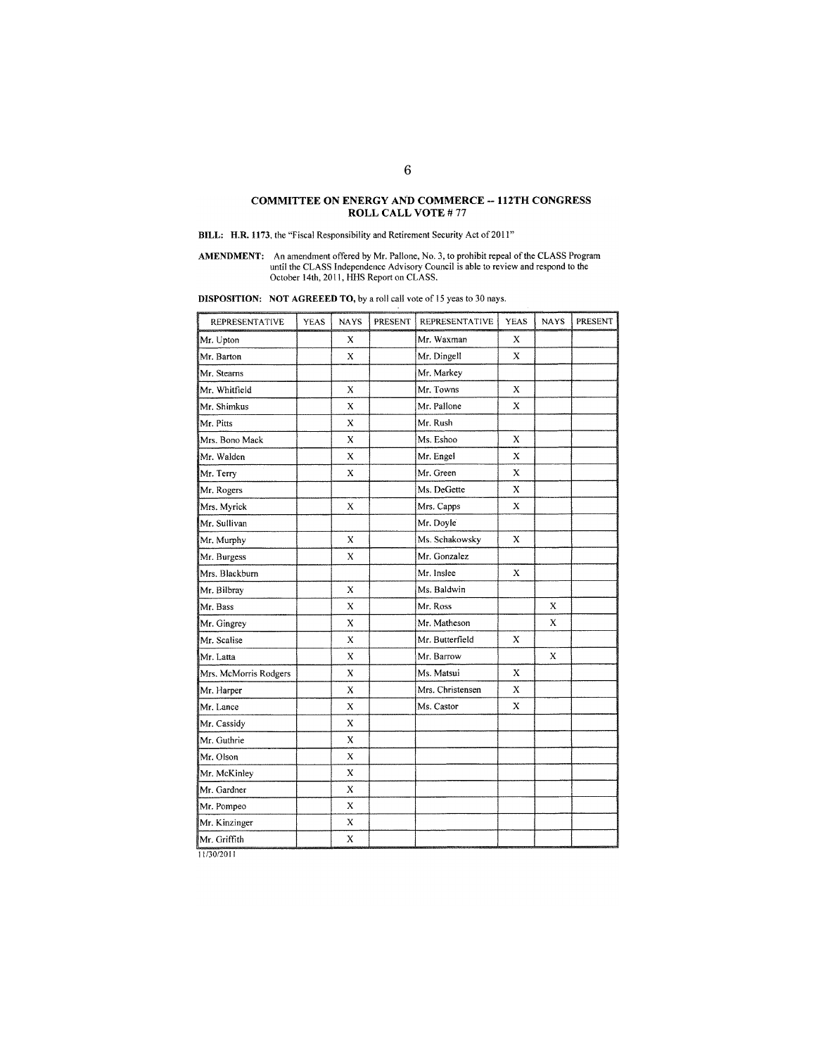BILL: H.R. 1173, the "Fiscal Responsibility and Retirement Security Act of 2011"

**AMENDMENT:** An amendment offered by Mr. Pallone, No. 3, to prohibit repeal of the CLASS Program until the CLASS Independence Advisory Council is able to review and respond to the October 14th, 2011, HHS Report on CLASS.

**DISPOSITION:** NOT AGREEED TO, by a roll call vote of 15 yeas to 30 nays.

| <b>REPRESENTATIVE</b> | <b>YEAS</b> | <b>NAYS</b> | PRESENT | <b>REPRESENTATIVE</b> | <b>YEAS</b> | <b>NAYS</b> | <b>PRESENT</b> |
|-----------------------|-------------|-------------|---------|-----------------------|-------------|-------------|----------------|
| Mr. Upton             |             | x           |         | Mr. Waxman            | X           |             |                |
| Mr. Barton            |             | X           |         | Mr. Dingell           | Х           |             |                |
| Mr. Stearns           |             |             |         | Mr. Markey            |             |             |                |
| Mr. Whitfield         |             | X           |         | Mr. Towns             | X           |             |                |
| Mr. Shimkus           |             | X           |         | Mr. Pallone           | X           |             |                |
| Mr. Pitts             |             | $\mathbf x$ |         | Mr. Rush              |             |             |                |
| Mrs. Bono Mack        |             | $\bf{X}$    |         | Ms. Eshoo             | X           |             |                |
| Mr. Walden            |             | X           |         | Mr. Engel             | X           |             |                |
| Mr. Terry             |             | X           |         | Mr. Green             | x           |             |                |
| Mr. Rogers            |             |             |         | Ms. DeGette           | x           |             |                |
| Mrs. Myrick           |             | X           |         | Mrs. Capps            | X           |             |                |
| Mr. Sullivan          |             |             |         | Mr. Doyle             |             |             |                |
| Mr. Murphy            |             | X           |         | Ms. Schakowsky        | X           |             |                |
| Mr. Burgess           |             | X           |         | Mr. Gonzalez          |             |             |                |
| Mrs. Blackburn        |             |             |         | Mr. Inslee            | X           |             |                |
| Mr. Bilbray           |             | X           |         | Ms. Baldwin           |             |             |                |
| Mr. Bass              |             | X           |         | Mr. Ross              |             | X           |                |
| Mr. Gingrey           |             | $\bf{X}$    |         | Mr. Matheson          |             | $\mathbf x$ |                |
| Mr. Scalise           |             | X           |         | Mr. Butterfield       | X           |             |                |
| Mr. Latta             |             | X           |         | Mr. Barrow            |             | X           |                |
| Mrs. McMorris Rodgers |             | X           |         | Ms. Matsui            | X           |             |                |
| Mr. Harper            |             | X           |         | Mrs. Christensen      | x           |             |                |
| Mr. Lance             |             | X           |         | Ms. Castor            | X           |             |                |
| Mr. Cassidy           |             | X           |         |                       |             |             |                |
| Mr. Guthrie           |             | X           |         |                       |             |             |                |
| Mr. Olson             |             | X           |         |                       |             |             |                |
| Mr. McKinley          |             | $\mathbf x$ |         |                       |             |             |                |
| Mr. Gardner           |             | X           |         |                       |             |             |                |
| Mr. Pompeo            |             | X           |         |                       |             |             |                |
| Mr. Kinzinger         |             | X           |         |                       |             |             |                |
| Mr. Griffith          |             | X           |         |                       |             |             |                |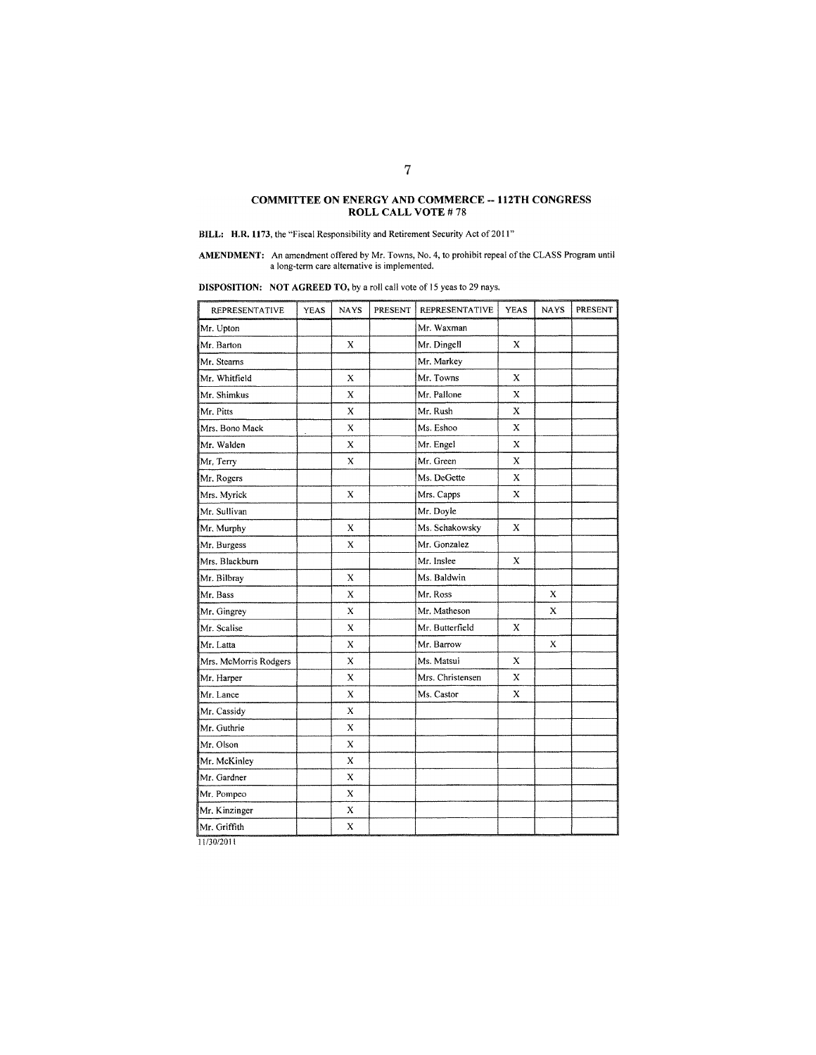BILL: H.R. 1173, the "Fiscal Responsibility and Retirement Security Act of 2011"

**AMENDMENT:** An amendment offered by Mr. Towns, No. 4, to prohibit repeal of the CLASS Program until a long-term care alternative is implemented.

**DISPOSITION:** NOT AGREED TO, by a roll call vote of 15 yeas to 29 nays.

| REPRESENTATIVE        | YEAS | <b>NAYS</b> | <b>PRESENT</b> | REPRESENTATIVE   | <b>YEAS</b> | <b>NAYS</b> | PRESENT |
|-----------------------|------|-------------|----------------|------------------|-------------|-------------|---------|
| Mr. Upton             |      |             |                | Mr. Waxman       |             |             |         |
| Mr. Barton            |      | X           |                | Mr. Dingell      | X           |             |         |
| Mr. Stearns           |      |             |                | Mr. Markey       |             |             |         |
| Mr. Whitfield         |      | X           |                | Mr. Towns        | X           |             |         |
| Mr. Shimkus           |      | X           |                | Mr. Pallone      | x           |             |         |
| Mr. Pitts             |      | X           |                | Mr. Rush         | X           |             |         |
| Mrs. Bono Mack        |      | X           |                | Ms. Eshoo        | x           |             |         |
| Mr. Walden            |      | X           |                | Mr. Engel        | X           |             |         |
| Mr. Terry             |      | $\bf{x}$    |                | Mr. Green        | $\mathbf x$ |             |         |
| Mr. Rogers            |      |             |                | Ms. DeGette      | X           |             |         |
| Mrs. Myrick           |      | X           |                | Mrs. Capps       | X           |             |         |
| Mr. Sullivan          |      |             |                | Mr. Doyle        |             |             |         |
| Mr. Murphy            |      | X           |                | Ms. Schakowsky   | X           |             |         |
| Mr. Burgess           |      | X           |                | Mr. Gonzalez     |             |             |         |
| Mrs. Blackburn        |      |             |                | Mr. Inslee       | X           |             |         |
| Mr. Bilbray           |      | $\bf{X}$    |                | Ms. Baldwin      |             |             |         |
| Mr. Bass              |      | X           |                | Mr. Ross         |             | X           |         |
| Mr. Gingrey           |      | Х           |                | Mr. Matheson     |             | X           |         |
| Mr. Scalise           |      | X           |                | Mr. Butterfield  | X           |             |         |
| Mr. Latta             |      | X           |                | Mr. Barrow       |             | X           |         |
| Mrs. McMorris Rodgers |      | X           |                | Ms. Matsui       | X           |             |         |
| Mr. Harper            |      | X           |                | Mrs. Christensen | X           |             |         |
| Mr. Lance             |      | X           |                | Ms. Castor       | X           |             |         |
| Mr. Cassidy           |      | X           |                |                  |             |             |         |
| Mr. Guthrie           |      | X           |                |                  |             |             |         |
| Mr. Olson             |      | X           |                |                  |             |             |         |
| Mr. McKinley          |      | X           |                |                  |             |             |         |
| Mr. Gardner           |      | X           |                |                  |             |             |         |
| Mr. Pompeo            |      | X           |                |                  |             |             |         |
| Mr. Kinzinger         |      | X           |                |                  |             |             |         |
| Mr. Griffith          |      | X           |                |                  |             |             |         |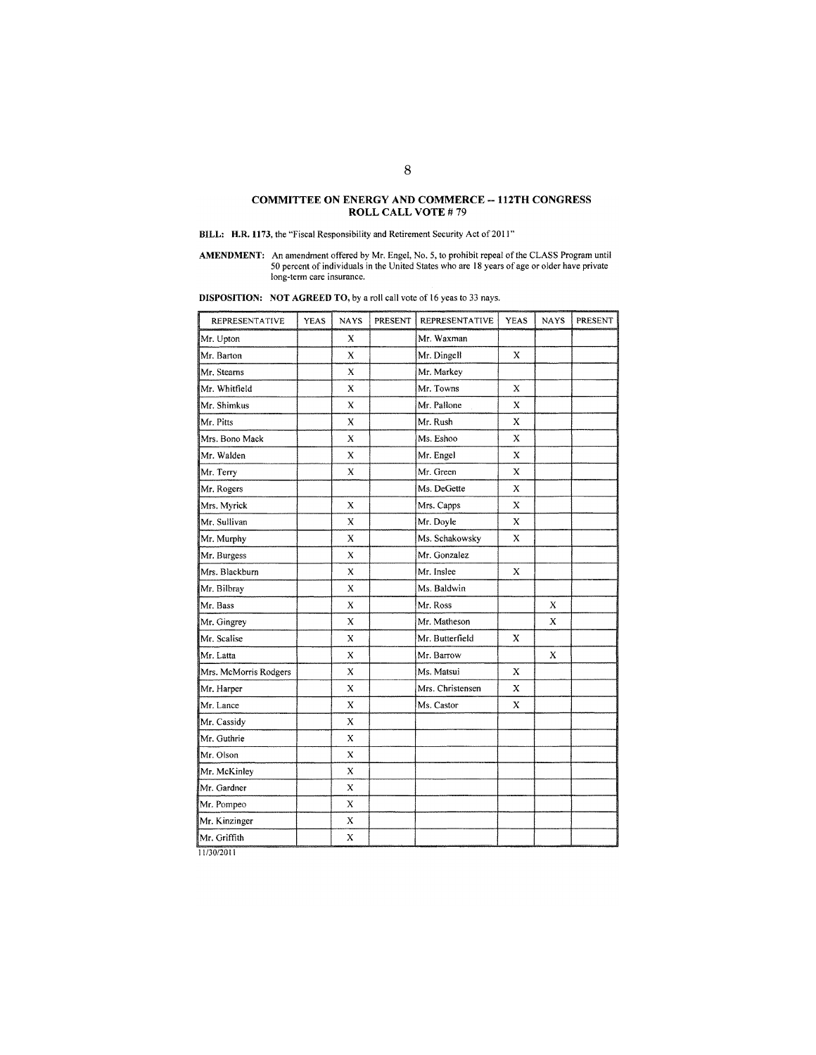BILL: H.R. 1173, the "Fiscal Responsibility and Retirement Security Act of 2011"

**AMENDMENT:** An amendment offered by Mr. Engel, No. 5, to prohibit repeal of the CLASS Program until 50 percent of individuals in the United States who are 18 years of age or older have private long-term care insurance.

| <b>REPRESENTATIVE</b> | <b>YEAS</b> | <b>NAYS</b> | PRESENT | <b>REPRESENTATIVE</b> | <b>YEAS</b> | <b>NAYS</b> | PRESENT |
|-----------------------|-------------|-------------|---------|-----------------------|-------------|-------------|---------|
| Mr. Upton             |             | X           |         | Mr. Waxman            |             |             |         |
| Mr. Barton            |             | X           |         | Mr. Dingell           | X           |             |         |
| Mr. Stearns           |             | X           |         | Mr. Markey            |             |             |         |
| Mr. Whitfield         |             | X           |         | Mr. Towns             | X           |             |         |
| Mr. Shimkus           |             | X           |         | Mr. Pallone           | X           |             |         |
| Mr. Pitts             |             | X           |         | Mr. Rush              | X           |             |         |
| Mrs. Bono Mack        |             | X           |         | Ms. Eshoo             | X           |             |         |
| Mr. Walden            |             | X           |         | Mr. Engel             | X           |             |         |
| Mr. Terry             |             | X           |         | Mr. Green             | X           |             |         |
| Mr. Rogers            |             |             |         | Ms. DeGette           | X           |             |         |
| Mrs. Myrick           |             | X           |         | Mrs. Capps            | X           |             |         |
| Mr. Sullivan          |             | X           |         | Mr. Doyle             | X           |             |         |
| Mr. Murphy            |             | X           |         | Ms. Schakowsky        | X           |             |         |
| Mr. Burgess           |             | X           |         | Mr. Gonzalez          |             |             |         |
| Mrs. Blackburn        |             | X           |         | Mr. Inslee            | X           |             |         |
| Mr. Bilbray           |             | X           |         | Ms. Baldwin           |             |             |         |
| Mr. Bass              |             | X           |         | Mr. Ross              |             | X           |         |
| Mr. Gingrey           |             | X           |         | Mr. Matheson          |             | х           |         |
| Mr. Scalise           |             | X           |         | Mr. Butterfield       | X           |             |         |
| Mr. Latta             |             | X           |         | Mr. Barrow            |             | X           |         |
| Mrs. McMorris Rodgers |             | X           |         | Ms. Matsui            | X           |             |         |
| Mr. Harper            |             | X           |         | Mrs. Christensen      | X           |             |         |
| Mr. Lance             |             | X           |         | Ms. Castor            | X           |             |         |
| Mr. Cassidy           |             | $\mathbf x$ |         |                       |             |             |         |
| Mr. Guthrie           |             | $\mathbf x$ |         |                       |             |             |         |
| Mr. Olson             |             | $\mathbf x$ |         |                       |             |             |         |
| Mr. McKinley          |             | X           |         |                       |             |             |         |
| Mr. Gardner           |             | X           |         |                       |             |             |         |
| Mr. Pompeo            |             | X           |         |                       |             |             |         |
| Mr. Kinzinger         |             | X           |         |                       |             |             |         |
| Mr. Griffith          |             | $\bf{X}$    |         |                       |             |             |         |

**DISPOSITION:** NOT AGREED TO, by a roll call vote of 16 yeas to 33 nays.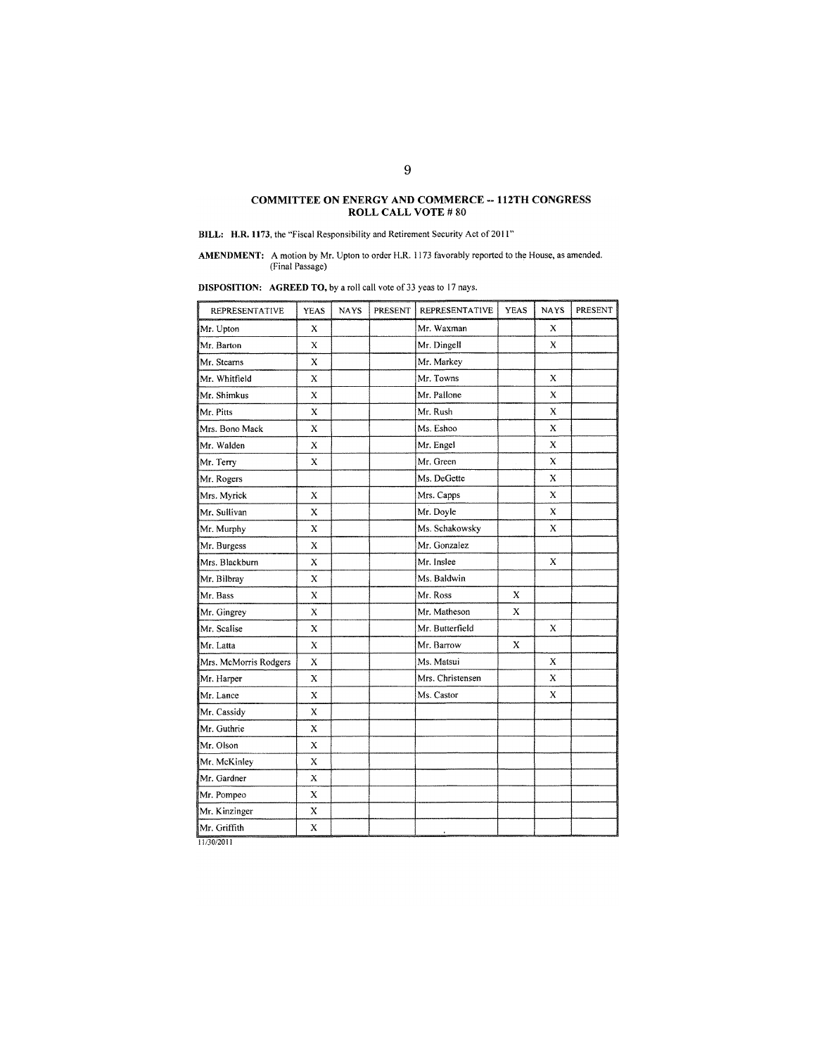BILL: H.R. 1173, the "Fiscal Responsibility and Retirement Security Act of 2011"

**AMENDMENT:** A motion by Mr. Upton to order H.R. 1173 favorably reported to the House, as amended. (Final Passage)

**DISPOSITION:** AGREED TO, by a roll call vote of 33 yeas to 17 nays.

| REPRESENTATIVE        | <b>YEAS</b> | <b>NAYS</b> | <b>PRESENT</b> | <b>REPRESENTATIVE</b> | <b>YEAS</b> | <b>NAYS</b> | <b>PRESENT</b> |
|-----------------------|-------------|-------------|----------------|-----------------------|-------------|-------------|----------------|
| Mr. Upton             | X           |             |                | Mr. Waxman            |             | X           |                |
| Mr. Barton            | X           |             |                | Mr. Dingell           |             | X           |                |
| Mr. Stearns           | X           |             |                | Mr. Markey            |             |             |                |
| Mr. Whitfield         | X           |             |                | Mr. Towns             |             | X           |                |
| Mr. Shimkus           | X           |             |                | Mr. Pallone           |             | X           |                |
| Mr. Pitts             | X           |             |                | Mr. Rush              |             | X           |                |
| Mrs. Bono Mack        | X           |             |                | Ms. Eshoo             |             | X           |                |
| Mr. Walden            | х           |             |                | Mr. Engel             |             | X           |                |
| Mr. Terry             | X           |             |                | Mr. Green             |             | x           |                |
| Mr. Rogers            |             |             |                | Ms. DeGette           |             | X           |                |
| Mrs. Myrick           | Х           |             |                | Mrs. Capps            |             | X           |                |
| Mr. Sullivan          | $\mathbf x$ |             |                | Mr. Doyle             |             | x           |                |
| Mr. Murphy            | X           |             |                | Ms. Schakowsky        |             | x           |                |
| Mr. Burgess           | X           |             |                | Mr. Gonzalez          |             |             |                |
| Mrs. Blackburn        | X           |             |                | Mr. Inslee            |             | X           |                |
| Mr. Bilbray           | X           |             |                | Ms. Baldwin           |             |             |                |
| Mr. Bass              | X           |             |                | Mr. Ross              | X           |             |                |
| Mr. Gingrey           | Х           |             |                | Mr. Matheson          | X           |             |                |
| Mr. Scalise           | X           |             |                | Mr. Butterfield       |             | X           |                |
| Mr. Latta             | X           |             |                | Mr. Barrow            | X           |             |                |
| Mrs. McMorris Rodgers | X           |             |                | Ms. Matsui            |             | X           |                |
| Mr. Harper            | x           |             |                | Mrs. Christensen      |             | $\mathbf x$ |                |
| Mr. Lance             | x           |             |                | Ms. Castor            |             | X           |                |
| Mr. Cassidy           | X           |             |                |                       |             |             |                |
| Mr. Guthrie           | X           |             |                |                       |             |             |                |
| Mr. Olson             | X           |             |                |                       |             |             |                |
| Mr. McKinley          | X           |             |                |                       |             |             |                |
| Mr. Gardner           | X           |             |                |                       |             |             |                |
| Mr. Pompeo            | X           |             |                |                       |             |             |                |
| Mr. Kinzinger         | X           |             |                |                       |             |             |                |
| Mr. Griffith          | X           |             |                |                       |             |             |                |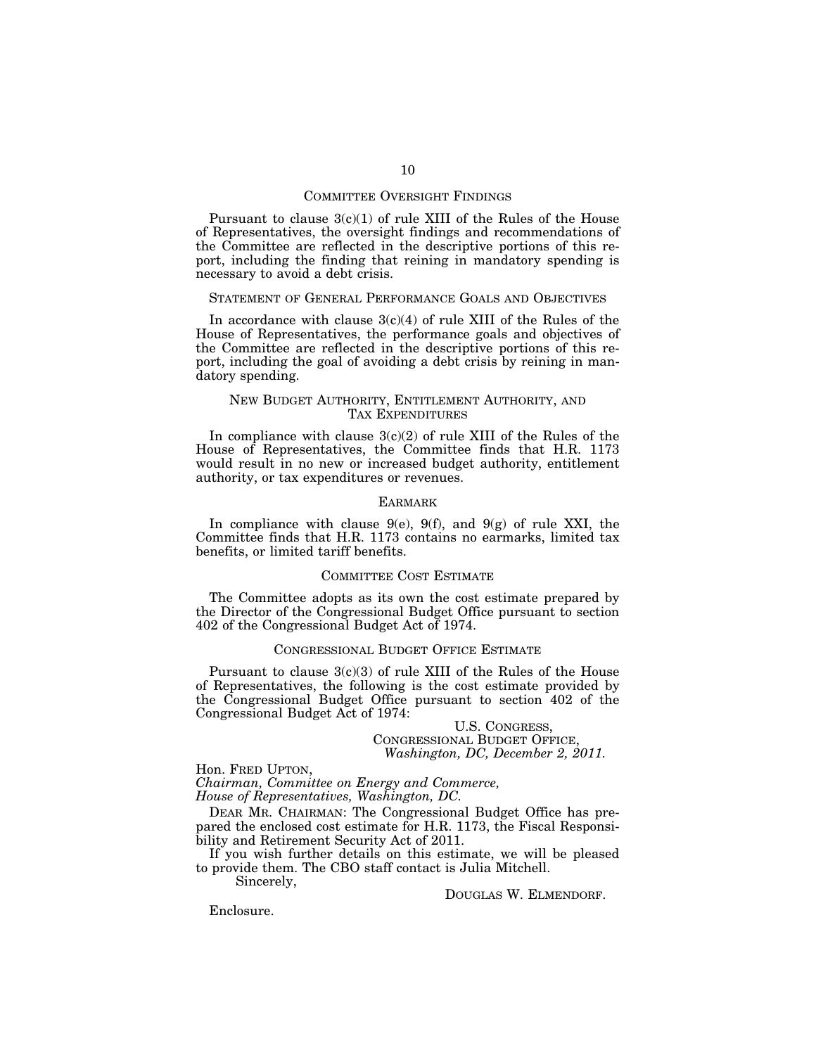#### COMMITTEE OVERSIGHT FINDINGS

Pursuant to clause  $3(c)(1)$  of rule XIII of the Rules of the House of Representatives, the oversight findings and recommendations of the Committee are reflected in the descriptive portions of this report, including the finding that reining in mandatory spending is necessary to avoid a debt crisis.

#### STATEMENT OF GENERAL PERFORMANCE GOALS AND OBJECTIVES

In accordance with clause  $3(c)(4)$  of rule XIII of the Rules of the House of Representatives, the performance goals and objectives of the Committee are reflected in the descriptive portions of this report, including the goal of avoiding a debt crisis by reining in mandatory spending.

## NEW BUDGET AUTHORITY, ENTITLEMENT AUTHORITY, AND TAX EXPENDITURES

In compliance with clause  $3(c)(2)$  of rule XIII of the Rules of the House of Representatives, the Committee finds that H.R. 1173 would result in no new or increased budget authority, entitlement authority, or tax expenditures or revenues.

#### EARMARK

In compliance with clause 9(e), 9(f), and 9(g) of rule XXI, the Committee finds that H.R. 1173 contains no earmarks, limited tax benefits, or limited tariff benefits.

## COMMITTEE COST ESTIMATE

The Committee adopts as its own the cost estimate prepared by the Director of the Congressional Budget Office pursuant to section 402 of the Congressional Budget Act of 1974.

#### CONGRESSIONAL BUDGET OFFICE ESTIMATE

Pursuant to clause  $3(c)(3)$  of rule XIII of the Rules of the House of Representatives, the following is the cost estimate provided by the Congressional Budget Office pursuant to section 402 of the Congressional Budget Act of 1974:

U.S. CONGRESS, CONGRESSIONAL BUDGET OFFICE, *Washington, DC, December 2, 2011.* 

Hon. FRED UPTON, *Chairman, Committee on Energy and Commerce, House of Representatives, Washington, DC.* 

DEAR MR. CHAIRMAN: The Congressional Budget Office has prepared the enclosed cost estimate for H.R. 1173, the Fiscal Responsibility and Retirement Security Act of 2011.

If you wish further details on this estimate, we will be pleased to provide them. The CBO staff contact is Julia Mitchell.

Sincerely,

DOUGLAS W. ELMENDORF.

Enclosure.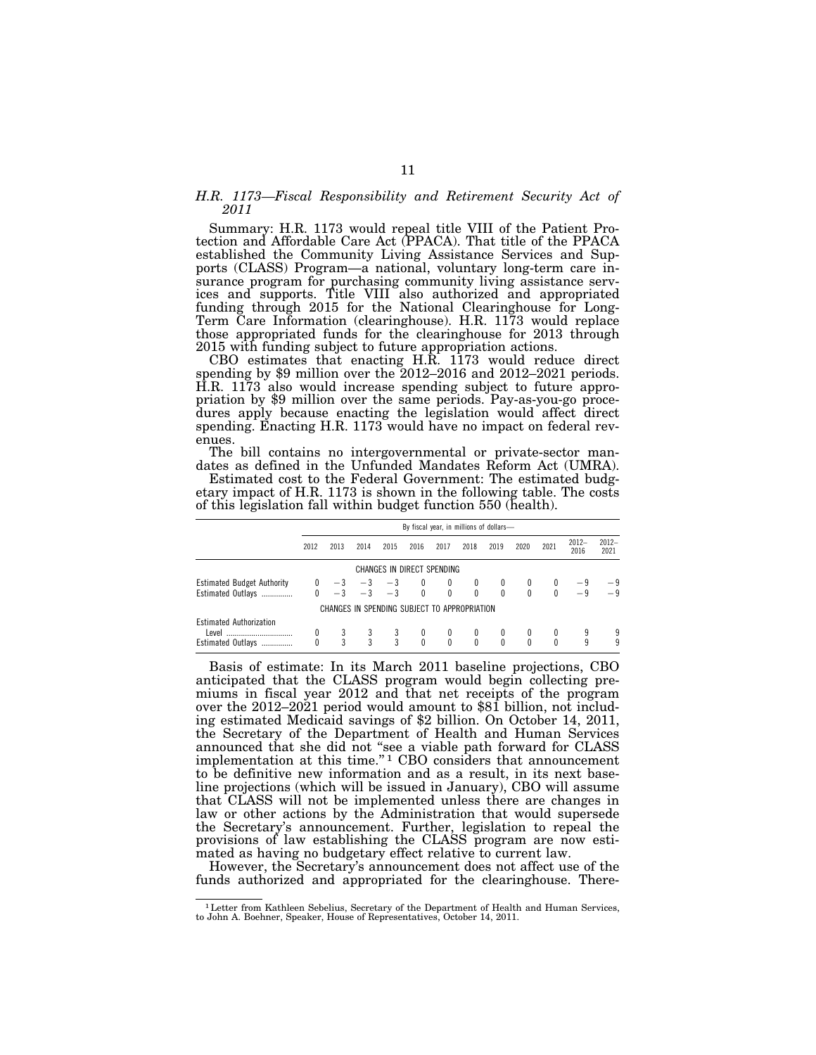## *H.R. 1173—Fiscal Responsibility and Retirement Security Act of 2011*

Summary: H.R. 1173 would repeal title VIII of the Patient Protection and Affordable Care Act (PPACA). That title of the PPACA established the Community Living Assistance Services and Supports (CLASS) Program—a national, voluntary long-term care insurance program for purchasing community living assistance services and supports. Title VIII also authorized and appropriated funding through 2015 for the National Clearinghouse for Long-Term Care Information (clearinghouse). H.R. 1173 would replace those appropriated funds for the clearinghouse for 2013 through

2015 with funding subject to future appropriation actions.<br>CBO estimates that enacting H.R. 1173 would reduce direct spending by \$9 million over the  $2012-2016$  and  $2012-2021$  periods. H.R. 1173 also would increase spending subject to future appropriation by \$9 million over the same periods. Pay-as-you-go procedures apply because enacting the legislation would affect direct spending. Enacting H.R. 1173 would have no impact on federal revenues.

The bill contains no intergovernmental or private-sector mandates as defined in the Unfunded Mandates Reform Act (UMRA).

Estimated cost to the Federal Government: The estimated budgetary impact of H.R. 1173 is shown in the following table. The costs of this legislation fall within budget function 550 (health).

|                                   | By fiscal year, in millions of dollars- |      |      |                            |                          |                          |                                              |            |          |          |                 |                  |
|-----------------------------------|-----------------------------------------|------|------|----------------------------|--------------------------|--------------------------|----------------------------------------------|------------|----------|----------|-----------------|------------------|
|                                   | 2012                                    | 2013 | 2014 | 2015                       | 2016                     | 2017                     | 2018                                         | 2019       | 2020     | 2021     | $2012-$<br>2016 | $2012 -$<br>2021 |
|                                   |                                         |      |      | CHANGES IN DIRECT SPENDING |                          |                          |                                              |            |          |          |                 |                  |
| <b>Estimated Budget Authority</b> |                                         |      | $-3$ | $-3$                       | $\overline{\phantom{0}}$ | $\overline{\phantom{0}}$ | 0                                            | $^{\circ}$ |          | 0        | — 9             | - 9              |
| Estimated Outlays                 |                                         |      |      | $-3$                       | $\Omega$                 | $\Omega$                 | $\Omega$                                     | $\Omega$   | $\Omega$ | $\Omega$ | $-9$            | $-9$             |
|                                   |                                         |      |      |                            |                          |                          | CHANGES IN SPENDING SUBJECT TO APPROPRIATION |            |          |          |                 |                  |
| <b>Estimated Authorization</b>    |                                         |      |      |                            |                          |                          |                                              |            |          |          |                 |                  |
| Level                             |                                         | 3    | 3    | 3                          |                          | 0                        |                                              | 0          |          |          | 9               | 9                |
| Estimated Outlays                 |                                         | 3    | 3    | 3                          | $\mathbf{0}$             |                          |                                              | 0          |          |          | 9               | 9                |

Basis of estimate: In its March 2011 baseline projections, CBO anticipated that the CLASS program would begin collecting premiums in fiscal year 2012 and that net receipts of the program over the 2012–2021 period would amount to \$81 billion, not including estimated Medicaid savings of \$2 billion. On October 14, 2011, the Secretary of the Department of Health and Human Services announced that she did not ''see a viable path forward for CLASS implementation at this time.'' 1 CBO considers that announcement to be definitive new information and as a result, in its next baseline projections (which will be issued in January), CBO will assume that CLASS will not be implemented unless there are changes in law or other actions by the Administration that would supersede the Secretary's announcement. Further, legislation to repeal the provisions of law establishing the CLASS program are now estimated as having no budgetary effect relative to current law.

However, the Secretary's announcement does not affect use of the funds authorized and appropriated for the clearinghouse. There-

<sup>1</sup>Letter from Kathleen Sebelius, Secretary of the Department of Health and Human Services, to John A. Boehner, Speaker, House of Representatives, October 14, 2011.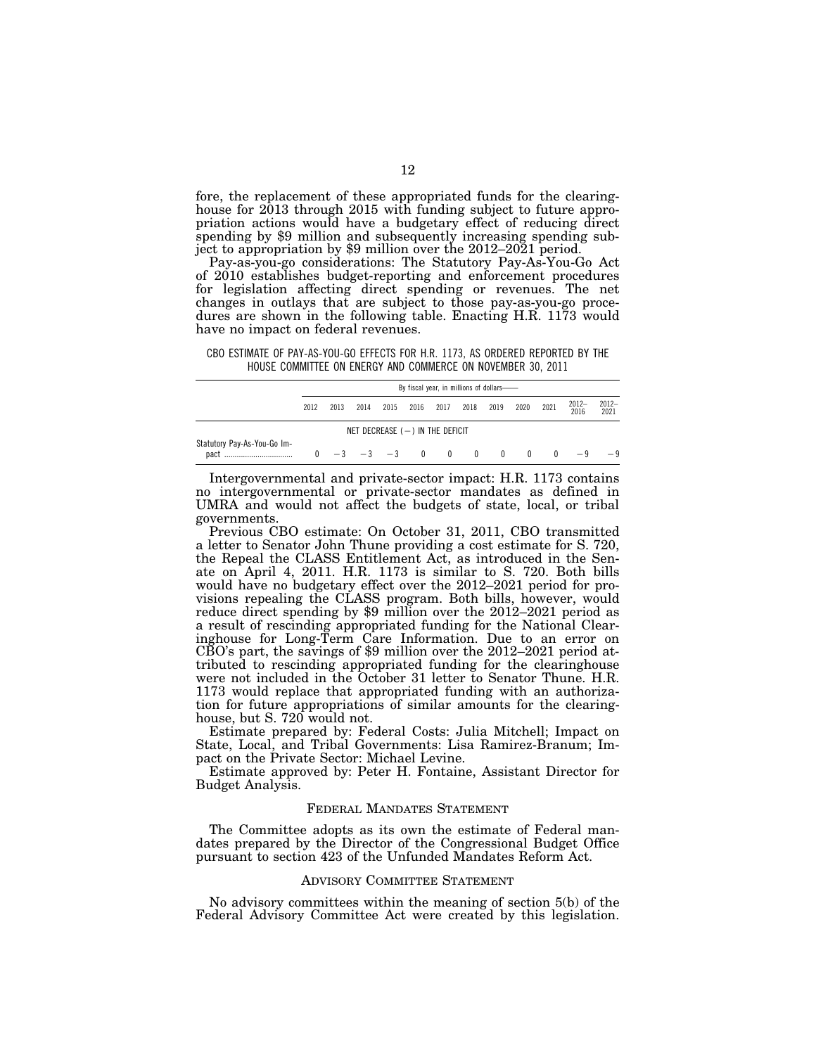fore, the replacement of these appropriated funds for the clearinghouse for 2013 through 2015 with funding subject to future appropriation actions would have a budgetary effect of reducing direct spending by \$9 million and subsequently increasing spending subject to appropriation by \$9 million over the 2012–2021 period.

Pay-as-you-go considerations: The Statutory Pay-As-You-Go Act of 2010 establishes budget-reporting and enforcement procedures for legislation affecting direct spending or revenues. The net changes in outlays that are subject to those pay-as-you-go procedures are shown in the following table. Enacting H.R. 1173 would have no impact on federal revenues.

CBO ESTIMATE OF PAY-AS-YOU-GO EFFECTS FOR H.R. 1173, AS ORDERED REPORTED BY THE HOUSE COMMITTEE ON ENERGY AND COMMERCE ON NOVEMBER 30, 2011

|                                     | By fiscal year, in millions of dollars- |      |                                   |      |      |      |                                                 |      |                |              |                  |                  |
|-------------------------------------|-----------------------------------------|------|-----------------------------------|------|------|------|-------------------------------------------------|------|----------------|--------------|------------------|------------------|
|                                     | 2012                                    | 2013 | 2014                              | 2015 | 2016 | 2017 | 2018                                            | 2019 | 2020           | 2021         | $2012 -$<br>2016 | $2012 -$<br>2021 |
|                                     |                                         |      | NET DECREASE $(-)$ in the deficit |      |      |      |                                                 |      |                |              |                  |                  |
| Statutory Pay-As-You-Go Im-<br>pact |                                         |      | $0 \t -3 \t -3 \t -3 \t 0$        |      |      |      | $\begin{array}{ccc} & & 0 & \hline \end{array}$ |      | $\overline{0}$ | $\mathbf{0}$ | $-9$             | $-9$             |

Intergovernmental and private-sector impact: H.R. 1173 contains no intergovernmental or private-sector mandates as defined in UMRA and would not affect the budgets of state, local, or tribal governments.

Previous CBO estimate: On October 31, 2011, CBO transmitted a letter to Senator John Thune providing a cost estimate for S. 720, the Repeal the CLASS Entitlement Act, as introduced in the Senate on April 4, 2011. H.R. 1173 is similar to S. 720. Both bills would have no budgetary effect over the 2012–2021 period for provisions repealing the CLASS program. Both bills, however, would reduce direct spending by \$9 million over the 2012–2021 period as a result of rescinding appropriated funding for the National Clearinghouse for Long-Term Care Information. Due to an error on CBO's part, the savings of \$9 million over the 2012–2021 period attributed to rescinding appropriated funding for the clearinghouse were not included in the October 31 letter to Senator Thune. H.R. 1173 would replace that appropriated funding with an authorization for future appropriations of similar amounts for the clearinghouse, but S. 720 would not.

Estimate prepared by: Federal Costs: Julia Mitchell; Impact on State, Local, and Tribal Governments: Lisa Ramirez-Branum; Impact on the Private Sector: Michael Levine.

Estimate approved by: Peter H. Fontaine, Assistant Director for Budget Analysis.

#### FEDERAL MANDATES STATEMENT

The Committee adopts as its own the estimate of Federal mandates prepared by the Director of the Congressional Budget Office pursuant to section 423 of the Unfunded Mandates Reform Act.

### ADVISORY COMMITTEE STATEMENT

No advisory committees within the meaning of section 5(b) of the Federal Advisory Committee Act were created by this legislation.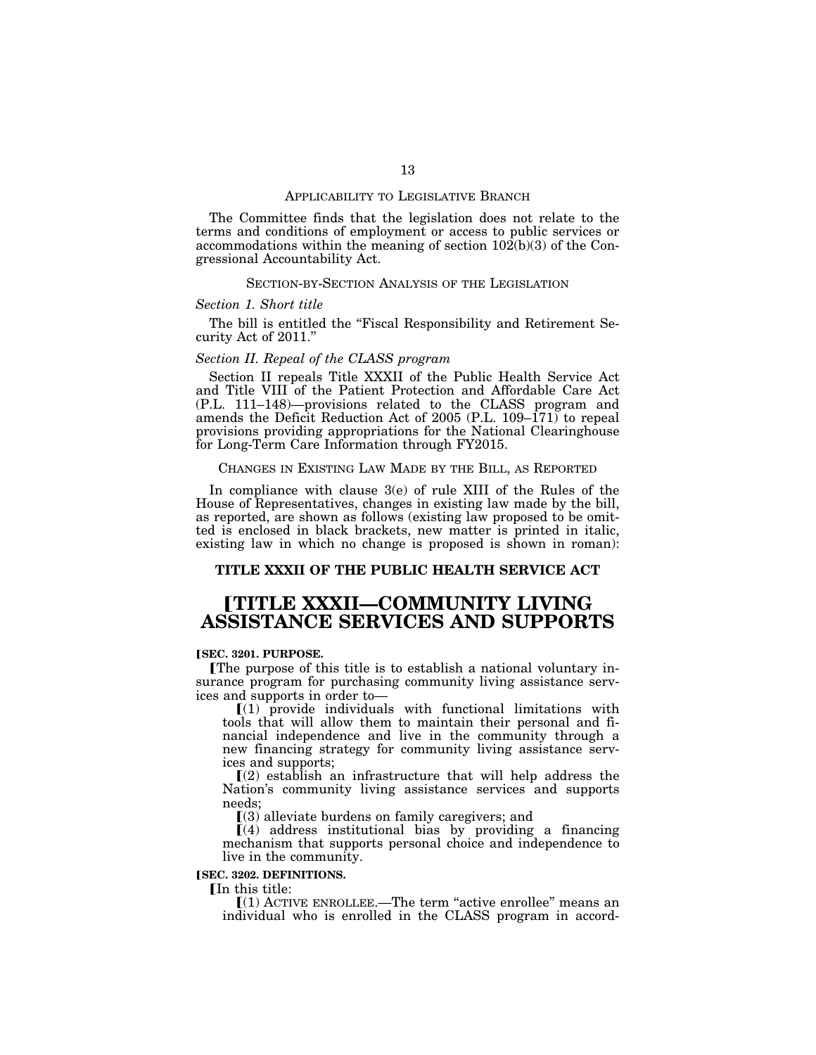## APPLICABILITY TO LEGISLATIVE BRANCH

The Committee finds that the legislation does not relate to the terms and conditions of employment or access to public services or accommodations within the meaning of section 102(b)(3) of the Congressional Accountability Act.

## SECTION-BY-SECTION ANALYSIS OF THE LEGISLATION

### *Section 1. Short title*

The bill is entitled the "Fiscal Responsibility and Retirement Security Act of 2011.''

## *Section II. Repeal of the CLASS program*

Section II repeals Title XXXII of the Public Health Service Act and Title VIII of the Patient Protection and Affordable Care Act (P.L. 111–148)—provisions related to the CLASS program and amends the Deficit Reduction Act of 2005 (P.L. 109–171) to repeal provisions providing appropriations for the National Clearinghouse for Long-Term Care Information through FY2015.

## CHANGES IN EXISTING LAW MADE BY THE BILL, AS REPORTED

In compliance with clause 3(e) of rule XIII of the Rules of the House of Representatives, changes in existing law made by the bill, as reported, are shown as follows (existing law proposed to be omitted is enclosed in black brackets, new matter is printed in italic, existing law in which no change is proposed is shown in roman):

## **TITLE XXXII OF THE PUBLIC HEALTH SERVICE ACT**

## ø**TITLE XXXII—COMMUNITY LIVING ASSISTANCE SERVICES AND SUPPORTS**

#### ø**SEC. 3201. PURPOSE.**

øThe purpose of this title is to establish a national voluntary insurance program for purchasing community living assistance services and supports in order to—

 $[(1)$  provide individuals with functional limitations with tools that will allow them to maintain their personal and financial independence and live in the community through a new financing strategy for community living assistance services and supports;

 $(2)$  establish an infrastructure that will help address the Nation's community living assistance services and supports needs;

 $(3)$  alleviate burdens on family caregivers; and

 $(4)$  address institutional bias by providing a financing mechanism that supports personal choice and independence to live in the community.

#### ø**SEC. 3202. DEFINITIONS.**

#### **I**In this title:

 $(1)$  ACTIVE ENROLLEE.—The term "active enrollee" means an individual who is enrolled in the CLASS program in accord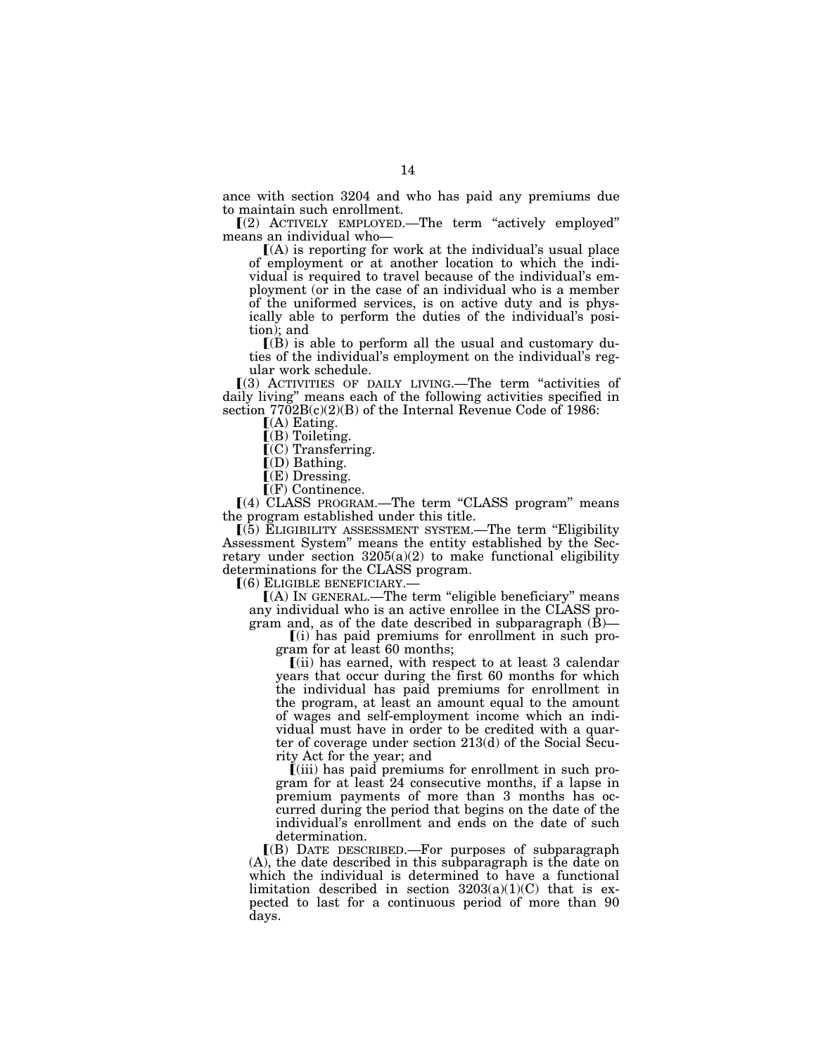ance with section 3204 and who has paid any premiums due to maintain such enrollment.

 $(2)$  ACTIVELY EMPLOYED.—The term "actively employed" means an individual who—

 $(A)$  is reporting for work at the individual's usual place of employment or at another location to which the individual is required to travel because of the individual's employment (or in the case of an individual who is a member of the uniformed services, is on active duty and is physically able to perform the duties of the individual's position); and

 $($ B) is able to perform all the usual and customary duties of the individual's employment on the individual's regular work schedule.

ø(3) ACTIVITIES OF DAILY LIVING.—The term ''activities of daily living'' means each of the following activities specified in section  $7702B(c)(2)(B)$  of the Internal Revenue Code of 1986:

 $(A)$  Eating.

 $[(B)$  Toileting.

 $(C)$  Transferring.

 $[$ (D) Bathing.

 $(E)$  Dressing.

 $\mathbb{I}(F)$  Continence.

 $(4)$  CLASS PROGRAM.—The term "CLASS program" means the program established under this title.

ø(5) ELIGIBILITY ASSESSMENT SYSTEM.—The term ''Eligibility Assessment System'' means the entity established by the Secretary under section  $3205(a)(2)$  to make functional eligibility determinations for the CLASS program.

 $[(6)$  ELIGIBLE BENEFICIARY.—<br> $[(A)$  IN GENERAL.—The term "eligible beneficiary" means any individual who is an active enrollee in the CLASS program and, as of the date described in subparagraph  $(\bar{B})$ —

 $(i)$  has paid premiums for enrollment in such program for at least 60 months;

 $\left[$ (ii) has earned, with respect to at least 3 calendar years that occur during the first 60 months for which the individual has paid premiums for enrollment in the program, at least an amount equal to the amount of wages and self-employment income which an individual must have in order to be credited with a quarter of coverage under section 213(d) of the Social Security Act for the year; and

ø(iii) has paid premiums for enrollment in such program for at least 24 consecutive months, if a lapse in premium payments of more than 3 months has occurred during the period that begins on the date of the individual's enrollment and ends on the date of such determination.

 $($ B) DATE DESCRIBED.—For purposes of subparagraph (A), the date described in this subparagraph is the date on which the individual is determined to have a functional limitation described in section  $3203(a)(1)(C)$  that is expected to last for a continuous period of more than 90 days.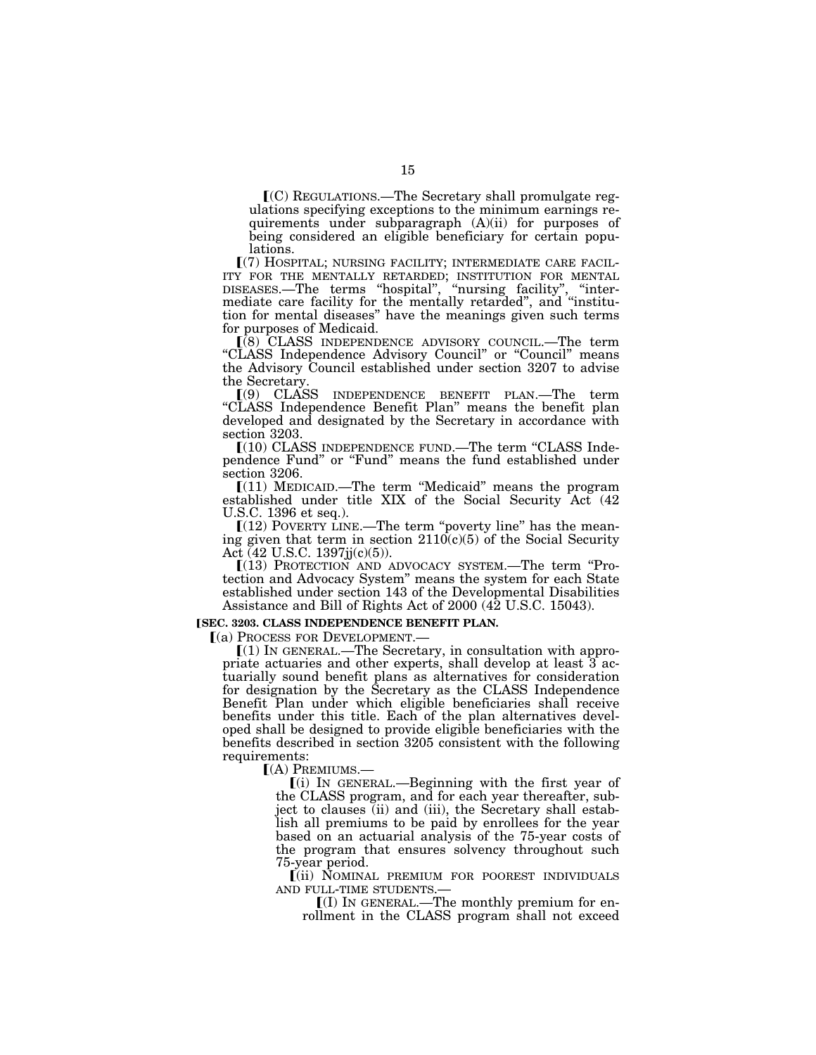$\mathfrak{f}(C)$  REGULATIONS.—The Secretary shall promulgate regulations specifying exceptions to the minimum earnings requirements under subparagraph (A)(ii) for purposes of being considered an eligible beneficiary for certain populations.<br>
[(7) HOSPITAL; NURSING FACILITY; INTERMEDIATE CARE FACIL-

<sup>ø</sup>(7) HOSPITAL; NURSING FACILITY; INTERMEDIATE CARE FACIL- ITY FOR THE MENTALLY RETARDED; INSTITUTION FOR MENTAL DISEASES.—The terms ''hospital'', ''nursing facility'', ''intermediate care facility for the mentally retarded'', and ''institution for mental diseases'' have the meanings given such terms for purposes of Medicaid.

ø(8) CLASS INDEPENDENCE ADVISORY COUNCIL.—The term "CLASS Independence Advisory Council" or "Council" means the Advisory Council established under section 3207 to advise the Secretary.

ø(9) CLASS INDEPENDENCE BENEFIT PLAN.—The term ''CLASS Independence Benefit Plan'' means the benefit plan developed and designated by the Secretary in accordance with section 3203.

ø(10) CLASS INDEPENDENCE FUND.—The term ''CLASS Independence Fund'' or ''Fund'' means the fund established under section 3206.

 $[(11)$  MEDICAID.—The term "Medicaid" means the program established under title XIX of the Social Security Act (42 U.S.C. 1396 et seq.).

 $[(12)$  POVERTY LINE.—The term "poverty line" has the meaning given that term in section  $2110(c)(5)$  of the Social Security Act (42 U.S.C. 1397jj(c)(5)).

 $(13)$  Protection and advocacy system.—The term "Protection and Advocacy System'' means the system for each State established under section 143 of the Developmental Disabilities Assistance and Bill of Rights Act of 2000 (42 U.S.C. 15043).

# **[SEC. 3203. CLASS INDEPENDENCE BENEFIT PLAN.** [(a) PROCESS FOR DEVELOPMENT.—

 $(1)$  In GENERAL.—The Secretary, in consultation with appropriate actuaries and other experts, shall develop at least 3 actuarially sound benefit plans as alternatives for consideration for designation by the Secretary as the CLASS Independence Benefit Plan under which eligible beneficiaries shall receive benefits under this title. Each of the plan alternatives developed shall be designed to provide eligible beneficiaries with the benefits described in section 3205 consistent with the following requirements:

ø(A) PREMIUMS.—

 $(i)$  In GENERAL.—Beginning with the first year of the CLASS program, and for each year thereafter, subject to clauses (ii) and (iii), the Secretary shall establish all premiums to be paid by enrollees for the year based on an actuarial analysis of the 75-year costs of the program that ensures solvency throughout such 75-year period.

 $\int$ (ii) NOMINAL PREMIUM FOR POOREST INDIVIDUALS AND FULL-TIME STUDENTS.—

 $\P$ (I) In GENERAL.—The monthly premium for enrollment in the CLASS program shall not exceed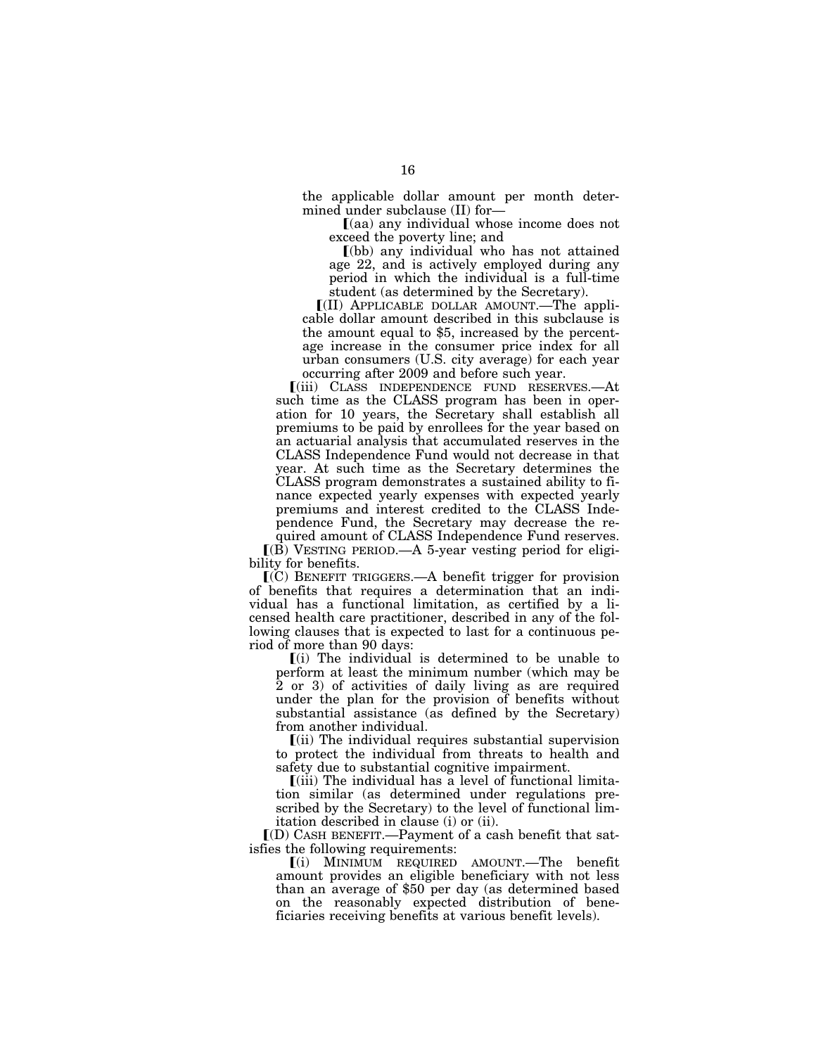the applicable dollar amount per month determined under subclause (II) for—

ø(aa) any individual whose income does not exceed the poverty line; and

 $(6b)$  any individual who has not attained age 22, and is actively employed during any period in which the individual is a full-time student (as determined by the Secretary).

ø(II) APPLICABLE DOLLAR AMOUNT.—The applicable dollar amount described in this subclause is the amount equal to \$5, increased by the percentage increase in the consumer price index for all urban consumers (U.S. city average) for each year occurring after 2009 and before such year.

ø(iii) CLASS INDEPENDENCE FUND RESERVES.—At such time as the CLASS program has been in operation for 10 years, the Secretary shall establish all premiums to be paid by enrollees for the year based on an actuarial analysis that accumulated reserves in the CLASS Independence Fund would not decrease in that year. At such time as the Secretary determines the CLASS program demonstrates a sustained ability to finance expected yearly expenses with expected yearly premiums and interest credited to the CLASS Independence Fund, the Secretary may decrease the required amount of CLASS Independence Fund reserves.

 $I(B)$  VESTING PERIOD.—A 5-year vesting period for eligibility for benefits.

 $(C)$  BENEFIT TRIGGERS.—A benefit trigger for provision of benefits that requires a determination that an individual has a functional limitation, as certified by a licensed health care practitioner, described in any of the following clauses that is expected to last for a continuous period of more than 90 days:

ø(i) The individual is determined to be unable to perform at least the minimum number (which may be 2 or 3) of activities of daily living as are required under the plan for the provision of benefits without substantial assistance (as defined by the Secretary) from another individual.

ø(ii) The individual requires substantial supervision to protect the individual from threats to health and safety due to substantial cognitive impairment.

 $\left[$ (iii) The individual has a level of functional limitation similar (as determined under regulations prescribed by the Secretary) to the level of functional limitation described in clause (i) or (ii).

ø(D) CASH BENEFIT.—Payment of a cash benefit that satisfies the following requirements:

ø(i) MINIMUM REQUIRED AMOUNT.—The benefit amount provides an eligible beneficiary with not less than an average of \$50 per day (as determined based on the reasonably expected distribution of beneficiaries receiving benefits at various benefit levels).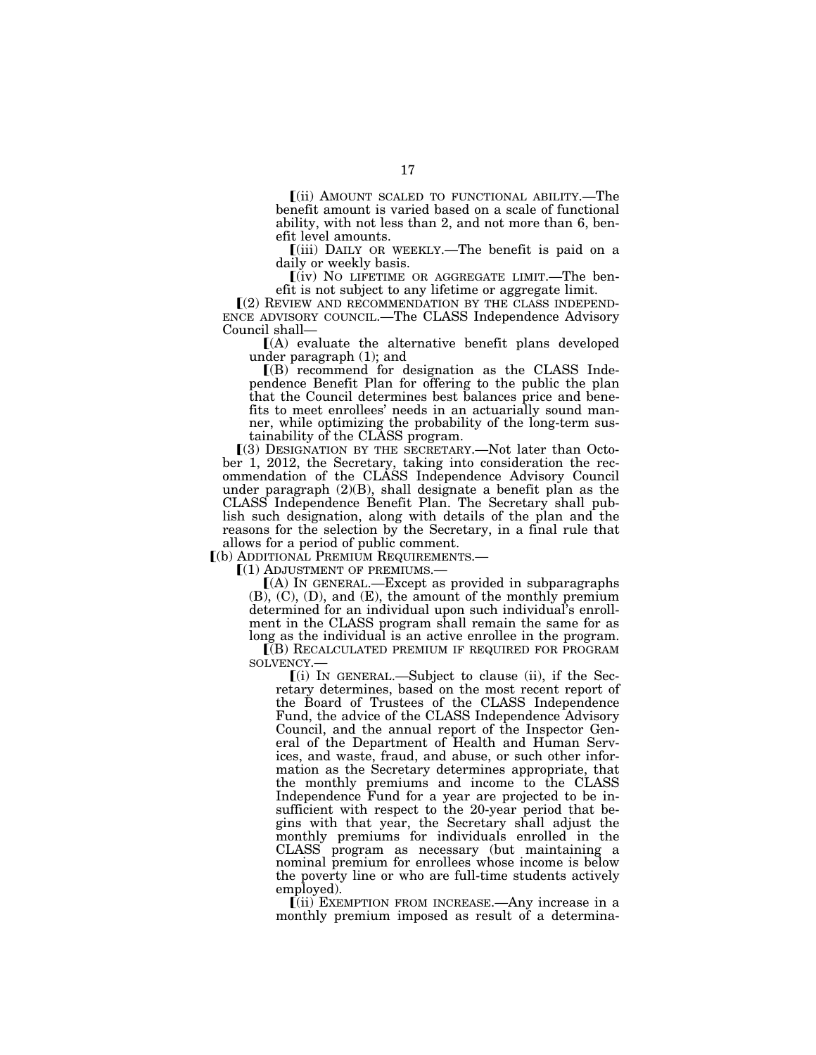ø(ii) AMOUNT SCALED TO FUNCTIONAL ABILITY.—The benefit amount is varied based on a scale of functional ability, with not less than 2, and not more than 6, benefit level amounts.

 $(iii)$  DAILY OR WEEKLY.—The benefit is paid on a daily or weekly basis.

ø(iv) NO LIFETIME OR AGGREGATE LIMIT.—The benefit is not subject to any lifetime or aggregate limit.

<sup>ø</sup>(2) REVIEW AND RECOMMENDATION BY THE CLASS INDEPEND- ENCE ADVISORY COUNCIL.—The CLASS Independence Advisory Council shall—

 $(A)$  evaluate the alternative benefit plans developed under paragraph (1); and

 $(R)$  recommend for designation as the CLASS Independence Benefit Plan for offering to the public the plan that the Council determines best balances price and benefits to meet enrollees' needs in an actuarially sound manner, while optimizing the probability of the long-term sustainability of the CLASS program.

 $(3)$  DESIGNATION BY THE SECRETARY.—Not later than October 1, 2012, the Secretary, taking into consideration the recommendation of the CLASS Independence Advisory Council under paragraph (2)(B), shall designate a benefit plan as the CLASS Independence Benefit Plan. The Secretary shall publish such designation, along with details of the plan and the reasons for the selection by the Secretary, in a final rule that allows for a period of public comment.<br>
[(b) ADDITIONAL PREMIUM REQUIREMENTS.

(b) ADDITIONAL PREMIUM REQUIREMENTS.—<br>  $[(1)$  ADJUSTMENT OF PREMIUMS.—<br>  $[(A)$  IN GENERAL.—Except as provided in subparagraphs (B), (C), (D), and (E), the amount of the monthly premium determined for an individual upon such individual's enrollment in the CLASS program shall remain the same for as long as the individual is an active enrollee in the program.

ø(B) RECALCULATED PREMIUM IF REQUIRED FOR PROGRAM SOLVENCY.—<br>
[(i) IN GENERAL.—Subject to clause (ii), if the Sec-

retary determines, based on the most recent report of the Board of Trustees of the CLASS Independence Fund, the advice of the CLASS Independence Advisory Council, and the annual report of the Inspector General of the Department of Health and Human Services, and waste, fraud, and abuse, or such other information as the Secretary determines appropriate, that the monthly premiums and income to the CLASS Independence Fund for a year are projected to be insufficient with respect to the 20-year period that begins with that year, the Secretary shall adjust the monthly premiums for individuals enrolled in the CLASS program as necessary (but maintaining a nominal premium for enrollees whose income is below the poverty line or who are full-time students actively employed).

 $\int$ (ii) EXEMPTION FROM INCREASE.—Any increase in a monthly premium imposed as result of a determina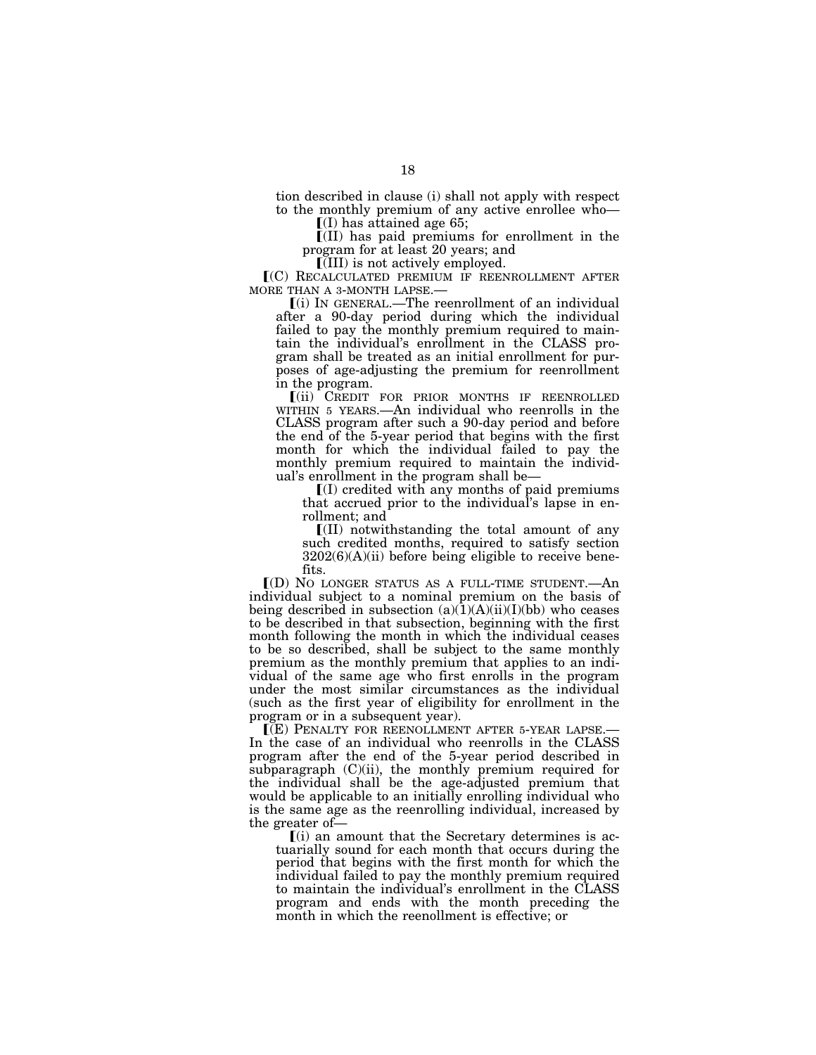tion described in clause (i) shall not apply with respect to the monthly premium of any active enrollee who—  $\overline{I}(I)$  has attained age 65;

ø(II) has paid premiums for enrollment in the

program for at least 20 years; and

 $\overline{[1]}$  is not actively employed.

ø(C) RECALCULATED PREMIUM IF REENROLLMENT AFTER MORE THAN A 3-MONTH LAPSE.—<br> $[(i)$  IN GENERAL.—The reenrollment of an individual

after a 90-day period during which the individual failed to pay the monthly premium required to maintain the individual's enrollment in the CLASS program shall be treated as an initial enrollment for purposes of age-adjusting the premium for reenrollment in the program.

ø(ii) CREDIT FOR PRIOR MONTHS IF REENROLLED WITHIN 5 YEARS.—An individual who reenrolls in the CLASS program after such a 90-day period and before the end of the 5-year period that begins with the first month for which the individual failed to pay the monthly premium required to maintain the individual's enrollment in the program shall be—

 $\mathbf{I}(I)$  credited with any months of paid premiums that accrued prior to the individual's lapse in enrollment; and

ø(II) notwithstanding the total amount of any such credited months, required to satisfy section  $3202(6)(A)(ii)$  before being eligible to receive benefits.

 $(D)$  No longer status as a full-time student.—An individual subject to a nominal premium on the basis of being described in subsection  $(a)(1)(A)(ii)(I)(bb)$  who ceases to be described in that subsection, beginning with the first month following the month in which the individual ceases to be so described, shall be subject to the same monthly premium as the monthly premium that applies to an individual of the same age who first enrolls in the program under the most similar circumstances as the individual (such as the first year of eligibility for enrollment in the program or in a subsequent year).

 $I(E)$  PENALTY FOR REENOLLMENT AFTER 5-YEAR LAPSE. In the case of an individual who reenrolls in the CLASS program after the end of the 5-year period described in subparagraph (C)(ii), the monthly premium required for the individual shall be the age-adjusted premium that would be applicable to an initially enrolling individual who is the same age as the reenrolling individual, increased by the greater of—

 $(i)$  an amount that the Secretary determines is actuarially sound for each month that occurs during the period that begins with the first month for which the individual failed to pay the monthly premium required to maintain the individual's enrollment in the CLASS program and ends with the month preceding the month in which the reenollment is effective; or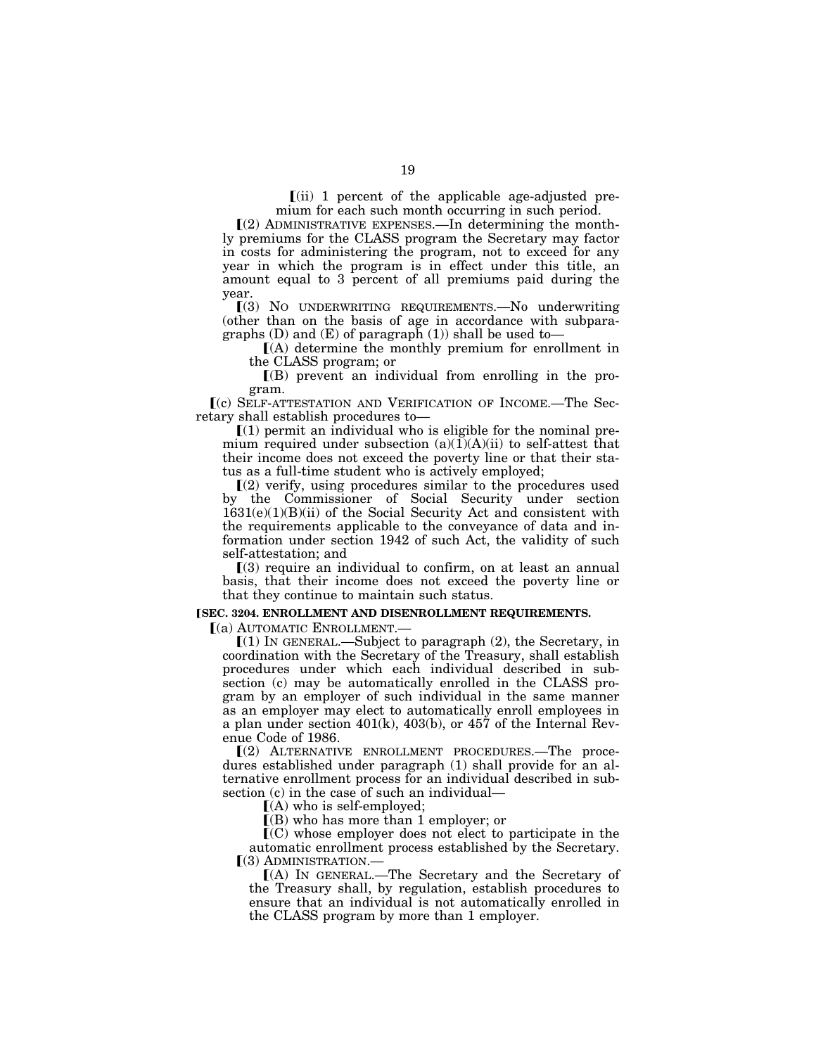$\lceil$ (ii) 1 percent of the applicable age-adjusted premium for each such month occurring in such period.

 $(2)$  ADMINISTRATIVE EXPENSES.—In determining the monthly premiums for the CLASS program the Secretary may factor in costs for administering the program, not to exceed for any year in which the program is in effect under this title, an amount equal to 3 percent of all premiums paid during the year.

ø(3) NO UNDERWRITING REQUIREMENTS.—No underwriting (other than on the basis of age in accordance with subparagraphs  $(D)$  and  $(E)$  of paragraph  $(1)$ ) shall be used to-

 $(A)$  determine the monthly premium for enrollment in the CLASS program; or

 $\Gamma(B)$  prevent an individual from enrolling in the program.

ø(c) SELF-ATTESTATION AND VERIFICATION OF INCOME.—The Secretary shall establish procedures to—

 $(1)$  permit an individual who is eligible for the nominal premium required under subsection  $(a)(1)(A)(ii)$  to self-attest that their income does not exceed the poverty line or that their status as a full-time student who is actively employed;

 $(2)$  verify, using procedures similar to the procedures used by the Commissioner of Social Security under section 1631(e)(1)(B)(ii) of the Social Security Act and consistent with the requirements applicable to the conveyance of data and information under section 1942 of such Act, the validity of such self-attestation; and

 $(3)$  require an individual to confirm, on at least an annual basis, that their income does not exceed the poverty line or that they continue to maintain such status.

## **[SEC. 3204. ENROLLMENT AND DISENROLLMENT REQUIREMENTS.**

ø(a) AUTOMATIC ENROLLMENT.—

 $[(1)$  IN GENERAL.—Subject to paragraph  $(2)$ , the Secretary, in coordination with the Secretary of the Treasury, shall establish procedures under which each individual described in subsection (c) may be automatically enrolled in the CLASS program by an employer of such individual in the same manner as an employer may elect to automatically enroll employees in a plan under section 401(k), 403(b), or 457 of the Internal Revenue Code of 1986.

ø(2) ALTERNATIVE ENROLLMENT PROCEDURES.—The procedures established under paragraph (1) shall provide for an alternative enrollment process for an individual described in subsection (c) in the case of such an individual—

 $[(A)$  who is self-employed;

ø(B) who has more than 1 employer; or

 $(C)$  whose employer does not elect to participate in the automatic enrollment process established by the Secretary.  $(3)$  ADMINISTRATION. $-$ 

ø(A) IN GENERAL.—The Secretary and the Secretary of the Treasury shall, by regulation, establish procedures to ensure that an individual is not automatically enrolled in the CLASS program by more than 1 employer.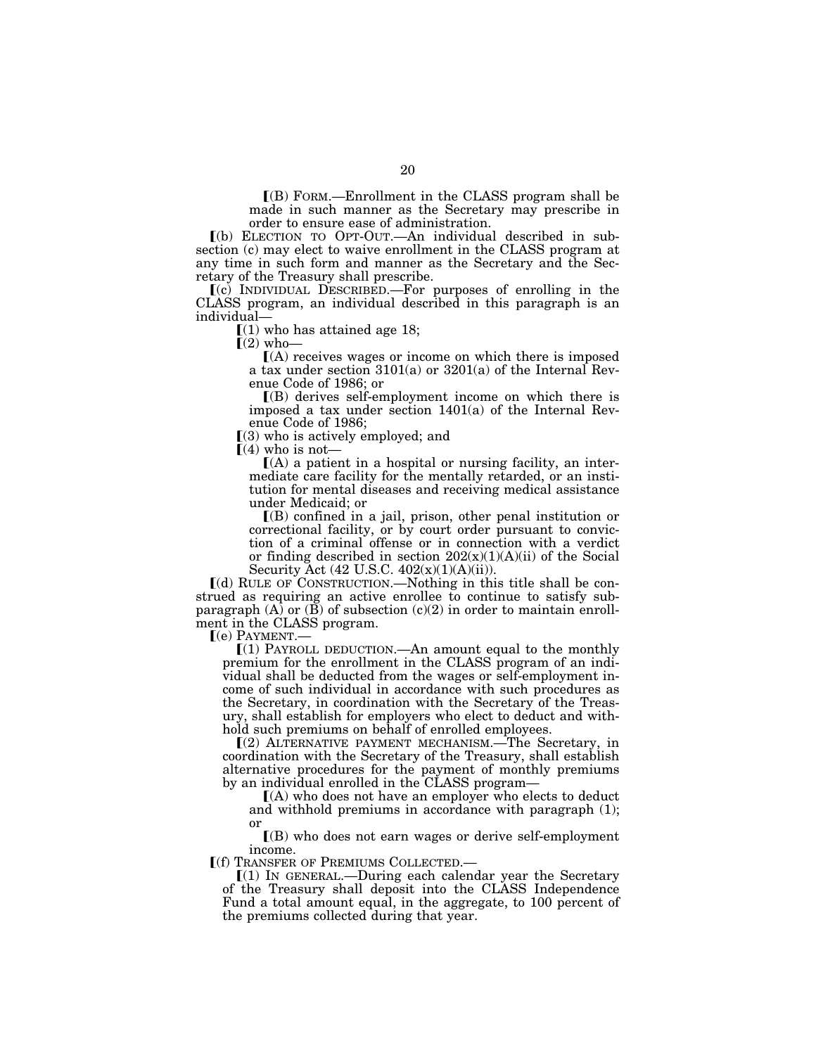ø(B) FORM.—Enrollment in the CLASS program shall be made in such manner as the Secretary may prescribe in order to ensure ease of administration.

ø(b) ELECTION TO OPT-OUT.—An individual described in subsection (c) may elect to waive enrollment in the CLASS program at any time in such form and manner as the Secretary and the Secretary of the Treasury shall prescribe.

ø(c) INDIVIDUAL DESCRIBED.—For purposes of enrolling in the CLASS program, an individual described in this paragraph is an individual—

 $(1)$  who has attained age 18;

 $\Gamma(2)$  who-

ø(A) receives wages or income on which there is imposed a tax under section 3101(a) or 3201(a) of the Internal Revenue Code of 1986; or

 $($ B) derives self-employment income on which there is imposed a tax under section 1401(a) of the Internal Revenue Code of 1986;

 $(3)$  who is actively employed; and

 $(4)$  who is not-

 $(A)$  a patient in a hospital or nursing facility, an intermediate care facility for the mentally retarded, or an institution for mental diseases and receiving medical assistance under Medicaid; or

 $\Gamma(B)$  confined in a jail, prison, other penal institution or correctional facility, or by court order pursuant to conviction of a criminal offense or in connection with a verdict or finding described in section  $202(x)(1)(A)(ii)$  of the Social

Security Act (42 U.S.C.  $402(x)(1)(A)(ii)$ ).<br>
[(d) RULE OF CONSTRUCTION.—Nothing in this title shall be construed as requiring an active enrollee to continue to satisfy subparagraph  $(A)$  or  $(\overline{B})$  of subsection  $(c)(2)$  in order to maintain enrollment in the CLASS program.

 $(e)$  PAYMENT.

 $(1)$  PAYROLL DEDUCTION.—An amount equal to the monthly premium for the enrollment in the CLASS program of an individual shall be deducted from the wages or self-employment income of such individual in accordance with such procedures as the Secretary, in coordination with the Secretary of the Treasury, shall establish for employers who elect to deduct and withhold such premiums on behalf of enrolled employees.

ø(2) ALTERNATIVE PAYMENT MECHANISM.—The Secretary, in coordination with the Secretary of the Treasury, shall establish alternative procedures for the payment of monthly premiums by an individual enrolled in the CLASS program—

 $(A)$  who does not have an employer who elects to deduct and withhold premiums in accordance with paragraph (1); or

 $($ B) who does not earn wages or derive self-employment income.

ø(f) TRANSFER OF PREMIUMS COLLECTED.—

 $(1)$  In GENERAL.—During each calendar year the Secretary of the Treasury shall deposit into the CLASS Independence Fund a total amount equal, in the aggregate, to 100 percent of the premiums collected during that year.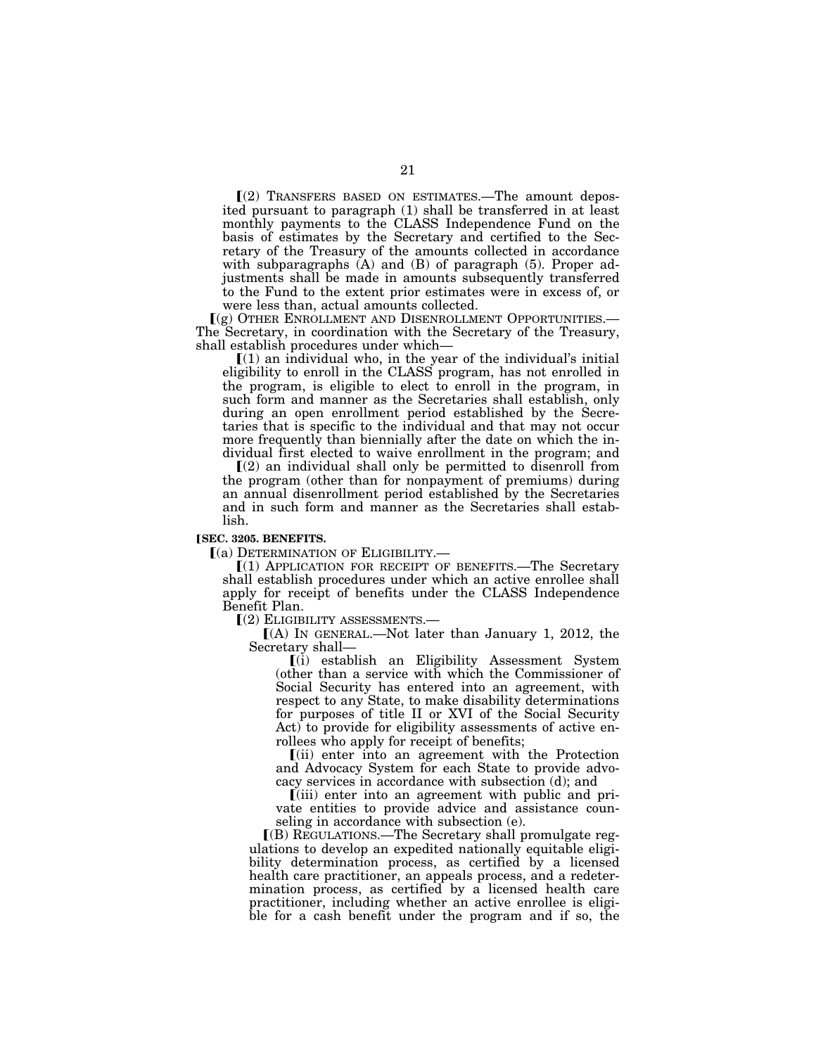$(2)$  TRANSFERS BASED ON ESTIMATES. The amount deposited pursuant to paragraph (1) shall be transferred in at least monthly payments to the CLASS Independence Fund on the basis of estimates by the Secretary and certified to the Secretary of the Treasury of the amounts collected in accordance with subparagraphs  $(A)$  and  $(B)$  of paragraph  $(5)$ . Proper adjustments shall be made in amounts subsequently transferred to the Fund to the extent prior estimates were in excess of, or were less than, actual amounts collected.

ø(g) OTHER ENROLLMENT AND DISENROLLMENT OPPORTUNITIES.— The Secretary, in coordination with the Secretary of the Treasury, shall establish procedures under which—

 $(1)$  an individual who, in the year of the individual's initial eligibility to enroll in the CLASS program, has not enrolled in the program, is eligible to elect to enroll in the program, in such form and manner as the Secretaries shall establish, only during an open enrollment period established by the Secretaries that is specific to the individual and that may not occur more frequently than biennially after the date on which the individual first elected to waive enrollment in the program; and

 $(2)$  an individual shall only be permitted to disenroll from the program (other than for nonpayment of premiums) during an annual disenrollment period established by the Secretaries and in such form and manner as the Secretaries shall establish.

#### ø**SEC. 3205. BENEFITS.**

ø(a) DETERMINATION OF ELIGIBILITY.—

 $(1)$  APPLICATION FOR RECEIPT OF BENEFITS.—The Secretary shall establish procedures under which an active enrollee shall apply for receipt of benefits under the CLASS Independence Benefit Plan.

 $(2)$  ELIGIBILITY ASSESSMENTS.—

 $(A)$  In GENERAL.—Not later than January 1, 2012, the Secretary shall—

 $(i)$  establish an Eligibility Assessment System (other than a service with which the Commissioner of Social Security has entered into an agreement, with respect to any State, to make disability determinations for purposes of title II or XVI of the Social Security Act) to provide for eligibility assessments of active enrollees who apply for receipt of benefits;

ø(ii) enter into an agreement with the Protection and Advocacy System for each State to provide advocacy services in accordance with subsection (d); and

ø(iii) enter into an agreement with public and private entities to provide advice and assistance counseling in accordance with subsection (e).

ø(B) REGULATIONS.—The Secretary shall promulgate regulations to develop an expedited nationally equitable eligibility determination process, as certified by a licensed health care practitioner, an appeals process, and a redetermination process, as certified by a licensed health care practitioner, including whether an active enrollee is eligible for a cash benefit under the program and if so, the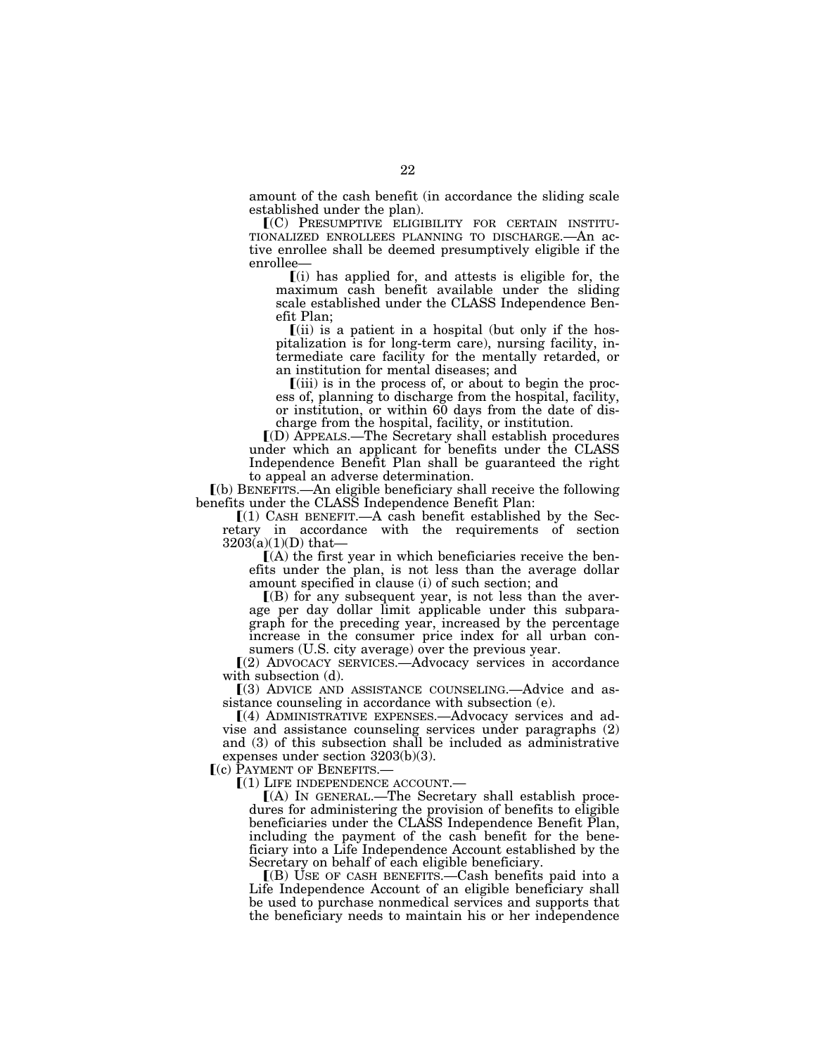amount of the cash benefit (in accordance the sliding scale

established under the plan).<br>
[(C) PRESUMPTIVE ELIGIBILITY FOR CERTAIN INSTITU-TIONALIZED ENROLLEES PLANNING TO DISCHARGE. An active enrollee shall be deemed presumptively eligible if the enrollee—

 $(i)$  has applied for, and attests is eligible for, the maximum cash benefit available under the sliding scale established under the CLASS Independence Benefit Plan;

 $\left[$ (ii) is a patient in a hospital (but only if the hospitalization is for long-term care), nursing facility, intermediate care facility for the mentally retarded, or an institution for mental diseases; and

 $\lceil$ (iii) is in the process of, or about to begin the process of, planning to discharge from the hospital, facility, or institution, or within 60 days from the date of discharge from the hospital, facility, or institution.

ø(D) APPEALS.—The Secretary shall establish procedures under which an applicant for benefits under the CLASS Independence Benefit Plan shall be guaranteed the right to appeal an adverse determination.

ø(b) BENEFITS.—An eligible beneficiary shall receive the following benefits under the CLASS Independence Benefit Plan:

 $\Gamma(1)$  CASH BENEFIT.—A cash benefit established by the Secretary in accordance with the requirements of section  $3203(a)(1)(D)$  that—

 $(A)$  the first year in which beneficiaries receive the benefits under the plan, is not less than the average dollar amount specified in clause (i) of such section; and

 $(6)$  for any subsequent year, is not less than the average per day dollar limit applicable under this subparagraph for the preceding year, increased by the percentage increase in the consumer price index for all urban consumers (U.S. city average) over the previous year.

ø(2) ADVOCACY SERVICES.—Advocacy services in accordance with subsection (d).

ø(3) ADVICE AND ASSISTANCE COUNSELING.—Advice and assistance counseling in accordance with subsection (e).

 $(4)$  ADMINISTRATIVE EXPENSES.—Advocacy services and advise and assistance counseling services under paragraphs (2) and (3) of this subsection shall be included as administrative expenses under section 3203(b)(3).

ø(c) PAYMENT OF BENEFITS.—

 $(1)$  LIFE INDEPENDENCE ACCOUNT.—

ø(A) IN GENERAL.—The Secretary shall establish procedures for administering the provision of benefits to eligible beneficiaries under the CLASS Independence Benefit Plan, including the payment of the cash benefit for the beneficiary into a Life Independence Account established by the Secretary on behalf of each eligible beneficiary.

 $($ B) USE OF CASH BENEFITS.—Cash benefits paid into a Life Independence Account of an eligible beneficiary shall be used to purchase nonmedical services and supports that the beneficiary needs to maintain his or her independence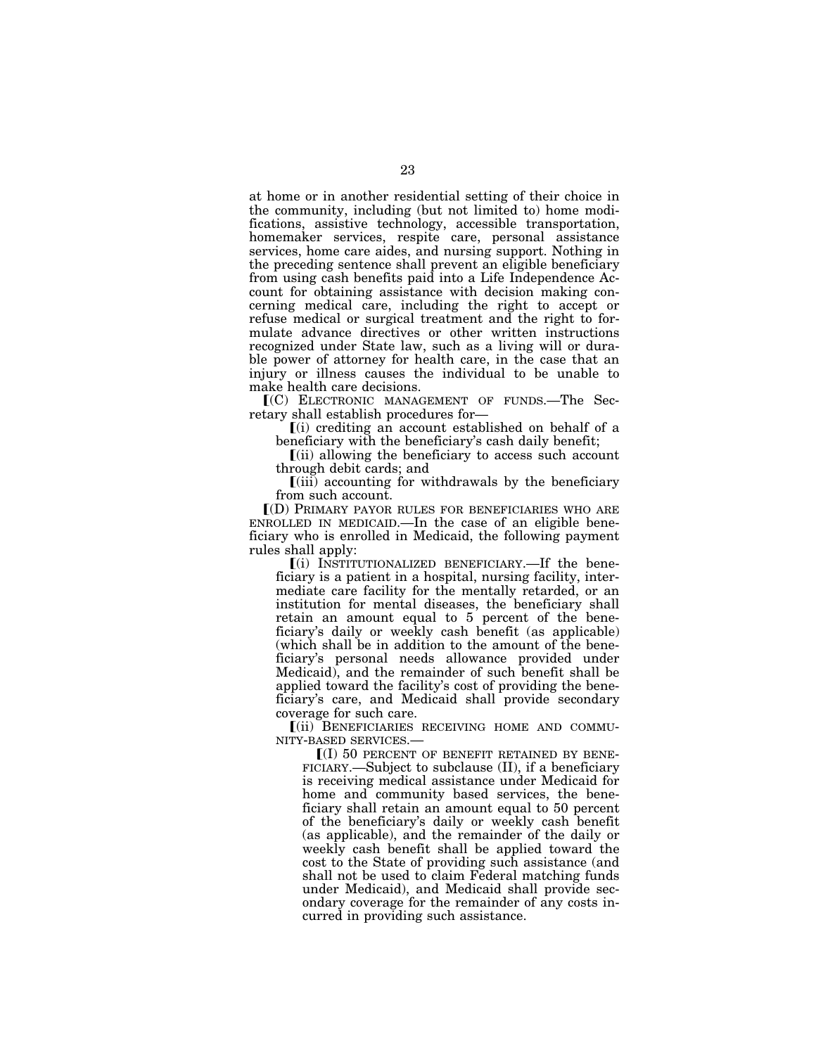at home or in another residential setting of their choice in the community, including (but not limited to) home modifications, assistive technology, accessible transportation, homemaker services, respite care, personal assistance services, home care aides, and nursing support. Nothing in the preceding sentence shall prevent an eligible beneficiary from using cash benefits paid into a Life Independence Account for obtaining assistance with decision making concerning medical care, including the right to accept or refuse medical or surgical treatment and the right to formulate advance directives or other written instructions recognized under State law, such as a living will or durable power of attorney for health care, in the case that an injury or illness causes the individual to be unable to make health care decisions.

ø(C) ELECTRONIC MANAGEMENT OF FUNDS.—The Secretary shall establish procedures for—

 $(i)$  crediting an account established on behalf of a beneficiary with the beneficiary's cash daily benefit;

ø(ii) allowing the beneficiary to access such account through debit cards; and

 $(iii)$  accounting for withdrawals by the beneficiary from such account.

ø(D) PRIMARY PAYOR RULES FOR BENEFICIARIES WHO ARE ENROLLED IN MEDICAID.—In the case of an eligible beneficiary who is enrolled in Medicaid, the following payment rules shall apply:

ø(i) INSTITUTIONALIZED BENEFICIARY.—If the beneficiary is a patient in a hospital, nursing facility, intermediate care facility for the mentally retarded, or an institution for mental diseases, the beneficiary shall retain an amount equal to 5 percent of the beneficiary's daily or weekly cash benefit (as applicable) (which shall be in addition to the amount of the beneficiary's personal needs allowance provided under Medicaid), and the remainder of such benefit shall be applied toward the facility's cost of providing the beneficiary's care, and Medicaid shall provide secondary coverage for such care.

ø(ii) BENEFICIARIES RECEIVING HOME AND COMMU-NITY-BASED SERVICES.—

ø(I) 50 PERCENT OF BENEFIT RETAINED BY BENE-FICIARY.—Subject to subclause (II), if a beneficiary is receiving medical assistance under Medicaid for home and community based services, the beneficiary shall retain an amount equal to 50 percent of the beneficiary's daily or weekly cash benefit (as applicable), and the remainder of the daily or weekly cash benefit shall be applied toward the cost to the State of providing such assistance (and shall not be used to claim Federal matching funds under Medicaid), and Medicaid shall provide secondary coverage for the remainder of any costs incurred in providing such assistance.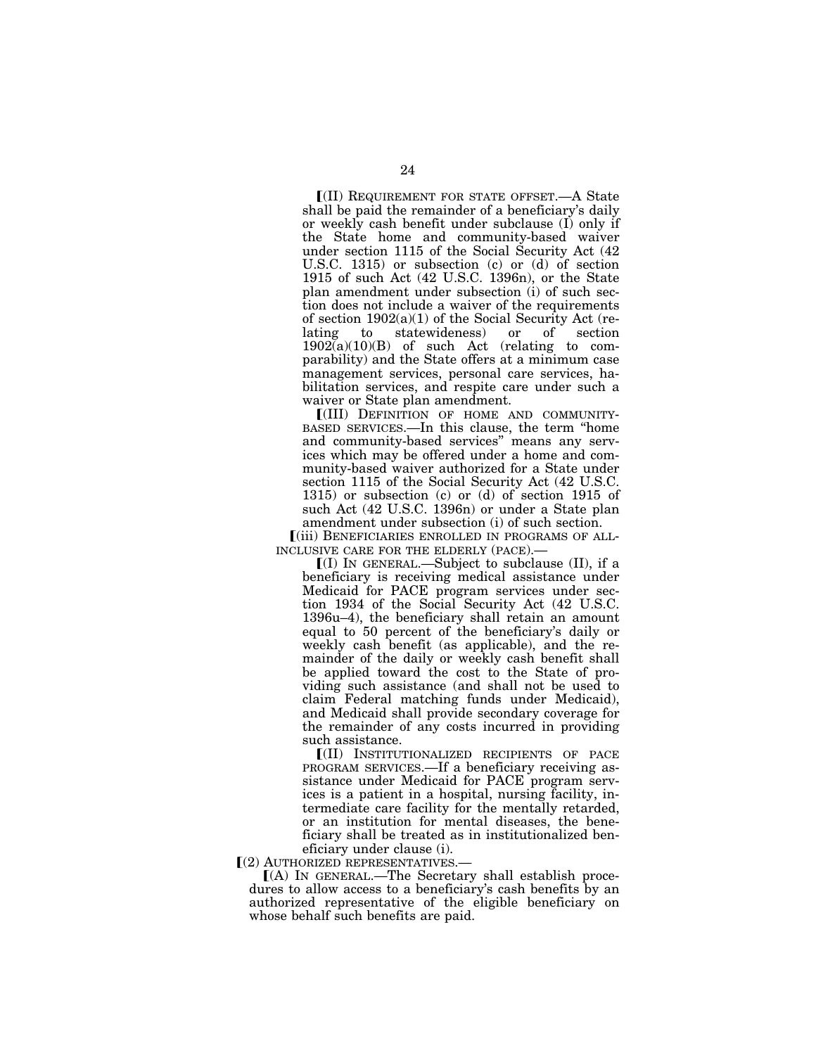ø(II) REQUIREMENT FOR STATE OFFSET.—A State shall be paid the remainder of a beneficiary's daily or weekly cash benefit under subclause (I) only if the State home and community-based waiver under section 1115 of the Social Security Act (42 U.S.C. 1315) or subsection (c) or (d) of section 1915 of such Act (42 U.S.C. 1396n), or the State plan amendment under subsection (i) of such section does not include a waiver of the requirements of section  $1902(a)(1)$  of the Social Security Act (relating to statewideness) or of section  $1902(a)(10)(B)$  of such Act (relating to comparability) and the State offers at a minimum case management services, personal care services, habilitation services, and respite care under such a waiver or State plan amendment.

ø(III) DEFINITION OF HOME AND COMMUNITY-BASED SERVICES.—In this clause, the term ''home and community-based services'' means any services which may be offered under a home and community-based waiver authorized for a State under section 1115 of the Social Security Act (42 U.S.C. 1315) or subsection (c) or (d) of section 1915 of such Act (42 U.S.C. 1396n) or under a State plan amendment under subsection (i) of such section.

ø(iii) BENEFICIARIES ENROLLED IN PROGRAMS OF ALL-INCLUSIVE CARE FOR THE ELDERLY (PACE).—

 $I(U)$  In GENERAL.—Subject to subclause  $(II)$ , if a beneficiary is receiving medical assistance under Medicaid for PACE program services under section 1934 of the Social Security Act (42 U.S.C. 1396u–4), the beneficiary shall retain an amount equal to 50 percent of the beneficiary's daily or weekly cash benefit (as applicable), and the remainder of the daily or weekly cash benefit shall be applied toward the cost to the State of providing such assistance (and shall not be used to claim Federal matching funds under Medicaid), and Medicaid shall provide secondary coverage for the remainder of any costs incurred in providing such assistance.

ø(II) INSTITUTIONALIZED RECIPIENTS OF PACE PROGRAM SERVICES.—If a beneficiary receiving assistance under Medicaid for PACE program services is a patient in a hospital, nursing facility, intermediate care facility for the mentally retarded, or an institution for mental diseases, the beneficiary shall be treated as in institutionalized beneficiary under clause (i).

ø(2) AUTHORIZED REPRESENTATIVES.—

 $(A)$  In GENERAL.—The Secretary shall establish procedures to allow access to a beneficiary's cash benefits by an authorized representative of the eligible beneficiary on whose behalf such benefits are paid.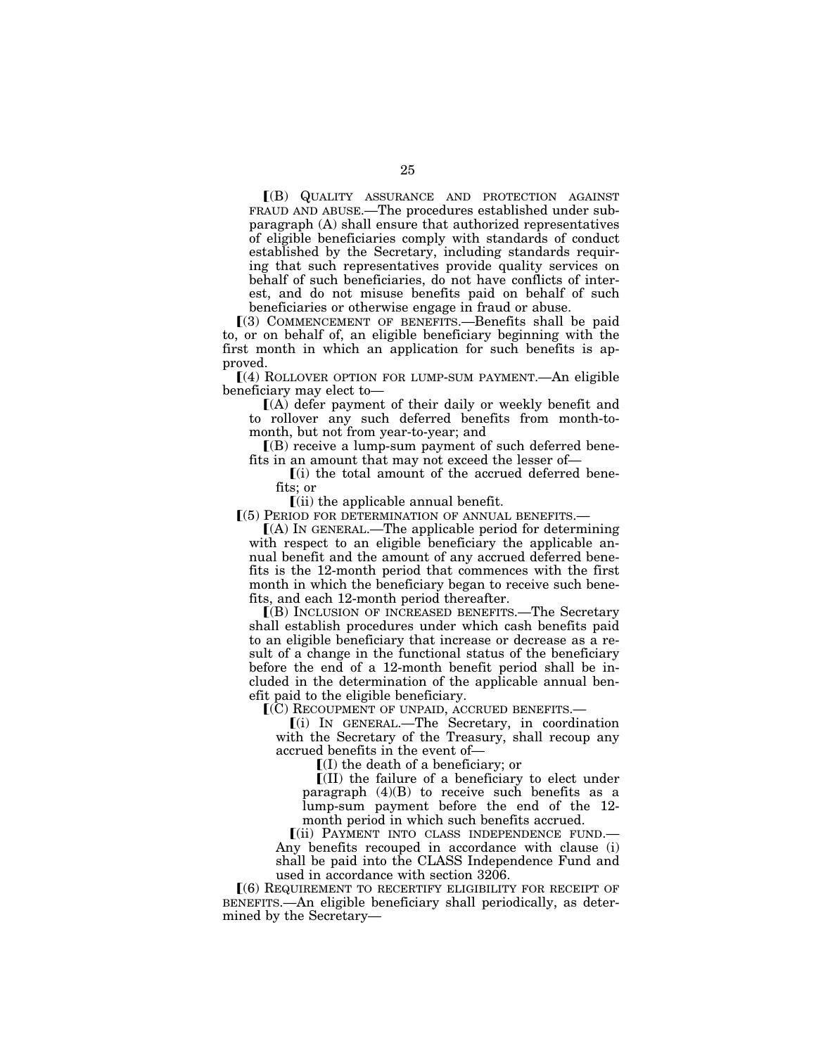ø(B) QUALITY ASSURANCE AND PROTECTION AGAINST FRAUD AND ABUSE.—The procedures established under subparagraph (A) shall ensure that authorized representatives of eligible beneficiaries comply with standards of conduct established by the Secretary, including standards requiring that such representatives provide quality services on behalf of such beneficiaries, do not have conflicts of interest, and do not misuse benefits paid on behalf of such beneficiaries or otherwise engage in fraud or abuse.

ø(3) COMMENCEMENT OF BENEFITS.—Benefits shall be paid to, or on behalf of, an eligible beneficiary beginning with the first month in which an application for such benefits is approved.

ø(4) ROLLOVER OPTION FOR LUMP-SUM PAYMENT.—An eligible beneficiary may elect to—

 $I(A)$  defer payment of their daily or weekly benefit and to rollover any such deferred benefits from month-tomonth, but not from year-to-year; and

 $\Gamma(B)$  receive a lump-sum payment of such deferred benefits in an amount that may not exceed the lesser of—

 $(i)$  the total amount of the accrued deferred benefits; or

 $\lceil$ (ii) the applicable annual benefit.

ø(5) PERIOD FOR DETERMINATION OF ANNUAL BENEFITS.—

 $(A)$  IN GENERAL.—The applicable period for determining with respect to an eligible beneficiary the applicable annual benefit and the amount of any accrued deferred benefits is the 12-month period that commences with the first month in which the beneficiary began to receive such benefits, and each 12-month period thereafter.

ø(B) INCLUSION OF INCREASED BENEFITS.—The Secretary shall establish procedures under which cash benefits paid to an eligible beneficiary that increase or decrease as a result of a change in the functional status of the beneficiary before the end of a 12-month benefit period shall be included in the determination of the applicable annual benefit paid to the eligible beneficiary.

ø(C) RECOUPMENT OF UNPAID, ACCRUED BENEFITS.—

ø(i) IN GENERAL.—The Secretary, in coordination with the Secretary of the Treasury, shall recoup any accrued benefits in the event of—

 $\P$ (I) the death of a beneficiary; or

 $\llbracket$ (II) the failure of a beneficiary to elect under paragraph (4)(B) to receive such benefits as a lump-sum payment before the end of the 12 month period in which such benefits accrued.

ø(ii) PAYMENT INTO CLASS INDEPENDENCE FUND.— Any benefits recouped in accordance with clause (i) shall be paid into the CLASS Independence Fund and used in accordance with section 3206.

ø(6) REQUIREMENT TO RECERTIFY ELIGIBILITY FOR RECEIPT OF BENEFITS.—An eligible beneficiary shall periodically, as determined by the Secretary—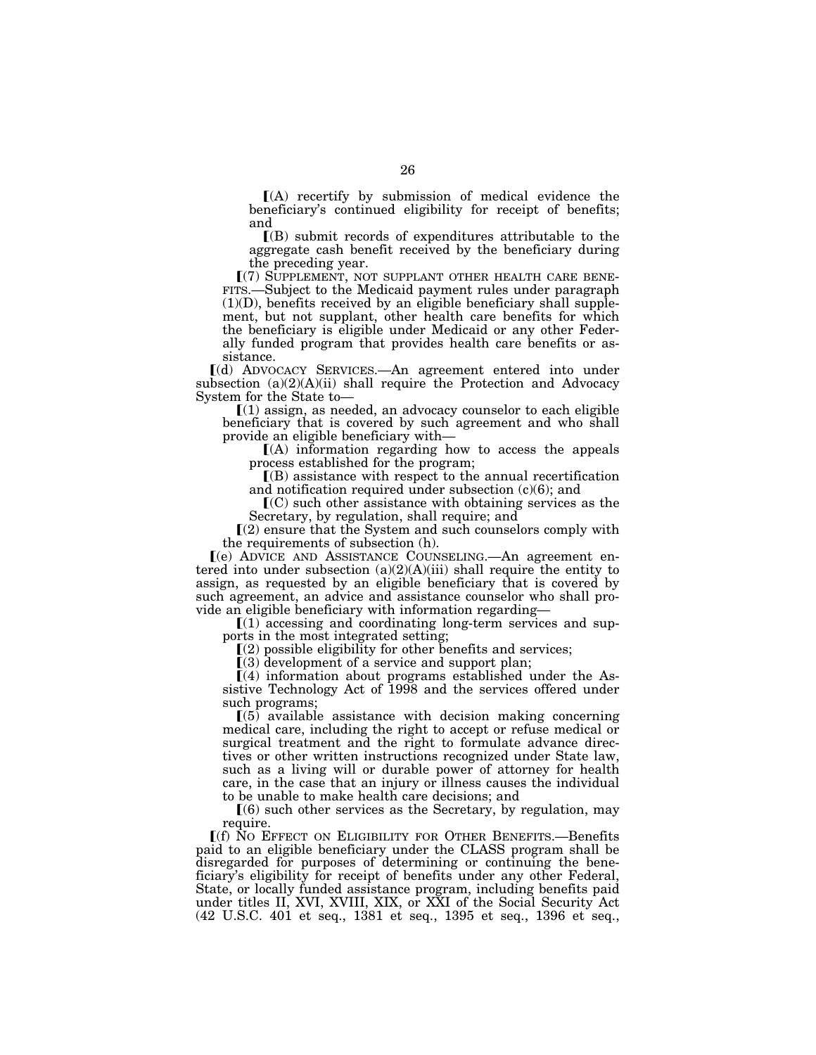$f(A)$  recertify by submission of medical evidence the beneficiary's continued eligibility for receipt of benefits; and

 $($ B) submit records of expenditures attributable to the aggregate cash benefit received by the beneficiary during the preceding year.

<sup>ø</sup>(7) SUPPLEMENT, NOT SUPPLANT OTHER HEALTH CARE BENE- FITS.—Subject to the Medicaid payment rules under paragraph (1)(D), benefits received by an eligible beneficiary shall supplement, but not supplant, other health care benefits for which the beneficiary is eligible under Medicaid or any other Federally funded program that provides health care benefits or assistance.

ø(d) ADVOCACY SERVICES.—An agreement entered into under subsection  $(a)(2)(A)(ii)$  shall require the Protection and Advocacy System for the State to—

 $(1)$  assign, as needed, an advocacy counselor to each eligible beneficiary that is covered by such agreement and who shall provide an eligible beneficiary with—

 $(A)$  information regarding how to access the appeals process established for the program;

 $($ B) assistance with respect to the annual recertification and notification required under subsection (c)(6); and

 $\mathcal{I}(C)$  such other assistance with obtaining services as the Secretary, by regulation, shall require; and

 $(2)$  ensure that the System and such counselors comply with the requirements of subsection (h).

ø(e) ADVICE AND ASSISTANCE COUNSELING.—An agreement entered into under subsection  $(a)(2)(A)(iii)$  shall require the entity to assign, as requested by an eligible beneficiary that is covered by such agreement, an advice and assistance counselor who shall provide an eligible beneficiary with information regarding—

 $(1)$  accessing and coordinating long-term services and supports in the most integrated setting;

 $(2)$  possible eligibility for other benefits and services;

 $(3)$  development of a service and support plan;

 $(4)$  information about programs established under the Assistive Technology Act of 1998 and the services offered under such programs;

 $(5)$  available assistance with decision making concerning medical care, including the right to accept or refuse medical or surgical treatment and the right to formulate advance directives or other written instructions recognized under State law, such as a living will or durable power of attorney for health care, in the case that an injury or illness causes the individual to be unable to make health care decisions; and

 $(6)$  such other services as the Secretary, by regulation, may require.

ø(f) NO EFFECT ON ELIGIBILITY FOR OTHER BENEFITS.—Benefits paid to an eligible beneficiary under the CLASS program shall be disregarded for purposes of determining or continuing the beneficiary's eligibility for receipt of benefits under any other Federal, State, or locally funded assistance program, including benefits paid under titles II, XVI, XVIII, XIX, or XXI of the Social Security Act (42 U.S.C. 401 et seq., 1381 et seq., 1395 et seq., 1396 et seq.,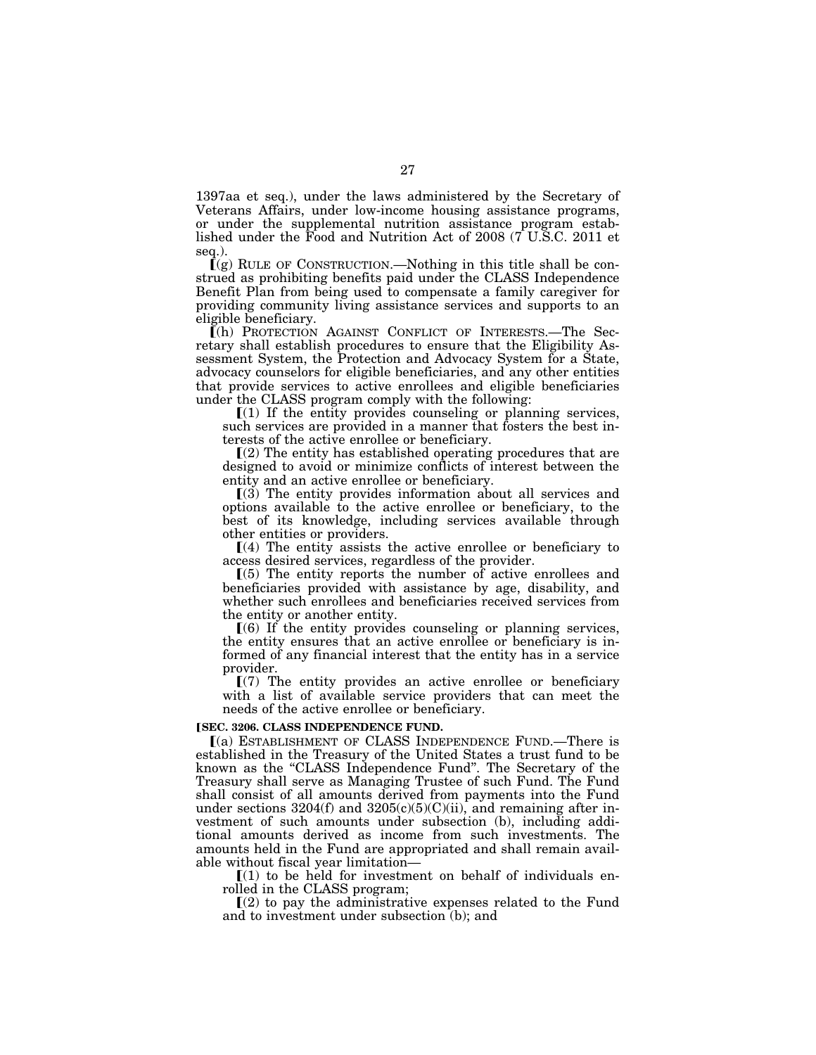1397aa et seq.), under the laws administered by the Secretary of Veterans Affairs, under low-income housing assistance programs, or under the supplemental nutrition assistance program established under the Food and Nutrition Act of 2008 (7 U.S.C. 2011 et seq.).

 $\overline{I}(g)$  RULE OF CONSTRUCTION.—Nothing in this title shall be construed as prohibiting benefits paid under the CLASS Independence Benefit Plan from being used to compensate a family caregiver for providing community living assistance services and supports to an eligible beneficiary.

ø(h) PROTECTION AGAINST CONFLICT OF INTERESTS.—The Secretary shall establish procedures to ensure that the Eligibility Assessment System, the Protection and Advocacy System for a State, advocacy counselors for eligible beneficiaries, and any other entities that provide services to active enrollees and eligible beneficiaries under the CLASS program comply with the following:

 $(1)$  If the entity provides counseling or planning services, such services are provided in a manner that fosters the best interests of the active enrollee or beneficiary.

 $(2)$  The entity has established operating procedures that are designed to avoid or minimize conflicts of interest between the entity and an active enrollee or beneficiary.

ø(3) The entity provides information about all services and options available to the active enrollee or beneficiary, to the best of its knowledge, including services available through other entities or providers.

 $(4)$  The entity assists the active enrollee or beneficiary to access desired services, regardless of the provider.

ø(5) The entity reports the number of active enrollees and beneficiaries provided with assistance by age, disability, and whether such enrollees and beneficiaries received services from the entity or another entity.

 $(6)$  If the entity provides counseling or planning services, the entity ensures that an active enrollee or beneficiary is informed of any financial interest that the entity has in a service provider.

 $(7)$  The entity provides an active enrollee or beneficiary with a list of available service providers that can meet the needs of the active enrollee or beneficiary.

## **[SEC. 3206. CLASS INDEPENDENCE FUND.**

ø(a) ESTABLISHMENT OF CLASS INDEPENDENCE FUND.—There is established in the Treasury of the United States a trust fund to be known as the "CLASS Independence Fund". The Secretary of the Treasury shall serve as Managing Trustee of such Fund. The Fund shall consist of all amounts derived from payments into the Fund under sections  $3204(f)$  and  $3205(c)(5)(C)(ii)$ , and remaining after investment of such amounts under subsection (b), including additional amounts derived as income from such investments. The amounts held in the Fund are appropriated and shall remain available without fiscal year limitation—

 $\Gamma(1)$  to be held for investment on behalf of individuals enrolled in the CLASS program;

 $\Gamma(2)$  to pay the administrative expenses related to the Fund and to investment under subsection (b); and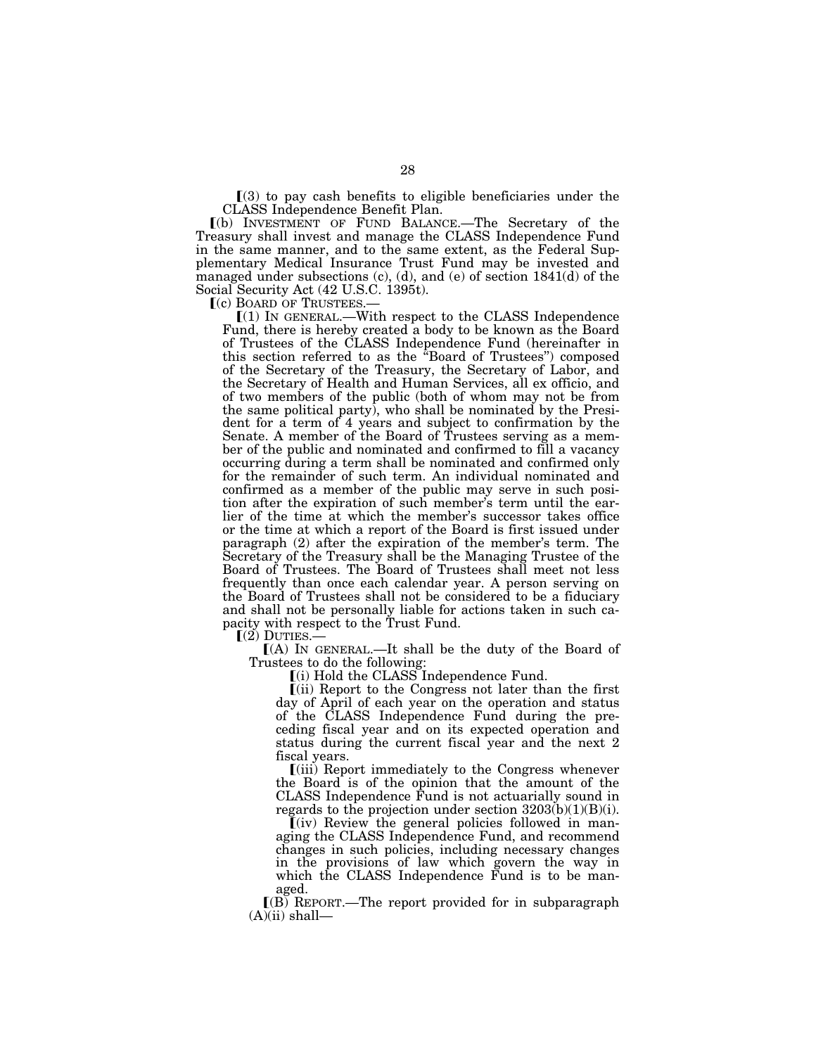$(3)$  to pay cash benefits to eligible beneficiaries under the CLASS Independence Benefit Plan.

ø(b) INVESTMENT OF FUND BALANCE.—The Secretary of the Treasury shall invest and manage the CLASS Independence Fund in the same manner, and to the same extent, as the Federal Supplementary Medical Insurance Trust Fund may be invested and managed under subsections (c), (d), and (e) of section 1841(d) of the Social Security Act (42 U.S.C. 1395t).<br>
[(c) BOARD OF TRUSTEES.—

 $(1)$  In GENERAL.—With respect to the CLASS Independence Fund, there is hereby created a body to be known as the Board of Trustees of the CLASS Independence Fund (hereinafter in this section referred to as the ''Board of Trustees'') composed of the Secretary of the Treasury, the Secretary of Labor, and the Secretary of Health and Human Services, all ex officio, and of two members of the public (both of whom may not be from the same political party), who shall be nominated by the President for a term of 4 years and subject to confirmation by the Senate. A member of the Board of Trustees serving as a member of the public and nominated and confirmed to fill a vacancy occurring during a term shall be nominated and confirmed only for the remainder of such term. An individual nominated and confirmed as a member of the public may serve in such position after the expiration of such member's term until the earlier of the time at which the member's successor takes office or the time at which a report of the Board is first issued under paragraph (2) after the expiration of the member's term. The Secretary of the Treasury shall be the Managing Trustee of the Board of Trustees. The Board of Trustees shall meet not less frequently than once each calendar year. A person serving on the Board of Trustees shall not be considered to be a fiduciary and shall not be personally liable for actions taken in such capacity with respect to the Trust Fund.

 $(2)$  DUTIES.-

 $(A)$  In GENERAL.—It shall be the duty of the Board of Trustees to do the following:

ø(i) Hold the CLASS Independence Fund.

 $(iii)$  Report to the Congress not later than the first day of April of each year on the operation and status of the CLASS Independence Fund during the preceding fiscal year and on its expected operation and status during the current fiscal year and the next 2 fiscal years.

ø(iii) Report immediately to the Congress whenever the Board is of the opinion that the amount of the CLASS Independence Fund is not actuarially sound in regards to the projection under section  $3203(b)(1)(B)(i)$ .

 $\tilde{I}$ (iv) Review the general policies followed in managing the CLASS Independence Fund, and recommend changes in such policies, including necessary changes in the provisions of law which govern the way in which the CLASS Independence Fund is to be managed.

 $\Gamma(B)$  REPORT.—The report provided for in subparagraph  $(A)(ii)$  shall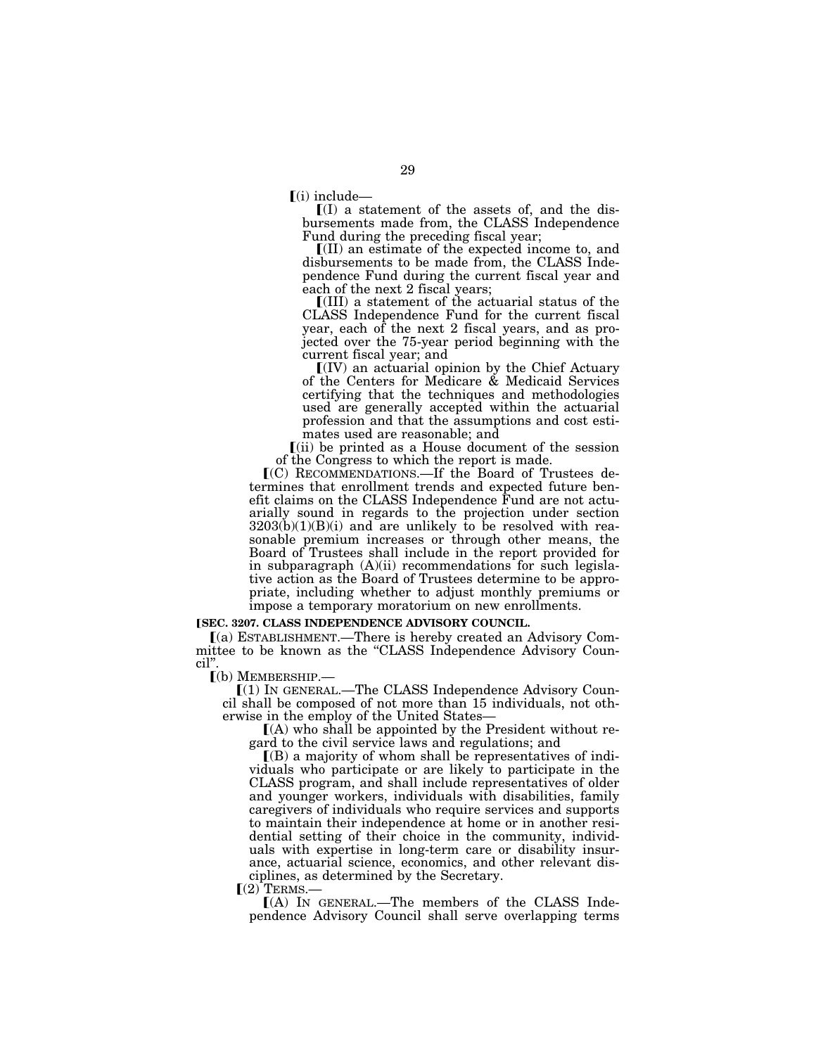$(i)$  include–

 $\left[$ (I) a statement of the assets of, and the disbursements made from, the CLASS Independence Fund during the preceding fiscal year;

ø(II) an estimate of the expected income to, and disbursements to be made from, the CLASS Independence Fund during the current fiscal year and each of the next 2 fiscal years;

 $\left[ \text{([III])}\right]$  a statement of the actuarial status of the CLASS Independence Fund for the current fiscal year, each of the next 2 fiscal years, and as projected over the 75-year period beginning with the current fiscal year; and

 $\Gamma(V)$  an actuarial opinion by the Chief Actuary of the Centers for Medicare & Medicaid Services certifying that the techniques and methodologies used are generally accepted within the actuarial profession and that the assumptions and cost estimates used are reasonable; and

 $(iii)$  be printed as a House document of the session of the Congress to which the report is made.

 $(C)$  RECOMMENDATIONS.—If the Board of Trustees determines that enrollment trends and expected future benefit claims on the CLASS Independence Fund are not actuarially sound in regards to the projection under section  $3203(b)(1)(B)(i)$  and are unlikely to be resolved with reasonable premium increases or through other means, the Board of Trustees shall include in the report provided for in subparagraph (A)(ii) recommendations for such legislative action as the Board of Trustees determine to be appropriate, including whether to adjust monthly premiums or impose a temporary moratorium on new enrollments.

#### **[SEC. 3207. CLASS INDEPENDENCE ADVISORY COUNCIL.**

ø(a) ESTABLISHMENT.—There is hereby created an Advisory Committee to be known as the "CLASS Independence Advisory Council''.

 $\lbrack$ (b) MEMBERSHIP.—<br> $\lbrack$ (1) IN GENERAL.—The CLASS Independence Advisory Council shall be composed of not more than 15 individuals, not otherwise in the employ of the United States—

 $[(A)$  who shall be appointed by the President without regard to the civil service laws and regulations; and

 $\Gamma(B)$  a majority of whom shall be representatives of individuals who participate or are likely to participate in the CLASS program, and shall include representatives of older and younger workers, individuals with disabilities, family caregivers of individuals who require services and supports to maintain their independence at home or in another residential setting of their choice in the community, individuals with expertise in long-term care or disability insurance, actuarial science, economics, and other relevant disciplines, as determined by the Secretary.

 $(2)$  TERMS.-

 $(A)$  In GENERAL.—The members of the CLASS Independence Advisory Council shall serve overlapping terms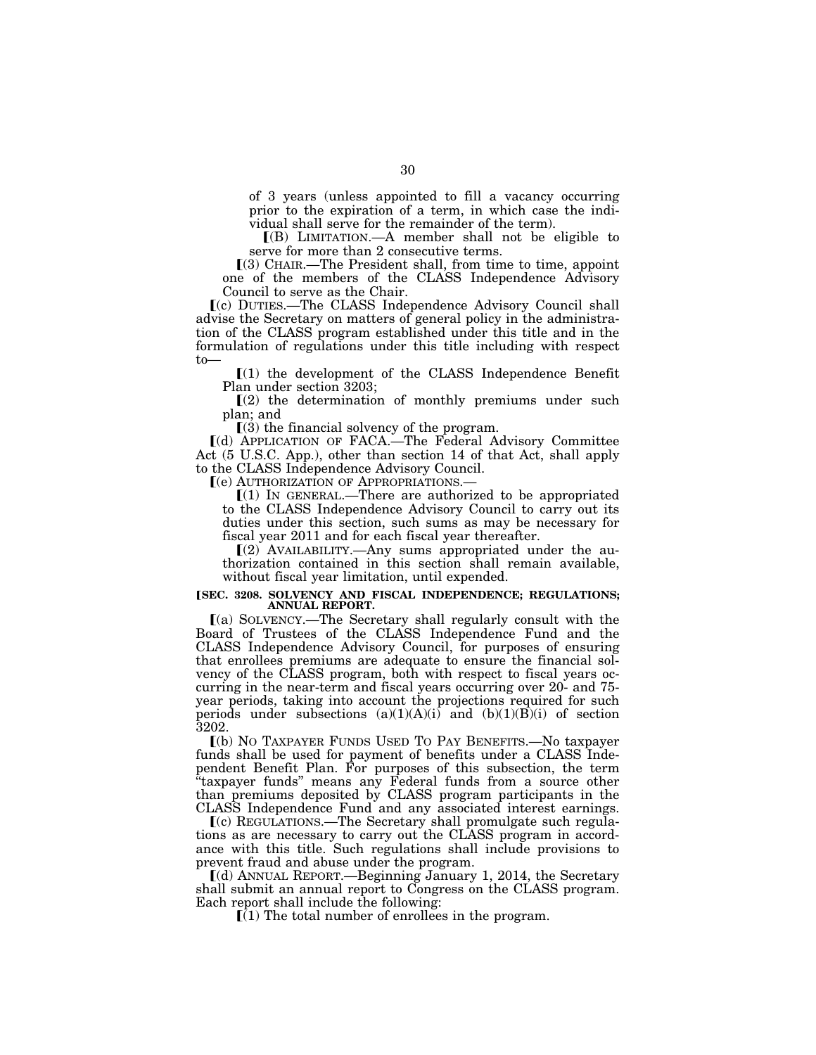of 3 years (unless appointed to fill a vacancy occurring prior to the expiration of a term, in which case the individual shall serve for the remainder of the term).

 $($ B) LIMITATION.—A member shall not be eligible to serve for more than 2 consecutive terms.

 $(3)$  CHAIR.—The President shall, from time to time, appoint one of the members of the CLASS Independence Advisory Council to serve as the Chair.

ø(c) DUTIES.—The CLASS Independence Advisory Council shall advise the Secretary on matters of general policy in the administration of the CLASS program established under this title and in the formulation of regulations under this title including with respect to—

 $(1)$  the development of the CLASS Independence Benefit Plan under section 3203;

 $(2)$  the determination of monthly premiums under such plan; and

 $(3)$  the financial solvency of the program.

ø(d) APPLICATION OF FACA.—The Federal Advisory Committee Act (5 U.S.C. App.), other than section 14 of that Act, shall apply to the CLASS Independence Advisory Council.

ø(e) AUTHORIZATION OF APPROPRIATIONS.—

 $(1)$  In GENERAL.—There are authorized to be appropriated to the CLASS Independence Advisory Council to carry out its duties under this section, such sums as may be necessary for fiscal year 2011 and for each fiscal year thereafter.

 $(2)$  AVAILABILITY.—Any sums appropriated under the authorization contained in this section shall remain available, without fiscal year limitation, until expended.

#### **[SEC. 3208. SOLVENCY AND FISCAL INDEPENDENCE; REGULATIONS; ANNUAL REPORT.**

ø(a) SOLVENCY.—The Secretary shall regularly consult with the Board of Trustees of the CLASS Independence Fund and the CLASS Independence Advisory Council, for purposes of ensuring that enrollees premiums are adequate to ensure the financial solvency of the CLASS program, both with respect to fiscal years occurring in the near-term and fiscal years occurring over 20- and 75 year periods, taking into account the projections required for such periods under subsections  $(a)(1)(A)(i)$  and  $(b)(1)(B)(i)$  of section 3202.

ø(b) NO TAXPAYER FUNDS USED TO PAY BENEFITS.—No taxpayer funds shall be used for payment of benefits under a CLASS Independent Benefit Plan. For purposes of this subsection, the term ''taxpayer funds'' means any Federal funds from a source other than premiums deposited by CLASS program participants in the

CLASS Independence Fund and any associated interest earnings. ø(c) REGULATIONS.—The Secretary shall promulgate such regulations as are necessary to carry out the CLASS program in accordance with this title. Such regulations shall include provisions to prevent fraud and abuse under the program.

ø(d) ANNUAL REPORT.—Beginning January 1, 2014, the Secretary shall submit an annual report to Congress on the CLASS program. Each report shall include the following:

 $\overline{[1]}$  The total number of enrollees in the program.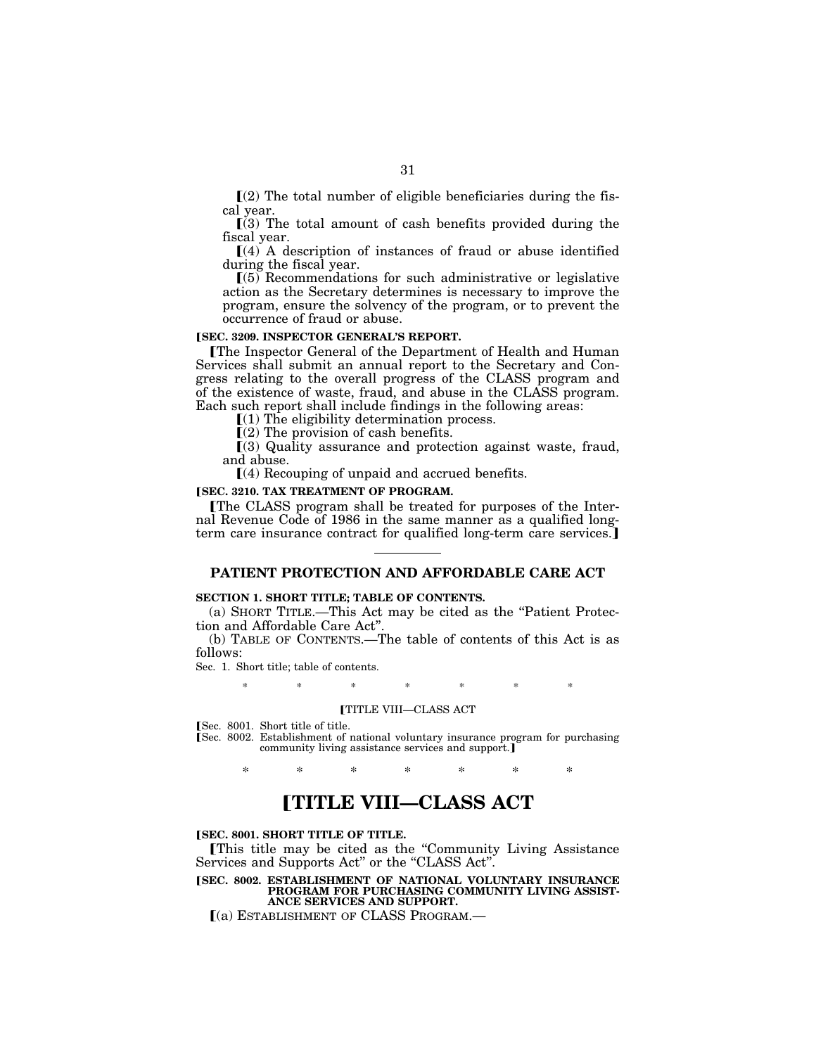$\Gamma(2)$  The total number of eligible beneficiaries during the fiscal year.

 $(3)$  The total amount of cash benefits provided during the fiscal year.

 $(4)$  A description of instances of fraud or abuse identified during the fiscal year.

 $(5)$  Recommendations for such administrative or legislative action as the Secretary determines is necessary to improve the program, ensure the solvency of the program, or to prevent the occurrence of fraud or abuse.

## **[SEC. 3209. INSPECTOR GENERAL'S REPORT.**

øThe Inspector General of the Department of Health and Human Services shall submit an annual report to the Secretary and Congress relating to the overall progress of the CLASS program and of the existence of waste, fraud, and abuse in the CLASS program. Each such report shall include findings in the following areas:

 $(1)$  The eligibility determination process.

 $(2)$  The provision of cash benefits.

 $(3)$  Quality assurance and protection against waste, fraud, and abuse.

 $(4)$  Recouping of unpaid and accrued benefits.

## **[SEC. 3210. TAX TREATMENT OF PROGRAM.**

øThe CLASS program shall be treated for purposes of the Internal Revenue Code of 1986 in the same manner as a qualified longterm care insurance contract for qualified long-term care services.

## **PATIENT PROTECTION AND AFFORDABLE CARE ACT**

#### **SECTION 1. SHORT TITLE; TABLE OF CONTENTS.**

(a) SHORT TITLE.—This Act may be cited as the ''Patient Protection and Affordable Care Act''.

(b) TABLE OF CONTENTS.—The table of contents of this Act is as follows:

Sec. 1. Short title; table of contents.

\* \* \* \* \* \* \* \*

#### øTITLE VIII—CLASS ACT

[Sec. 8001. Short title of title.

[Sec. 8002. Establishment of national voluntary insurance program for purchasing community living assistance services and support.]

\* \* \* \* \* \* \*

## ø**TITLE VIII—CLASS ACT**

## **[SEC. 8001. SHORT TITLE OF TITLE.**

øThis title may be cited as the ''Community Living Assistance Services and Supports Act" or the "CLASS Act".

## **[SEC. 8002. ESTABLISHMENT OF NATIONAL VOLUNTARY INSURANCE PROGRAM FOR PURCHASING COMMUNITY LIVING ASSIST-**

**ANCE SERVICES AND SUPPORT.** 

ø(a) ESTABLISHMENT OF CLASS PROGRAM.—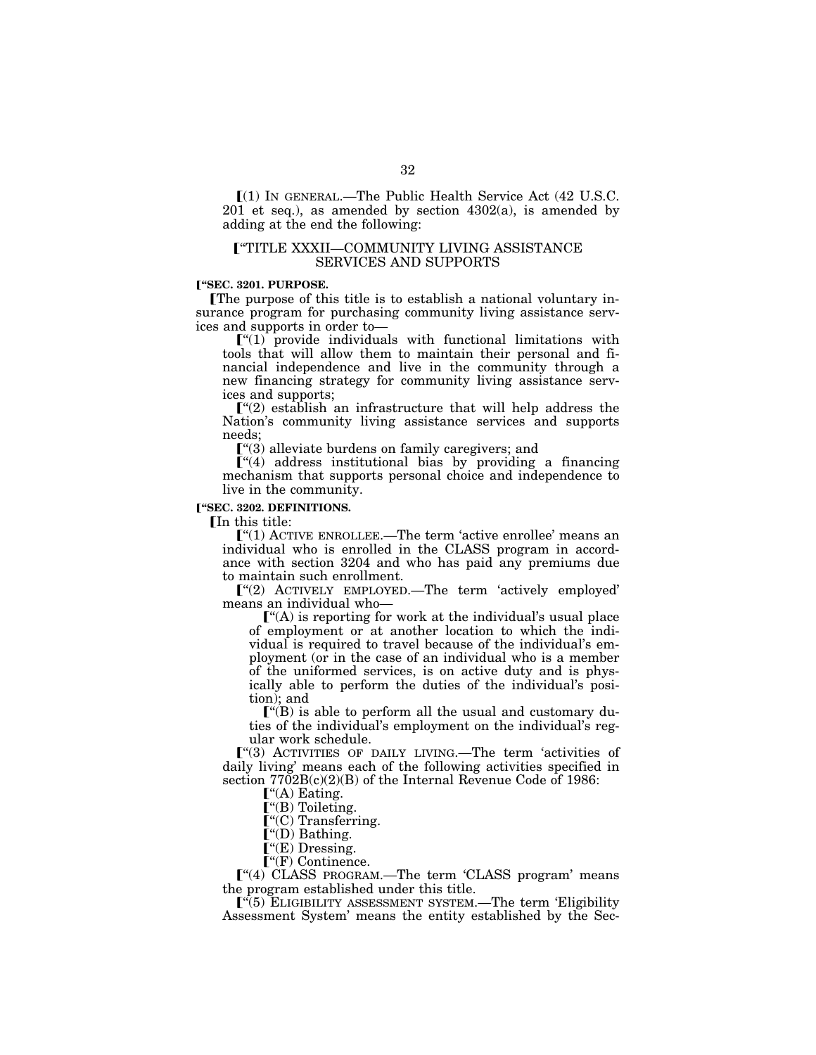$(1)$  In GENERAL.—The Public Health Service Act (42 U.S.C. 201 et seq.), as amended by section  $4302(a)$ , is amended by adding at the end the following:

## ø''TITLE XXXII—COMMUNITY LIVING ASSISTANCE SERVICES AND SUPPORTS

## ø**''SEC. 3201. PURPOSE.**

øThe purpose of this title is to establish a national voluntary insurance program for purchasing community living assistance services and supports in order to—

 $\lceil$  "(1) provide individuals with functional limitations with tools that will allow them to maintain their personal and financial independence and live in the community through a new financing strategy for community living assistance services and supports;

 $\llbracket$ <sup>"(2)</sup> establish an infrastructure that will help address the Nation's community living assistance services and supports needs;

 $\lbrack$  (43) alleviate burdens on family caregivers; and

 $\tilde{C}^{(4)}$  address institutional bias by providing a financing mechanism that supports personal choice and independence to live in the community.

## ø**''SEC. 3202. DEFINITIONS.**

In this title:

 $\lbrack$  (1) ACTIVE ENROLLEE.—The term 'active enrollee' means an individual who is enrolled in the CLASS program in accordance with section 3204 and who has paid any premiums due to maintain such enrollment.

 $\lbrack$  (2) ACTIVELY EMPLOYED.—The term 'actively employed' means an individual who—

 $\mathbb{I}^{\omega}(A)$  is reporting for work at the individual's usual place of employment or at another location to which the individual is required to travel because of the individual's employment (or in the case of an individual who is a member of the uniformed services, is on active duty and is physically able to perform the duties of the individual's position); and

 $\lceil$  "(B) is able to perform all the usual and customary duties of the individual's employment on the individual's regular work schedule.

ø''(3) ACTIVITIES OF DAILY LIVING.—The term 'activities of daily living' means each of the following activities specified in section  $7702B(c)(2)(B)$  of the Internal Revenue Code of 1986:

 $\mathbf{f}^{\prime\prime}(\mathbf{A})$  Eating.

["(B) Toileting

 $\tilde{C}$ "(C) Transferring.

 $\llbracket$ "(D) Bathing.

 $\mathbf{I}^{\prime\prime}(\mathbf{E})$  Dressing.

 $\mathbf{f}^{\prime\prime}(\mathbf{F})$  Continence.

 $\lbrack$  (4) CLASS PROGRAM.—The term 'CLASS program' means the program established under this title.

 $\lbrack$  (5) ELIGIBILITY ASSESSMENT SYSTEM.—The term 'Eligibility Assessment System' means the entity established by the Sec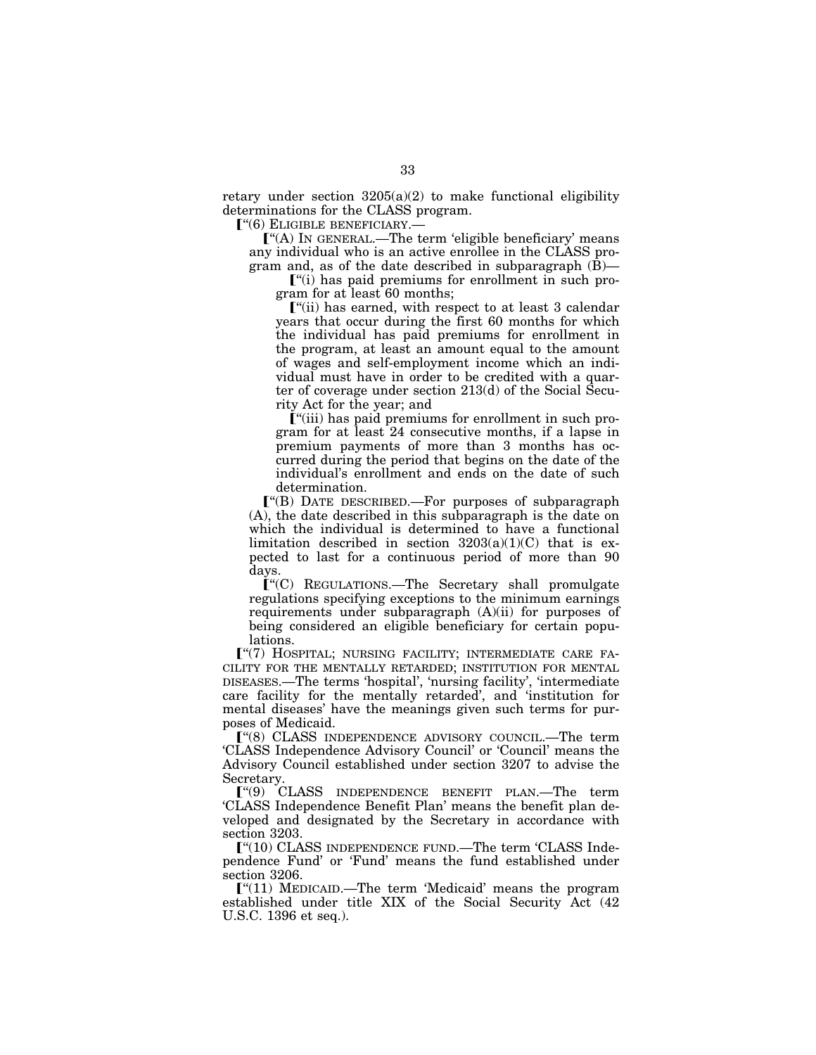retary under section  $3205(a)(2)$  to make functional eligibility determinations for the CLASS program.

 $\lceil$ "(6) ELIGIBLE BENEFICIARY.-

 $\lbrack$  "(A) In GENERAL.—The term 'eligible beneficiary' means any individual who is an active enrollee in the CLASS program and, as of the date described in subparagraph (B)—

 $\lbrack$ <sup>"(i)</sup> has paid premiums for enrollment in such program for at least 60 months;

 $\lbrack$ "(ii) has earned, with respect to at least 3 calendar years that occur during the first 60 months for which the individual has paid premiums for enrollment in the program, at least an amount equal to the amount of wages and self-employment income which an individual must have in order to be credited with a quarter of coverage under section 213(d) of the Social Security Act for the year; and

 $\int^{\alpha}$ (iii) has paid premiums for enrollment in such program for at least 24 consecutive months, if a lapse in premium payments of more than 3 months has occurred during the period that begins on the date of the individual's enrollment and ends on the date of such determination.

 $\lbrack$ <sup>"(B)</sup> DATE DESCRIBED.—For purposes of subparagraph (A), the date described in this subparagraph is the date on which the individual is determined to have a functional limitation described in section  $3203(a)(1)(C)$  that is expected to last for a continuous period of more than 90 days.

ø''(C) REGULATIONS.—The Secretary shall promulgate regulations specifying exceptions to the minimum earnings requirements under subparagraph (A)(ii) for purposes of being considered an eligible beneficiary for certain populations.

<sup>"</sup>(7) HOSPITAL; NURSING FACILITY; INTERMEDIATE CARE FA-CILITY FOR THE MENTALLY RETARDED; INSTITUTION FOR MENTAL DISEASES.—The terms 'hospital', 'nursing facility', 'intermediate care facility for the mentally retarded', and 'institution for mental diseases' have the meanings given such terms for purposes of Medicaid.

**[**"(8) CLASS INDEPENDENCE ADVISORY COUNCIL.—The term 'CLASS Independence Advisory Council' or 'Council' means the Advisory Council established under section 3207 to advise the Secretary.

ø''(9) CLASS INDEPENDENCE BENEFIT PLAN.—The term 'CLASS Independence Benefit Plan' means the benefit plan developed and designated by the Secretary in accordance with section 3203.

ø''(10) CLASS INDEPENDENCE FUND.—The term 'CLASS Independence Fund' or 'Fund' means the fund established under section 3206.

 $\lceil$  "(11) MEDICAID.—The term 'Medicaid' means the program established under title XIX of the Social Security Act (42 U.S.C. 1396 et seq.).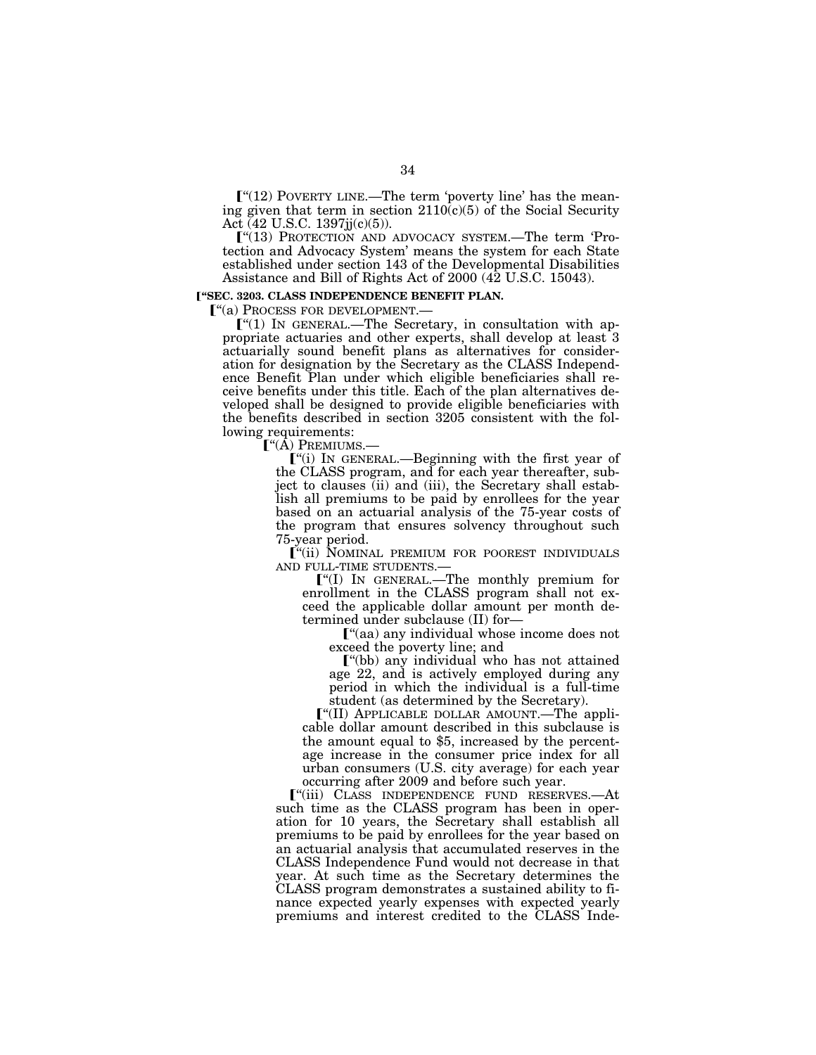$\llbracket$ "(12) POVERTY LINE.—The term 'poverty line' has the meaning given that term in section  $2110(c)(5)$  of the Social Security Act  $(42 \text{ U.S.C. } 1397 \text{jj}(c)(5))$ .

ø''(13) PROTECTION AND ADVOCACY SYSTEM.—The term 'Protection and Advocacy System' means the system for each State established under section 143 of the Developmental Disabilities Assistance and Bill of Rights Act of 2000 (42 U.S.C. 15043).

## ø**''SEC. 3203. CLASS INDEPENDENCE BENEFIT PLAN.**

**["(a) PROCESS FOR DEVELOPMENT.** 

 $\lbrack$  (1) In GENERAL.—The Secretary, in consultation with appropriate actuaries and other experts, shall develop at least 3 actuarially sound benefit plans as alternatives for consideration for designation by the Secretary as the CLASS Independence Benefit Plan under which eligible beneficiaries shall receive benefits under this title. Each of the plan alternatives developed shall be designed to provide eligible beneficiaries with the benefits described in section 3205 consistent with the following requirements:

 $\mathbb{I}^{\mathcal{A}}(A)$  Premiums.—

 $\lbrack$  (i) In GENERAL.—Beginning with the first year of the CLASS program, and for each year thereafter, subject to clauses (ii) and (iii), the Secretary shall establish all premiums to be paid by enrollees for the year based on an actuarial analysis of the 75-year costs of the program that ensures solvency throughout such 75-year period.

ø''(ii) NOMINAL PREMIUM FOR POOREST INDIVIDUALS AND FULL-TIME STUDENTS.—

ø''(I) IN GENERAL.—The monthly premium for enrollment in the CLASS program shall not exceed the applicable dollar amount per month determined under subclause (II) for—

ø''(aa) any individual whose income does not exceed the poverty line; and

 $\lbrack$  (bb) any individual who has not attained age 22, and is actively employed during any period in which the individual is a full-time student (as determined by the Secretary).

**F**"(II) APPLICABLE DOLLAR AMOUNT.—The applicable dollar amount described in this subclause is the amount equal to \$5, increased by the percentage increase in the consumer price index for all urban consumers (U.S. city average) for each year occurring after 2009 and before such year.

**I**"(iii) CLASS INDEPENDENCE FUND RESERVES.—At such time as the CLASS program has been in operation for 10 years, the Secretary shall establish all premiums to be paid by enrollees for the year based on an actuarial analysis that accumulated reserves in the CLASS Independence Fund would not decrease in that year. At such time as the Secretary determines the CLASS program demonstrates a sustained ability to finance expected yearly expenses with expected yearly premiums and interest credited to the CLASS Inde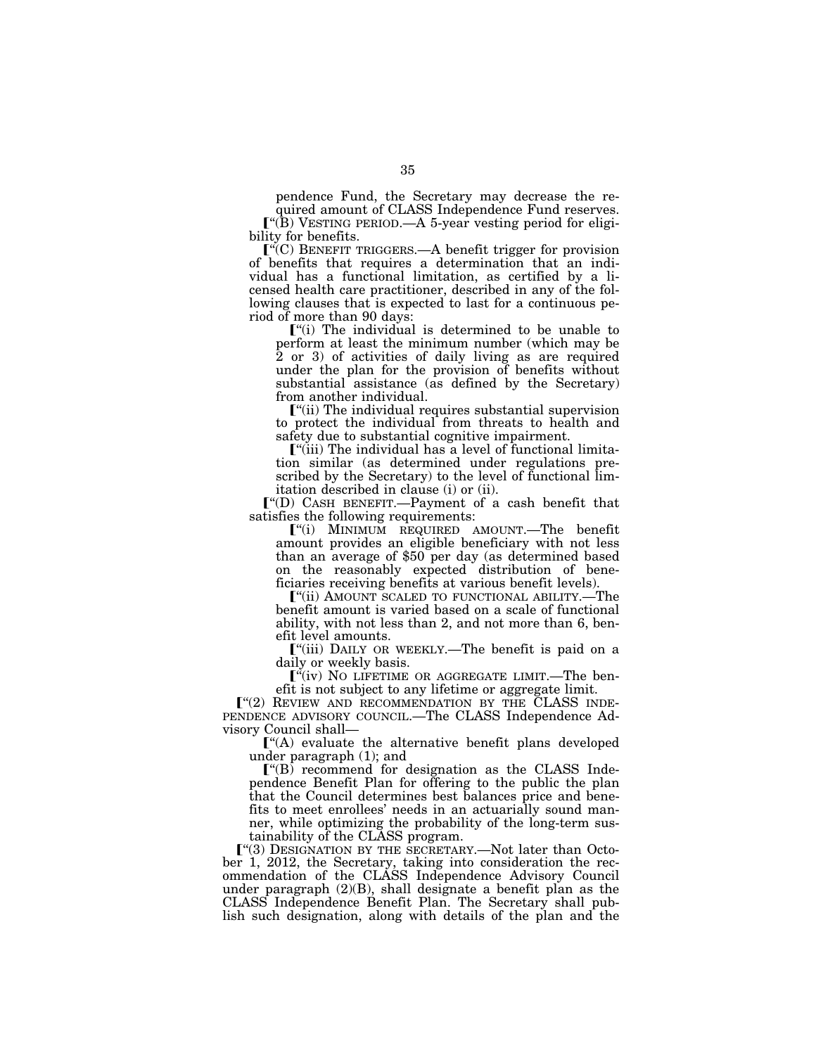pendence Fund, the Secretary may decrease the required amount of CLASS Independence Fund reserves.

 $\llbracket$ "(B) VESTING PERIOD.—A 5-year vesting period for eligibility for benefits.

 $\lbrack$ <sup>"</sup>(C) BENEFIT TRIGGERS.—A benefit trigger for provision of benefits that requires a determination that an individual has a functional limitation, as certified by a licensed health care practitioner, described in any of the following clauses that is expected to last for a continuous period of more than 90 days:

 $\lbrack$  ("(i) The individual is determined to be unable to perform at least the minimum number (which may be 2 or 3) of activities of daily living as are required under the plan for the provision of benefits without substantial assistance (as defined by the Secretary) from another individual.

 $\mathbf{I}^{\text{``}}$ (ii) The individual requires substantial supervision to protect the individual from threats to health and safety due to substantial cognitive impairment.

 $\lbrack$ <sup>"(iii)</sup> The individual has a level of functional limitation similar (as determined under regulations prescribed by the Secretary) to the level of functional limitation described in clause (i) or (ii).

 $\lceil$ "(D) CASH BENEFIT.—Payment of a cash benefit that satisfies the following requirements:

ø''(i) MINIMUM REQUIRED AMOUNT.—The benefit amount provides an eligible beneficiary with not less than an average of \$50 per day (as determined based on the reasonably expected distribution of beneficiaries receiving benefits at various benefit levels).

ø''(ii) AMOUNT SCALED TO FUNCTIONAL ABILITY.—The benefit amount is varied based on a scale of functional ability, with not less than 2, and not more than 6, benefit level amounts.

ø''(iii) DAILY OR WEEKLY.—The benefit is paid on a daily or weekly basis.

 $\left[$ <sup> $\alpha$ </sup>(iv) NO LIFETIME OR AGGREGATE LIMIT.—The benefit is not subject to any lifetime or aggregate limit.

<sup>ø</sup>''(2) REVIEW AND RECOMMENDATION BY THE CLASS INDE- PENDENCE ADVISORY COUNCIL.—The CLASS Independence Advisory Council shall—

 $\llbracket$ "(A) evaluate the alternative benefit plans developed under paragraph (1); and

 $\lbrack$ <sup>"(B)</sup> recommend for designation as the CLASS Independence Benefit Plan for offering to the public the plan that the Council determines best balances price and benefits to meet enrollees' needs in an actuarially sound manner, while optimizing the probability of the long-term sustainability of the CLASS program.

<sup>"(3)</sup> DESIGNATION BY THE SECRETARY.—Not later than October 1, 2012, the Secretary, taking into consideration the recommendation of the CLASS Independence Advisory Council under paragraph (2)(B), shall designate a benefit plan as the CLASS Independence Benefit Plan. The Secretary shall publish such designation, along with details of the plan and the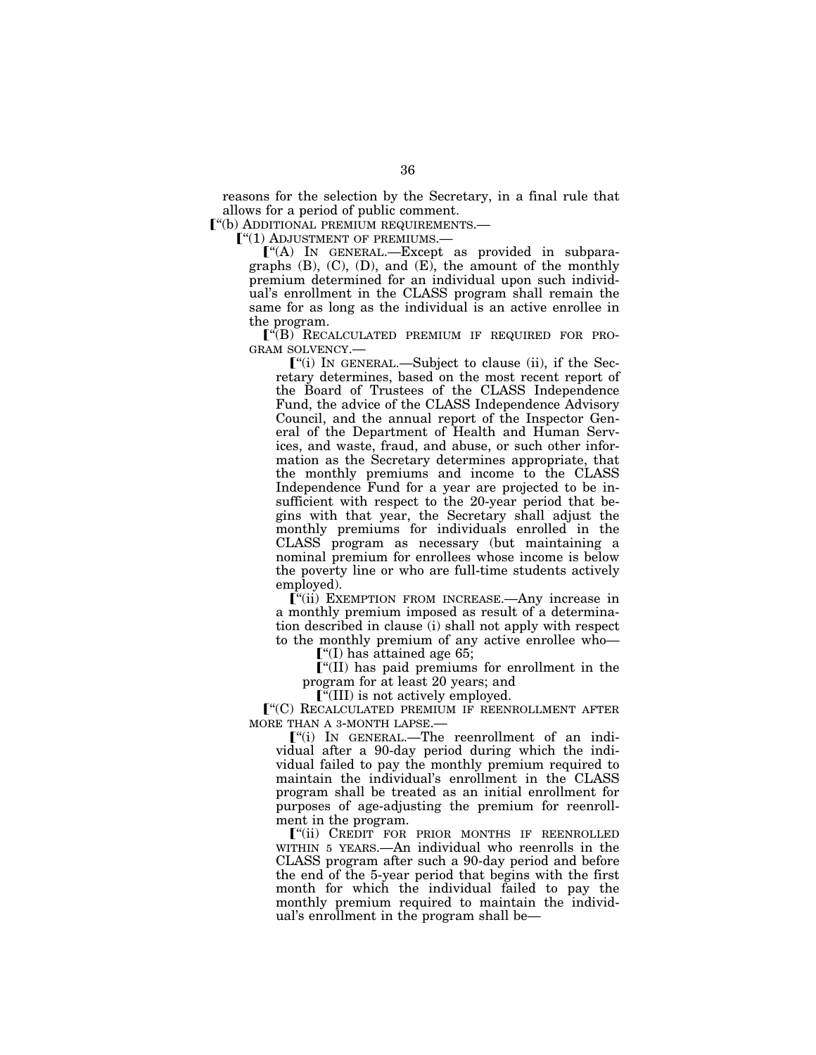reasons for the selection by the Secretary, in a final rule that allows for a period of public comment.

**["(b) ADDITIONAL PREMIUM REQUIREMENTS.—** 

 $\lceil$ "(1) ADJUSTMENT OF PREMIUMS.-

ø''(A) IN GENERAL.—Except as provided in subparagraphs  $(B)$ ,  $(C)$ ,  $(D)$ , and  $(E)$ , the amount of the monthly premium determined for an individual upon such individual's enrollment in the CLASS program shall remain the same for as long as the individual is an active enrollee in the program.

ø''(B) RECALCULATED PREMIUM IF REQUIRED FOR PRO-GRAM SOLVENCY.—

 $\lbrack$  ("(i) IN GENERAL.—Subject to clause (ii), if the Secretary determines, based on the most recent report of the Board of Trustees of the CLASS Independence Fund, the advice of the CLASS Independence Advisory Council, and the annual report of the Inspector General of the Department of Health and Human Services, and waste, fraud, and abuse, or such other information as the Secretary determines appropriate, that the monthly premiums and income to the CLASS Independence Fund for a year are projected to be insufficient with respect to the 20-year period that begins with that year, the Secretary shall adjust the monthly premiums for individuals enrolled in the CLASS program as necessary (but maintaining a nominal premium for enrollees whose income is below the poverty line or who are full-time students actively employed).

ø''(ii) EXEMPTION FROM INCREASE.—Any increase in a monthly premium imposed as result of a determination described in clause (i) shall not apply with respect to the monthly premium of any active enrollee who—

 $\lceil$  "(I) has attained age 65;

 $\lceil$  "(II) has paid premiums for enrollment in the program for at least 20 years; and

ø''(III) is not actively employed.

ø''(C) RECALCULATED PREMIUM IF REENROLLMENT AFTER MORE THAN A 3-MONTH LAPSE.—

 $\lceil$  "(i) IN GENERAL.—The reenrollment of an individual after a 90-day period during which the individual failed to pay the monthly premium required to maintain the individual's enrollment in the CLASS program shall be treated as an initial enrollment for purposes of age-adjusting the premium for reenrollment in the program.

**I**"(ii) CREDIT FOR PRIOR MONTHS IF REENROLLED WITHIN 5 YEARS.—An individual who reenrolls in the CLASS program after such a 90-day period and before the end of the 5-year period that begins with the first month for which the individual failed to pay the monthly premium required to maintain the individual's enrollment in the program shall be—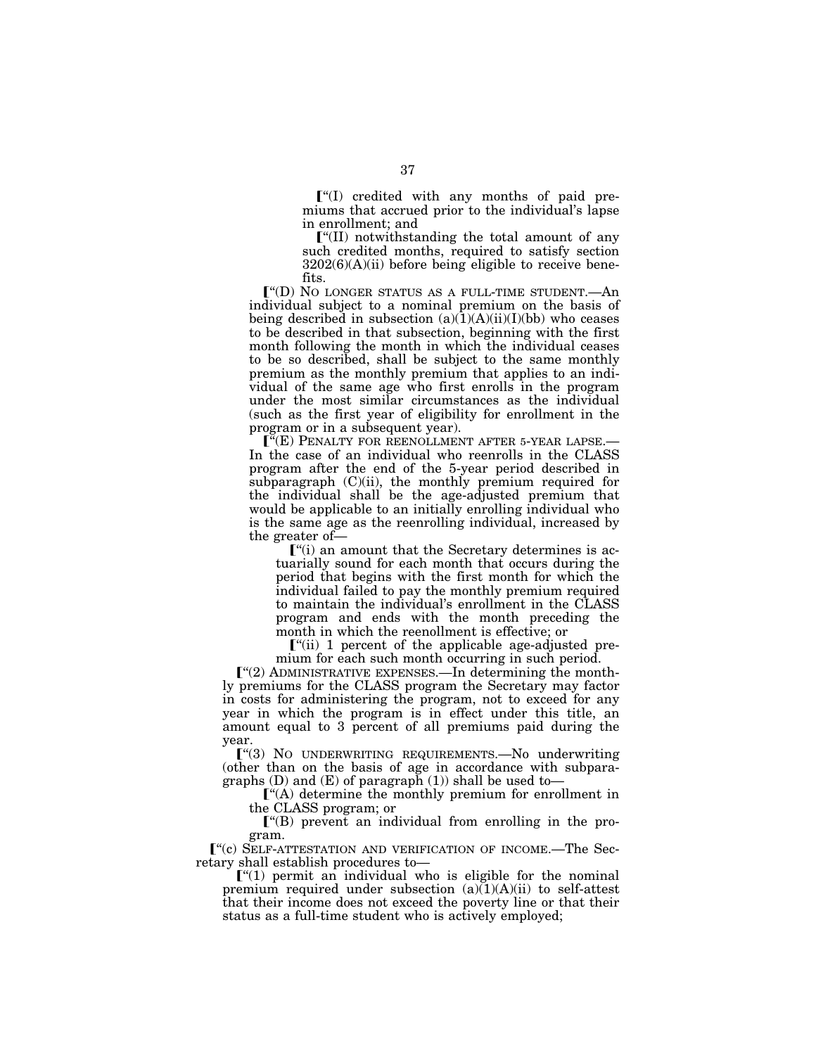$\llbracket$ "(I) credited with any months of paid premiums that accrued prior to the individual's lapse in enrollment; and

 $\lceil$  "(II) notwithstanding the total amount of any such credited months, required to satisfy section  $3202(6)(A)(ii)$  before being eligible to receive benefits.

 $\lbrack$ <sup>"(D)</sup> No longer status as a full-time student.—An individual subject to a nominal premium on the basis of being described in subsection  $(a)(1)(A)(ii)(I)(bb)$  who ceases to be described in that subsection, beginning with the first month following the month in which the individual ceases to be so described, shall be subject to the same monthly premium as the monthly premium that applies to an individual of the same age who first enrolls in the program under the most similar circumstances as the individual (such as the first year of eligibility for enrollment in the program or in a subsequent year).

 $\lbrack$ <sup> $\alpha$ </sup>(E) PENALTY FOR REENOLLMENT AFTER 5-YEAR LAPSE.— In the case of an individual who reenrolls in the CLASS program after the end of the 5-year period described in subparagraph (C)(ii), the monthly premium required for the individual shall be the age-adjusted premium that would be applicable to an initially enrolling individual who is the same age as the reenrolling individual, increased by the greater of—

 $\lbrack$ <sup>"(i)</sup> an amount that the Secretary determines is actuarially sound for each month that occurs during the period that begins with the first month for which the individual failed to pay the monthly premium required to maintain the individual's enrollment in the CLASS program and ends with the month preceding the month in which the reenollment is effective; or

 $\lbrack$ <sup>"(ii)</sup> 1 percent of the applicable age-adjusted premium for each such month occurring in such period.

 $\lceil$ "(2) ADMINISTRATIVE EXPENSES.—In determining the monthly premiums for the CLASS program the Secretary may factor in costs for administering the program, not to exceed for any year in which the program is in effect under this title, an amount equal to 3 percent of all premiums paid during the year.

ø''(3) NO UNDERWRITING REQUIREMENTS.—No underwriting (other than on the basis of age in accordance with subparagraphs  $(D)$  and  $(E)$  of paragraph  $(1)$ ) shall be used to-

ø''(A) determine the monthly premium for enrollment in the CLASS program; or

 $\lceil$  "(B) prevent an individual from enrolling in the program.

ø''(c) SELF-ATTESTATION AND VERIFICATION OF INCOME.—The Secretary shall establish procedures to—

 $\lceil$  "(1) permit an individual who is eligible for the nominal premium required under subsection  $(a)(1)(A)(ii)$  to self-attest that their income does not exceed the poverty line or that their status as a full-time student who is actively employed;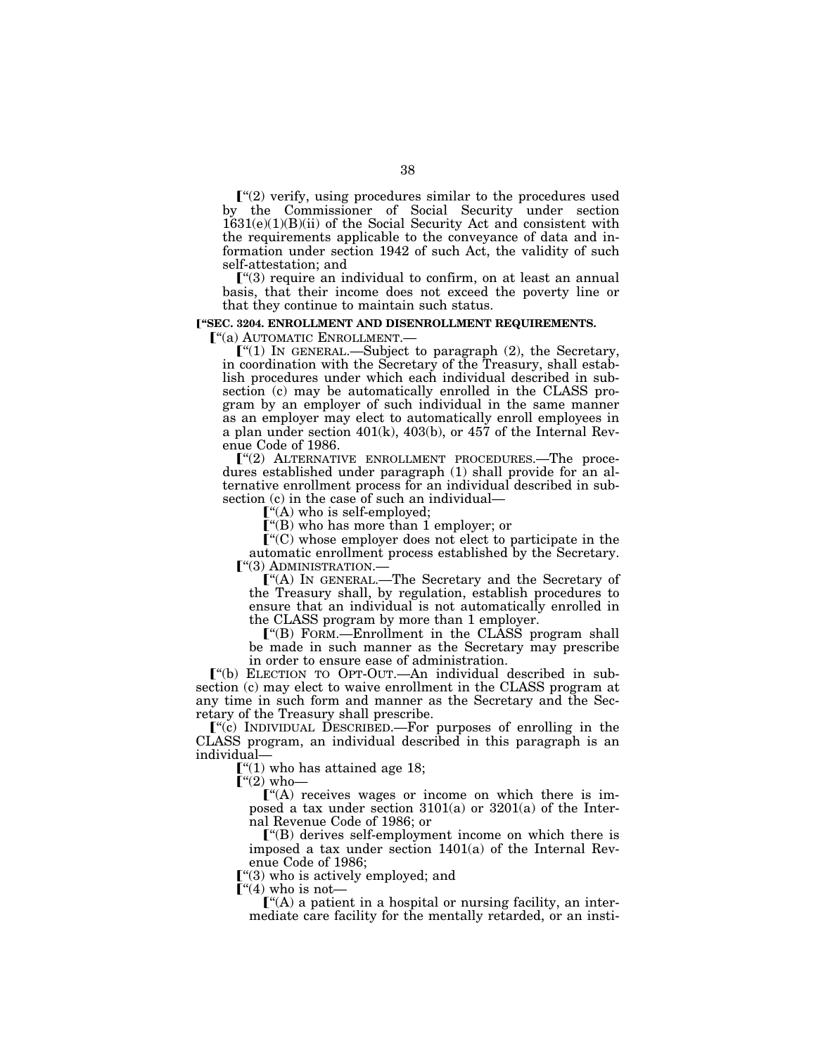$\lceil$  "(2) verify, using procedures similar to the procedures used by the Commissioner of Social Security under section  $1631(e)(1)(B)(ii)$  of the Social Security Act and consistent with the requirements applicable to the conveyance of data and information under section 1942 of such Act, the validity of such self-attestation; and

 $[$ "(3) require an individual to confirm, on at least an annual basis, that their income does not exceed the poverty line or that they continue to maintain such status.

## ø**''SEC. 3204. ENROLLMENT AND DISENROLLMENT REQUIREMENTS. ["(a) AUTOMATIC ENROLLMENT.**

 $\lbrack$  (1) In GENERAL.—Subject to paragraph (2), the Secretary,

in coordination with the Secretary of the Treasury, shall establish procedures under which each individual described in subsection (c) may be automatically enrolled in the CLASS program by an employer of such individual in the same manner as an employer may elect to automatically enroll employees in a plan under section 401(k), 403(b), or 457 of the Internal Revenue Code of 1986.

ø''(2) ALTERNATIVE ENROLLMENT PROCEDURES.—The procedures established under paragraph (1) shall provide for an alternative enrollment process for an individual described in subsection (c) in the case of such an individual—

 $\llbracket$ "(A) who is self-employed;

 $\llbracket$ "(B) who has more than 1 employer; or

 $\bar{C}$ "(C) whose employer does not elect to participate in the automatic enrollment process established by the Secretary. ø''(3) ADMINISTRATION.—

ø''(A) IN GENERAL.—The Secretary and the Secretary of the Treasury shall, by regulation, establish procedures to ensure that an individual is not automatically enrolled in the CLASS program by more than 1 employer.

ø''(B) FORM.—Enrollment in the CLASS program shall be made in such manner as the Secretary may prescribe in order to ensure ease of administration.

ø''(b) ELECTION TO OPT-OUT.—An individual described in subsection (c) may elect to waive enrollment in the CLASS program at any time in such form and manner as the Secretary and the Secretary of the Treasury shall prescribe.

 $\lceil$  (°(c) INDIVIDUAL DESCRIBED.—For purposes of enrolling in the CLASS program, an individual described in this paragraph is an individual—

 $\lbrack$  ('(1) who has attained age 18;

 $\llbracket$ "(2) who—

 $\mathbf{I}^{\mathcal{A}}$  receives wages or income on which there is imposed a tax under section 3101(a) or 3201(a) of the Internal Revenue Code of 1986; or

 $\mathbf{F}^{\mathcal{A}}(B)$  derives self-employment income on which there is imposed a tax under section 1401(a) of the Internal Revenue Code of 1986;

 $\lceil$  "(3) who is actively employed; and

 $\lceil$ "(4) who is not-

 $\lceil$  "(A) a patient in a hospital or nursing facility, an intermediate care facility for the mentally retarded, or an insti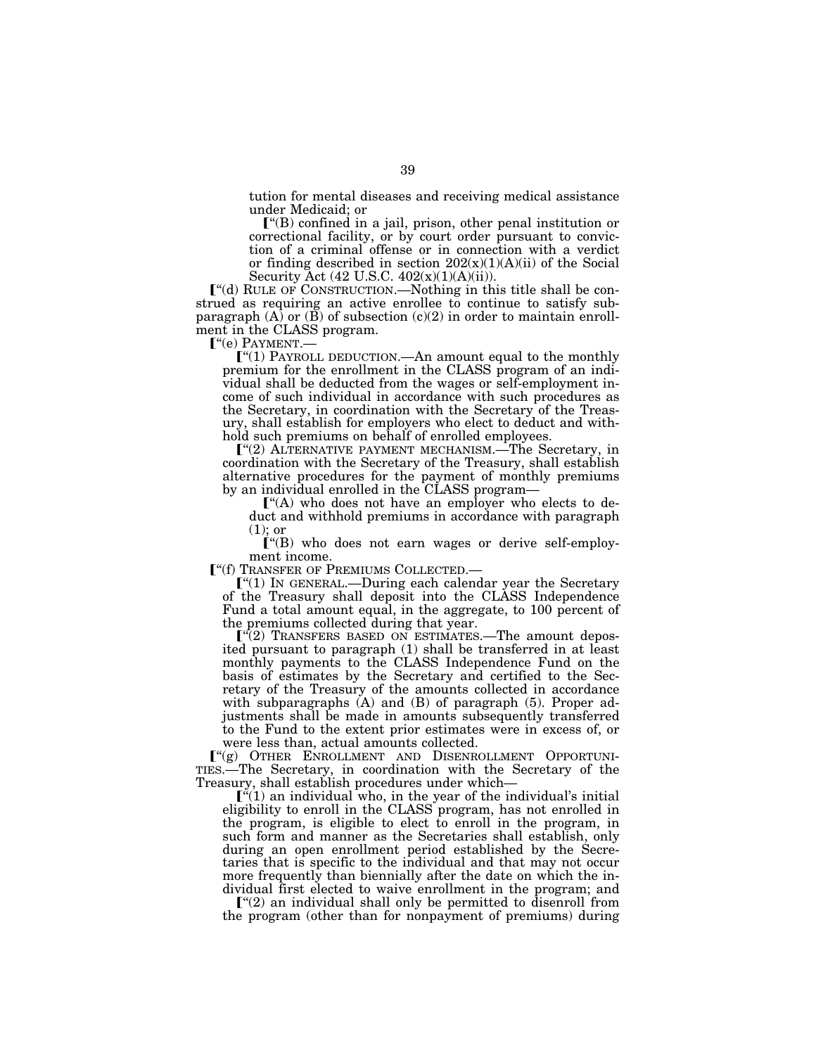tution for mental diseases and receiving medical assistance under Medicaid; or

 $\llbracket$ <sup>"(B)</sup> confined in a jail, prison, other penal institution or correctional facility, or by court order pursuant to conviction of a criminal offense or in connection with a verdict or finding described in section  $202(x)(1)(A)(ii)$  of the Social Security Act  $(42 \text{ U.S.C. } 402(\text{x})(1)(\text{A})(\text{ii})).$ 

ø''(d) RULE OF CONSTRUCTION.—Nothing in this title shall be construed as requiring an active enrollee to continue to satisfy subparagraph  $(A)$  or  $(\overline{B})$  of subsection  $(c)(2)$  in order to maintain enrollment in the CLASS program.

 $\lbrack$ "(e) PAYMENT.—<br> $\lbrack$ "(1) PAYROLL DEDUCTION.—An amount equal to the monthly premium for the enrollment in the CLASS program of an individual shall be deducted from the wages or self-employment income of such individual in accordance with such procedures as the Secretary, in coordination with the Secretary of the Treasury, shall establish for employers who elect to deduct and withhold such premiums on behalf of enrolled employees.

 $\int^{\alpha}(2)$  ALTERNATIVE PAYMENT MECHANISM.—The Secretary, in coordination with the Secretary of the Treasury, shall establish alternative procedures for the payment of monthly premiums by an individual enrolled in the CLASS program—

 $\lceil$  "(A) who does not have an employer who elects to deduct and withhold premiums in accordance with paragraph (1); or

 $\lbrack$  "(B) who does not earn wages or derive self-employment income.<br>
["(f) TRANSFER OF PREMIUMS COLLECTED.—

 $\mathcal{F}(1)$  IN GENERAL.—During each calendar year the Secretary of the Treasury shall deposit into the CLASS Independence Fund a total amount equal, in the aggregate, to 100 percent of the premiums collected during that year.

 $\lceil$ <sup>"(2)</sup> TRANSFERS BASED ON ESTIMATES.—The amount deposited pursuant to paragraph (1) shall be transferred in at least monthly payments to the CLASS Independence Fund on the basis of estimates by the Secretary and certified to the Secretary of the Treasury of the amounts collected in accordance with subparagraphs (A) and (B) of paragraph (5). Proper adjustments shall be made in amounts subsequently transferred to the Fund to the extent prior estimates were in excess of, or were less than, actual amounts collected.

 $\int^{\alpha} (g)$  Other ENROLLMENT AND DISENROLLMENT OPPORTUNI-TIES.—The Secretary, in coordination with the Secretary of the Treasury, shall establish procedures under which—

 $\mathbf{r}^{\alpha}(1)$  an individual who, in the year of the individual's initial eligibility to enroll in the CLASS program, has not enrolled in the program, is eligible to elect to enroll in the program, in such form and manner as the Secretaries shall establish, only during an open enrollment period established by the Secretaries that is specific to the individual and that may not occur more frequently than biennially after the date on which the individual first elected to waive enrollment in the program; and

 $\lceil$  "(2) an individual shall only be permitted to disenroll from the program (other than for nonpayment of premiums) during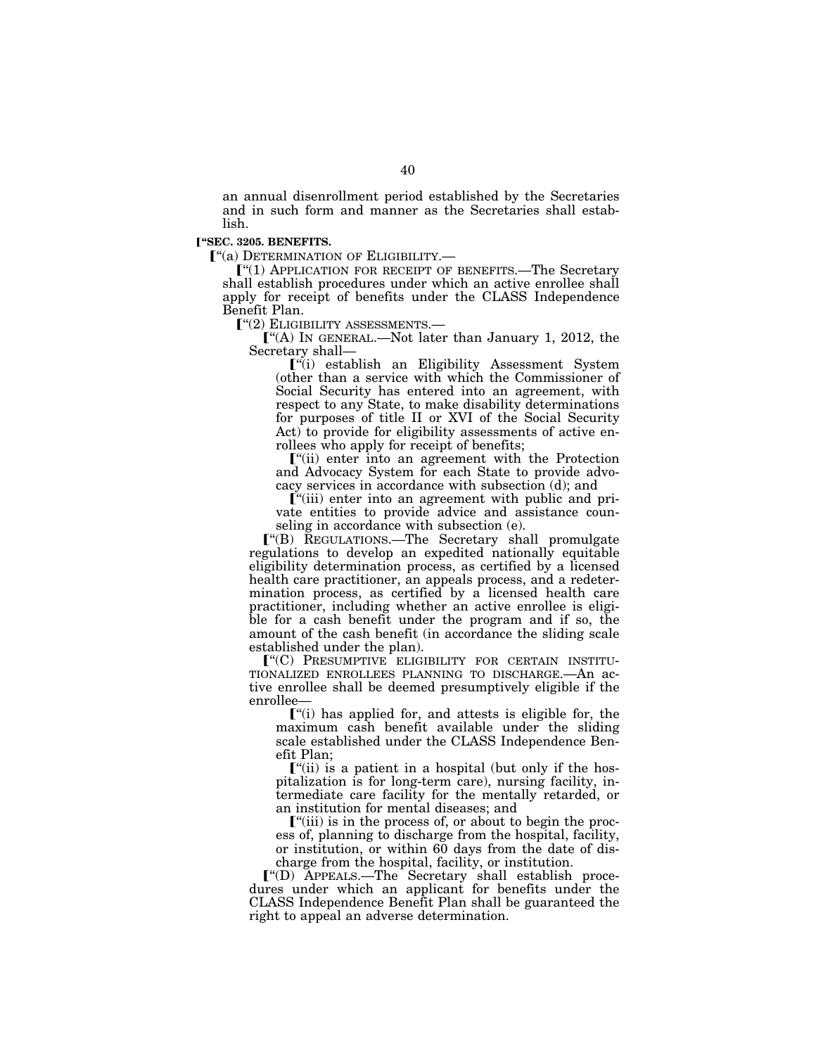an annual disenrollment period established by the Secretaries and in such form and manner as the Secretaries shall establish.

#### ø**''SEC. 3205. BENEFITS.**

**["(a) DETERMINATION OF ELIGIBILITY.—** 

**["(1) APPLICATION FOR RECEIPT OF BENEFITS.—The Secretary** shall establish procedures under which an active enrollee shall apply for receipt of benefits under the CLASS Independence Benefit Plan.

 $\lceil$ "(2) ELIGIBILITY ASSESSMENTS.—

 $\llbracket$ <sup>"(A)</sup> IN GENERAL.—Not later than January 1, 2012, the Secretary shall—

 $\lbrack$ <sup>"(i)</sup> establish an Eligibility Assessment System (other than a service with which the Commissioner of Social Security has entered into an agreement, with respect to any State, to make disability determinations for purposes of title II or XVI of the Social Security Act) to provide for eligibility assessments of active enrollees who apply for receipt of benefits;

 $\lbrack$ <sup>"(ii)</sup> enter into an agreement with the Protection and Advocacy System for each State to provide advocacy services in accordance with subsection (d); and

 $\mathbf{f}^*(iii)$  enter into an agreement with public and private entities to provide advice and assistance counseling in accordance with subsection (e).

ø''(B) REGULATIONS.—The Secretary shall promulgate regulations to develop an expedited nationally equitable eligibility determination process, as certified by a licensed health care practitioner, an appeals process, and a redetermination process, as certified by a licensed health care practitioner, including whether an active enrollee is eligible for a cash benefit under the program and if so, the amount of the cash benefit (in accordance the sliding scale established under the plan).

ø''(C) PRESUMPTIVE ELIGIBILITY FOR CERTAIN INSTITU-TIONALIZED ENROLLEES PLANNING TO DISCHARGE.—An active enrollee shall be deemed presumptively eligible if the enrollee—

 $\lceil$  "(i) has applied for, and attests is eligible for, the maximum cash benefit available under the sliding scale established under the CLASS Independence Benefit Plan;

 $\lbrack$ "(ii) is a patient in a hospital (but only if the hospitalization is for long-term care), nursing facility, intermediate care facility for the mentally retarded, or an institution for mental diseases; and

 $\lceil$  "(iii) is in the process of, or about to begin the process of, planning to discharge from the hospital, facility, or institution, or within 60 days from the date of discharge from the hospital, facility, or institution.

ø''(D) APPEALS.—The Secretary shall establish procedures under which an applicant for benefits under the CLASS Independence Benefit Plan shall be guaranteed the right to appeal an adverse determination.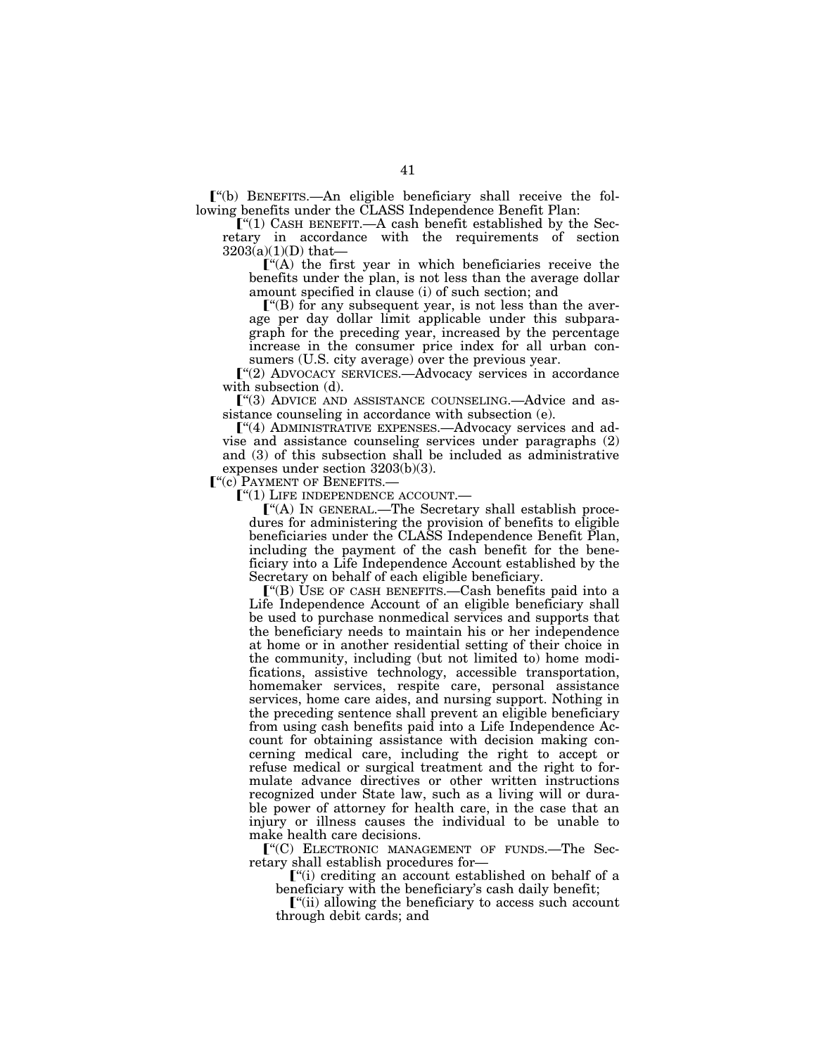$\lceil$  "(b) BENEFITS.—An eligible beneficiary shall receive the following benefits under the CLASS Independence Benefit Plan:

 $\lbrack$  (1) CASH BENEFIT.—A cash benefit established by the Secretary in accordance with the requirements of section  $3203(a)(1)(D)$  that-

 $\mathbb{I}^{\omega}(A)$  the first year in which beneficiaries receive the benefits under the plan, is not less than the average dollar amount specified in clause (i) of such section; and

 $\lbrack$  ("(B) for any subsequent year, is not less than the average per day dollar limit applicable under this subparagraph for the preceding year, increased by the percentage increase in the consumer price index for all urban consumers (U.S. city average) over the previous year.

ø''(2) ADVOCACY SERVICES.—Advocacy services in accordance with subsection (d).

**[**"(3) ADVICE AND ASSISTANCE COUNSELING.—Advice and assistance counseling in accordance with subsection (e).

ø''(4) ADMINISTRATIVE EXPENSES.—Advocacy services and advise and assistance counseling services under paragraphs (2) and (3) of this subsection shall be included as administrative expenses under section 3203(b)(3).

**F**"(c) PAYMENT OF BENEFITS.

 $\llbracket$ <sup>"(1)</sup> LIFE INDEPENDENCE ACCOUNT.—

 $\lceil$  "(A) In GENERAL.—The Secretary shall establish procedures for administering the provision of benefits to eligible beneficiaries under the CLASS Independence Benefit Plan, including the payment of the cash benefit for the beneficiary into a Life Independence Account established by the Secretary on behalf of each eligible beneficiary.

 $\llbracket$ <sup>"(B)</sup> USE OF CASH BENEFITS.—Cash benefits paid into a Life Independence Account of an eligible beneficiary shall be used to purchase nonmedical services and supports that the beneficiary needs to maintain his or her independence at home or in another residential setting of their choice in the community, including (but not limited to) home modifications, assistive technology, accessible transportation, homemaker services, respite care, personal assistance services, home care aides, and nursing support. Nothing in the preceding sentence shall prevent an eligible beneficiary from using cash benefits paid into a Life Independence Account for obtaining assistance with decision making concerning medical care, including the right to accept or refuse medical or surgical treatment and the right to formulate advance directives or other written instructions recognized under State law, such as a living will or durable power of attorney for health care, in the case that an injury or illness causes the individual to be unable to make health care decisions.

ø''(C) ELECTRONIC MANAGEMENT OF FUNDS.—The Secretary shall establish procedures for—

 $\lceil$ "(i) crediting an account established on behalf of a beneficiary with the beneficiary's cash daily benefit;

 $\lceil$  "(ii) allowing the beneficiary to access such account through debit cards; and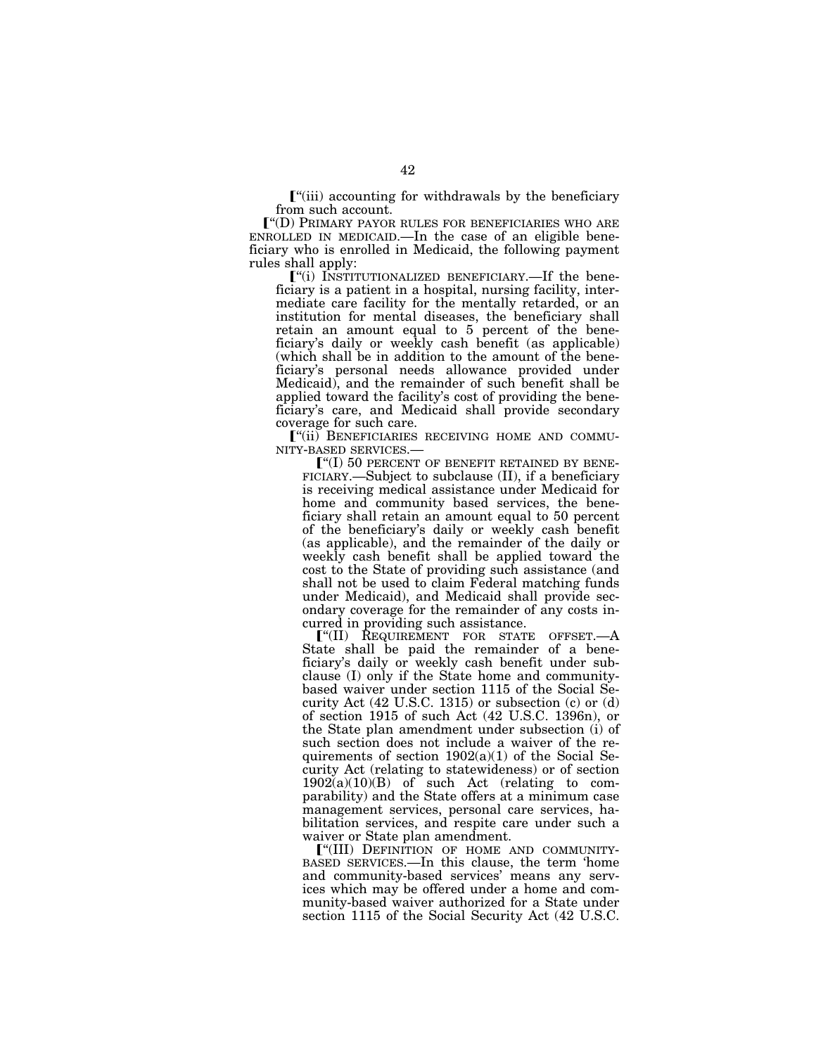$\lceil$ "(iii) accounting for withdrawals by the beneficiary from such account.

ø''(D) PRIMARY PAYOR RULES FOR BENEFICIARIES WHO ARE ENROLLED IN MEDICAID.—In the case of an eligible beneficiary who is enrolled in Medicaid, the following payment rules shall apply:

 $\lceil$ "(i) INSTITUTIONALIZED BENEFICIARY.—If the beneficiary is a patient in a hospital, nursing facility, intermediate care facility for the mentally retarded, or an institution for mental diseases, the beneficiary shall retain an amount equal to 5 percent of the beneficiary's daily or weekly cash benefit (as applicable) (which shall be in addition to the amount of the beneficiary's personal needs allowance provided under Medicaid), and the remainder of such benefit shall be applied toward the facility's cost of providing the beneficiary's care, and Medicaid shall provide secondary coverage for such care.

 $\begin{bmatrix}$ "(ii) BENEFICIARIES RECEIVING HOME AND COMMUNITY-BASED SERVICES.—<br> $\begin{bmatrix}$ "(I) 50 PERCENT OF BENEFIT RETAINED BY BENE-<br>FICIARY.—Subject to subclause (II), if a beneficiary

is receiving medical assistance under Medicaid for home and community based services, the beneficiary shall retain an amount equal to 50 percent of the beneficiary's daily or weekly cash benefit (as applicable), and the remainder of the daily or weekly cash benefit shall be applied toward the cost to the State of providing such assistance (and shall not be used to claim Federal matching funds under Medicaid), and Medicaid shall provide secondary coverage for the remainder of any costs incurred in providing such assistance.

**I**"(II) REQUIREMENT FOR STATE OFFSET. - A State shall be paid the remainder of a beneficiary's daily or weekly cash benefit under subclause (I) only if the State home and communitybased waiver under section 1115 of the Social Security Act (42 U.S.C. 1315) or subsection (c) or (d) of section 1915 of such Act (42 U.S.C. 1396n), or the State plan amendment under subsection (i) of such section does not include a waiver of the requirements of section  $1902(a)(1)$  of the Social Security Act (relating to statewideness) or of section  $1902(a)(10)(B)$  of such Act (relating to comparability) and the State offers at a minimum case management services, personal care services, habilitation services, and respite care under such a

waiver or State plan amendment.<br>
["(III) DEFINITION OF HOME AND COMMUNITY-BASED SERVICES.—In this clause, the term 'home and community-based services' means any services which may be offered under a home and community-based waiver authorized for a State under section 1115 of the Social Security Act (42 U.S.C.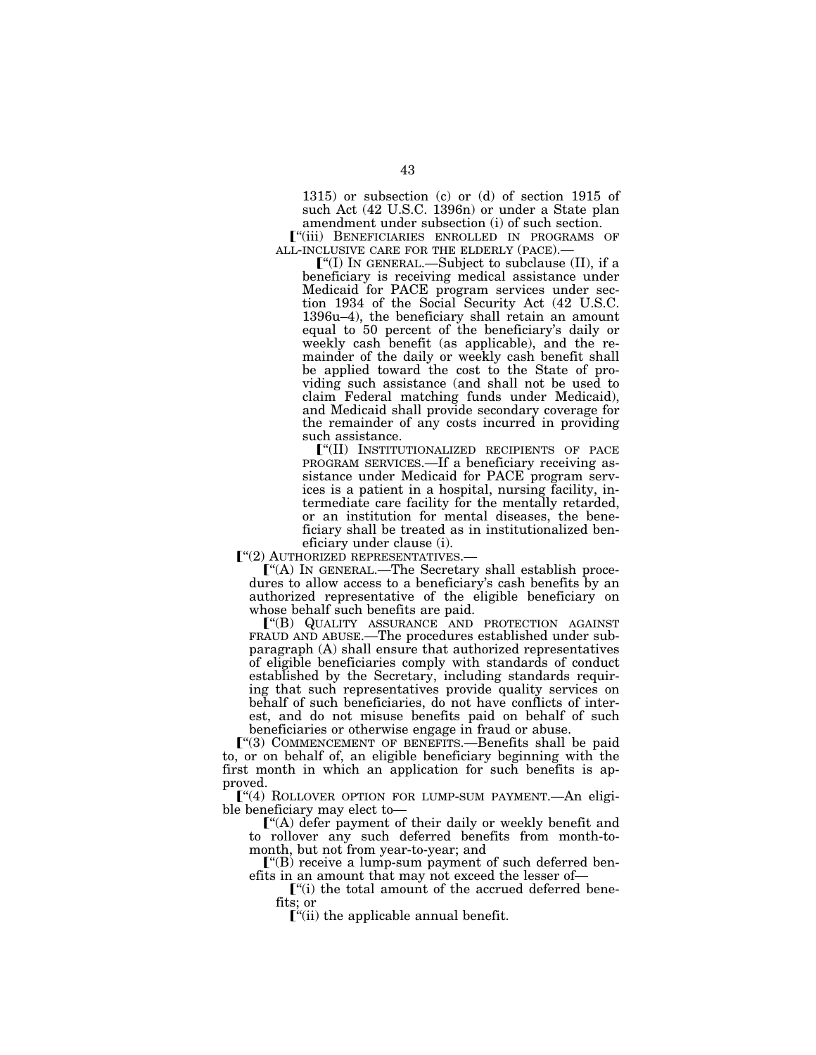1315) or subsection (c) or (d) of section 1915 of such Act (42 U.S.C. 1396n) or under a State plan amendment under subsection (i) of such section.

**I**"(iii) BENEFICIARIES ENROLLED IN PROGRAMS OF ALL-INCLUSIVE CARE FOR THE ELDERLY (PACE).-

 $\lceil$  (I) In GENERAL.—Subject to subclause (II), if a beneficiary is receiving medical assistance under Medicaid for PACE program services under section 1934 of the Social Security Act (42 U.S.C. 1396u–4), the beneficiary shall retain an amount equal to 50 percent of the beneficiary's daily or weekly cash benefit (as applicable), and the remainder of the daily or weekly cash benefit shall be applied toward the cost to the State of providing such assistance (and shall not be used to claim Federal matching funds under Medicaid), and Medicaid shall provide secondary coverage for the remainder of any costs incurred in providing such assistance.

ø''(II) INSTITUTIONALIZED RECIPIENTS OF PACE PROGRAM SERVICES.—If a beneficiary receiving assistance under Medicaid for PACE program services is a patient in a hospital, nursing facility, intermediate care facility for the mentally retarded, or an institution for mental diseases, the beneficiary shall be treated as in institutionalized ben-

eficiary under clause (i).<br>
["(2) AUTHORIZED REPRESENTATIVES.

 $\llbracket$ "(A) In GENERAL.—The Secretary shall establish procedures to allow access to a beneficiary's cash benefits by an authorized representative of the eligible beneficiary on whose behalf such benefits are paid.

ø''(B) QUALITY ASSURANCE AND PROTECTION AGAINST FRAUD AND ABUSE.—The procedures established under subparagraph (A) shall ensure that authorized representatives of eligible beneficiaries comply with standards of conduct established by the Secretary, including standards requiring that such representatives provide quality services on behalf of such beneficiaries, do not have conflicts of interest, and do not misuse benefits paid on behalf of such beneficiaries or otherwise engage in fraud or abuse.

<sup>"(3)</sup> COMMENCEMENT OF BENEFITS.—Benefits shall be paid to, or on behalf of, an eligible beneficiary beginning with the first month in which an application for such benefits is approved.

<sup>"(4)</sup> ROLLOVER OPTION FOR LUMP-SUM PAYMENT.—An eligible beneficiary may elect to—

ø''(A) defer payment of their daily or weekly benefit and to rollover any such deferred benefits from month-tomonth, but not from year-to-year; and

["(B) receive a lump-sum payment of such deferred benefits in an amount that may not exceed the lesser of—

 $\lbrack$  "(i) the total amount of the accrued deferred benefits; or

 $\int^{\alpha}$ (ii) the applicable annual benefit.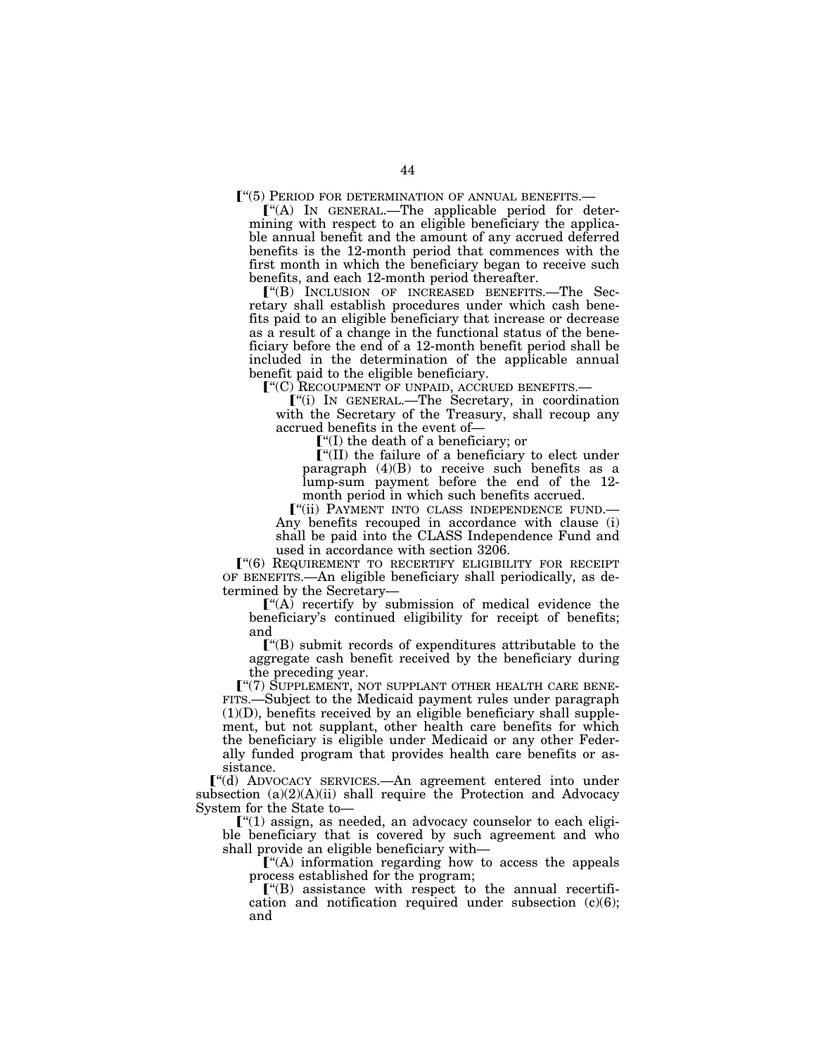**[**"(5) PERIOD FOR DETERMINATION OF ANNUAL BENEFITS.-

 $\llbracket$ "(A) In GENERAL.—The applicable period for determining with respect to an eligible beneficiary the applicable annual benefit and the amount of any accrued deferred benefits is the 12-month period that commences with the first month in which the beneficiary began to receive such benefits, and each 12-month period thereafter.

ø''(B) INCLUSION OF INCREASED BENEFITS.—The Secretary shall establish procedures under which cash benefits paid to an eligible beneficiary that increase or decrease as a result of a change in the functional status of the beneficiary before the end of a 12-month benefit period shall be included in the determination of the applicable annual benefit paid to the eligible beneficiary.

ø''(C) RECOUPMENT OF UNPAID, ACCRUED BENEFITS.—

ø''(i) IN GENERAL.—The Secretary, in coordination with the Secretary of the Treasury, shall recoup any accrued benefits in the event of—

 $\lceil$  "(I) the death of a beneficiary; or

 $\llbracket$ <sup>"(II)</sup> the failure of a beneficiary to elect under paragraph (4)(B) to receive such benefits as a lump-sum payment before the end of the 12 month period in which such benefits accrued.

<sup>"</sup>(ii) PAYMENT INTO CLASS INDEPENDENCE FUND. Any benefits recouped in accordance with clause (i) shall be paid into the CLASS Independence Fund and used in accordance with section 3206.

ø''(6) REQUIREMENT TO RECERTIFY ELIGIBILITY FOR RECEIPT OF BENEFITS.—An eligible beneficiary shall periodically, as determined by the Secretary—

 $\lceil$  "(A) recertify by submission of medical evidence the beneficiary's continued eligibility for receipt of benefits; and

 $\lbrack$ <sup>"(B)</sup> submit records of expenditures attributable to the aggregate cash benefit received by the beneficiary during the preceding year.

<sup>"</sup>(7) SUPPLEMENT, NOT SUPPLANT OTHER HEALTH CARE BENE-FITS.—Subject to the Medicaid payment rules under paragraph  $(1)(D)$ , benefits received by an eligible beneficiary shall supplement, but not supplant, other health care benefits for which the beneficiary is eligible under Medicaid or any other Federally funded program that provides health care benefits or assistance.

ø''(d) ADVOCACY SERVICES.—An agreement entered into under subsection  $(a)(2)(A)(ii)$  shall require the Protection and Advocacy System for the State to—

 $(1)$  assign, as needed, an advocacy counselor to each eligible beneficiary that is covered by such agreement and who shall provide an eligible beneficiary with—

 $\mathbf{C}^{\mu}(A)$  information regarding how to access the appeals process established for the program;

 $\lceil$  "(B) assistance with respect to the annual recertification and notification required under subsection  $(c)(6)$ ; and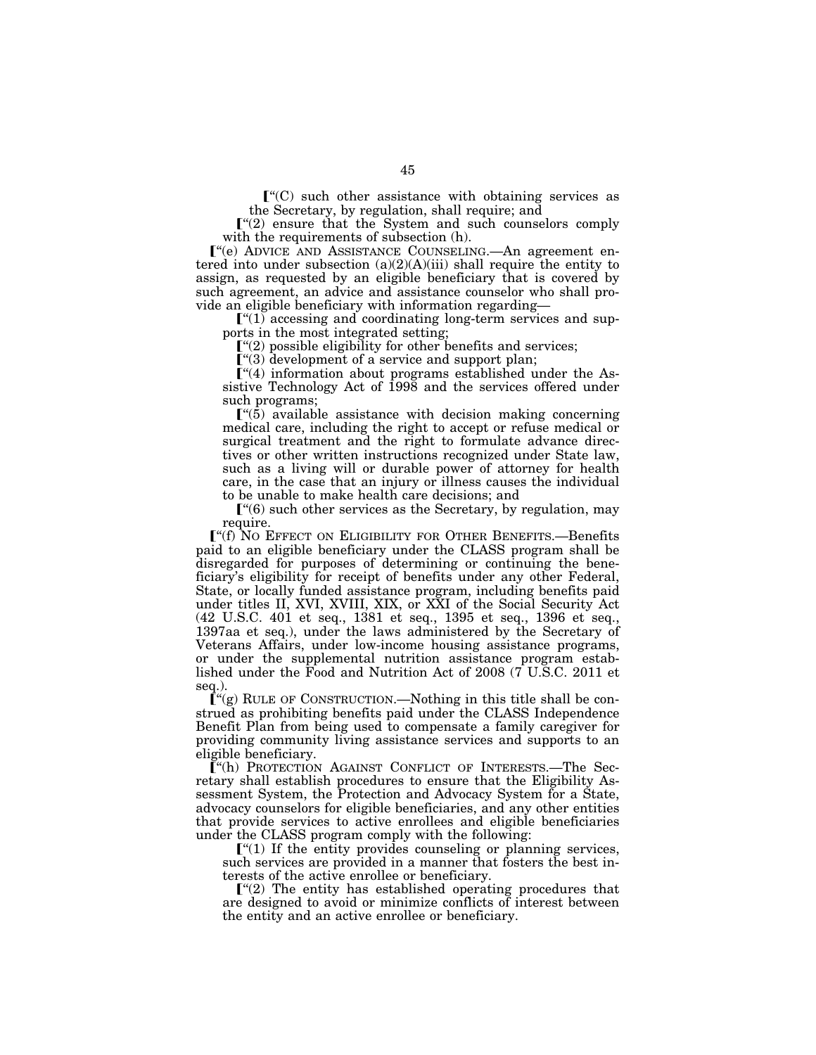$\lceil$  "(C) such other assistance with obtaining services as the Secretary, by regulation, shall require; and

 $\llbracket$  "(2) ensure that the System and such counselors comply with the requirements of subsection (h).

ø''(e) ADVICE AND ASSISTANCE COUNSELING.—An agreement entered into under subsection  $(a)(2)(A)(iii)$  shall require the entity to assign, as requested by an eligible beneficiary that is covered by such agreement, an advice and assistance counselor who shall provide an eligible beneficiary with information regarding—

 $\llbracket$ <sup>"(1)</sup> accessing and coordinating long-term services and supports in the most integrated setting;

 $\lceil$  (2) possible eligibility for other benefits and services;

 $\llbracket$ <sup>"(3)</sup> development of a service and support plan;

 $\llbracket$ "(4) information about programs established under the Assistive Technology Act of 1998 and the services offered under such programs;

 $\lceil$  (5) available assistance with decision making concerning medical care, including the right to accept or refuse medical or surgical treatment and the right to formulate advance directives or other written instructions recognized under State law, such as a living will or durable power of attorney for health care, in the case that an injury or illness causes the individual to be unable to make health care decisions; and

 $\lbrack$ <sup>"(6)</sup> such other services as the Secretary, by regulation, may require.

ø''(f) NO EFFECT ON ELIGIBILITY FOR OTHER BENEFITS.—Benefits paid to an eligible beneficiary under the CLASS program shall be disregarded for purposes of determining or continuing the beneficiary's eligibility for receipt of benefits under any other Federal, State, or locally funded assistance program, including benefits paid under titles II, XVI, XVIII, XIX, or XXI of the Social Security Act (42 U.S.C. 401 et seq., 1381 et seq., 1395 et seq., 1396 et seq., 1397aa et seq.), under the laws administered by the Secretary of Veterans Affairs, under low-income housing assistance programs, or under the supplemental nutrition assistance program established under the Food and Nutrition Act of 2008 (7 U.S.C. 2011 et seq.).

 $\lbrack$ "(g) RULE OF CONSTRUCTION.—Nothing in this title shall be construed as prohibiting benefits paid under the CLASS Independence Benefit Plan from being used to compensate a family caregiver for providing community living assistance services and supports to an eligible beneficiary.

<sup>"</sup>(h) PROTECTION AGAINST CONFLICT OF INTERESTS.—The Secretary shall establish procedures to ensure that the Eligibility Assessment System, the Protection and Advocacy System for a State, advocacy counselors for eligible beneficiaries, and any other entities that provide services to active enrollees and eligible beneficiaries under the CLASS program comply with the following:

 $\llbracket$ "(1) If the entity provides counseling or planning services, such services are provided in a manner that fosters the best interests of the active enrollee or beneficiary.

 $\lceil$  "(2) The entity has established operating procedures that are designed to avoid or minimize conflicts of interest between the entity and an active enrollee or beneficiary.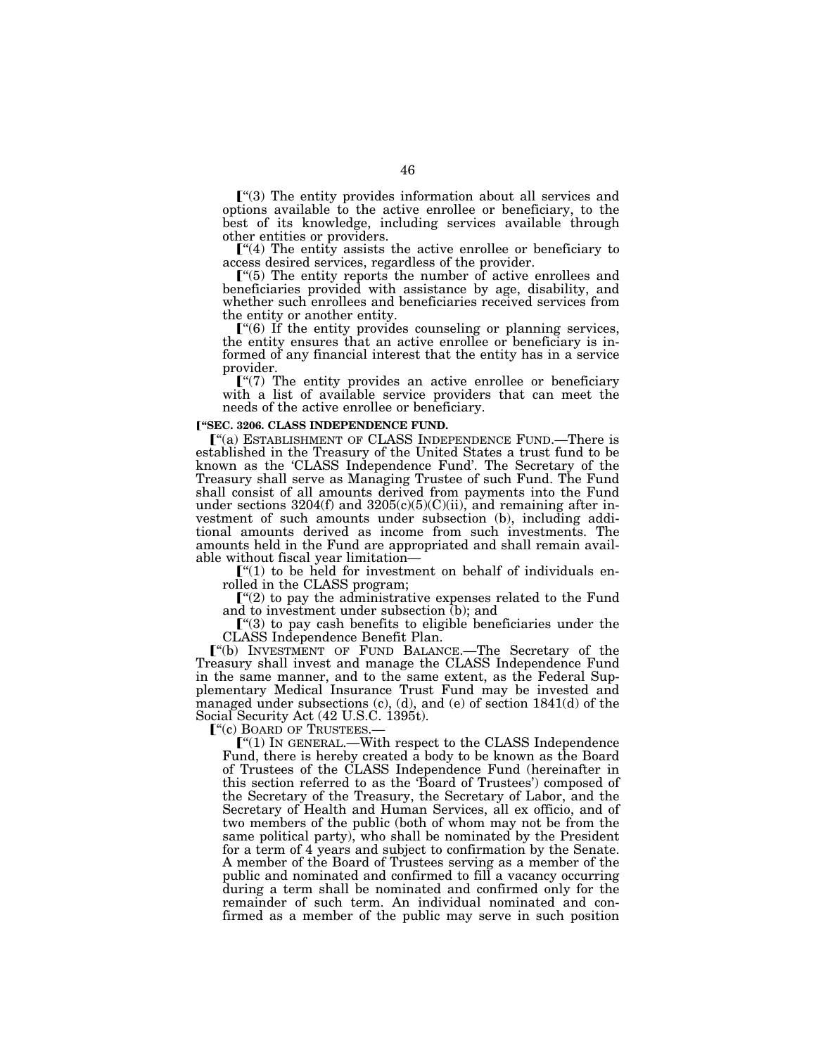$\lceil$  "(3) The entity provides information about all services and options available to the active enrollee or beneficiary, to the best of its knowledge, including services available through other entities or providers.

 $\llbracket$  "(4) The entity assists the active enrollee or beneficiary to access desired services, regardless of the provider.

 $\lbrack$  ( $(5)$ ) The entity reports the number of active enrollees and beneficiaries provided with assistance by age, disability, and whether such enrollees and beneficiaries received services from the entity or another entity.

 $\mathbf{I}^*(6)$  If the entity provides counseling or planning services, the entity ensures that an active enrollee or beneficiary is informed of any financial interest that the entity has in a service provider.

 $\llbracket$ <sup>"(7)</sup> The entity provides an active enrollee or beneficiary with a list of available service providers that can meet the needs of the active enrollee or beneficiary.

### ø**''SEC. 3206. CLASS INDEPENDENCE FUND.**

**[**"(a) ESTABLISHMENT OF CLASS INDEPENDENCE FUND.—There is established in the Treasury of the United States a trust fund to be known as the 'CLASS Independence Fund'. The Secretary of the Treasury shall serve as Managing Trustee of such Fund. The Fund shall consist of all amounts derived from payments into the Fund under sections  $3204(f)$  and  $3205(c)(5)(C)(ii)$ , and remaining after investment of such amounts under subsection (b), including additional amounts derived as income from such investments. The amounts held in the Fund are appropriated and shall remain available without fiscal year limitation—

 $\llbracket$ "(1) to be held for investment on behalf of individuals enrolled in the CLASS program;

 $\llbracket$ "(2) to pay the administrative expenses related to the Fund and to investment under subsection (b); and

 $\lceil$  (3) to pay cash benefits to eligible beneficiaries under the CLASS Independence Benefit Plan.

ø''(b) INVESTMENT OF FUND BALANCE.—The Secretary of the Treasury shall invest and manage the CLASS Independence Fund in the same manner, and to the same extent, as the Federal Supplementary Medical Insurance Trust Fund may be invested and managed under subsections (c), (d), and (e) of section 1841(d) of the Social Security Act (42 U.S.C. 1395t).

 $"$ (c) BOARD OF TRUSTEES.

 $\lbrack$  (1) In GENERAL.—With respect to the CLASS Independence Fund, there is hereby created a body to be known as the Board of Trustees of the CLASS Independence Fund (hereinafter in this section referred to as the 'Board of Trustees') composed of the Secretary of the Treasury, the Secretary of Labor, and the Secretary of Health and Human Services, all ex officio, and of two members of the public (both of whom may not be from the same political party), who shall be nominated by the President for a term of 4 years and subject to confirmation by the Senate. A member of the Board of Trustees serving as a member of the public and nominated and confirmed to fill a vacancy occurring during a term shall be nominated and confirmed only for the remainder of such term. An individual nominated and confirmed as a member of the public may serve in such position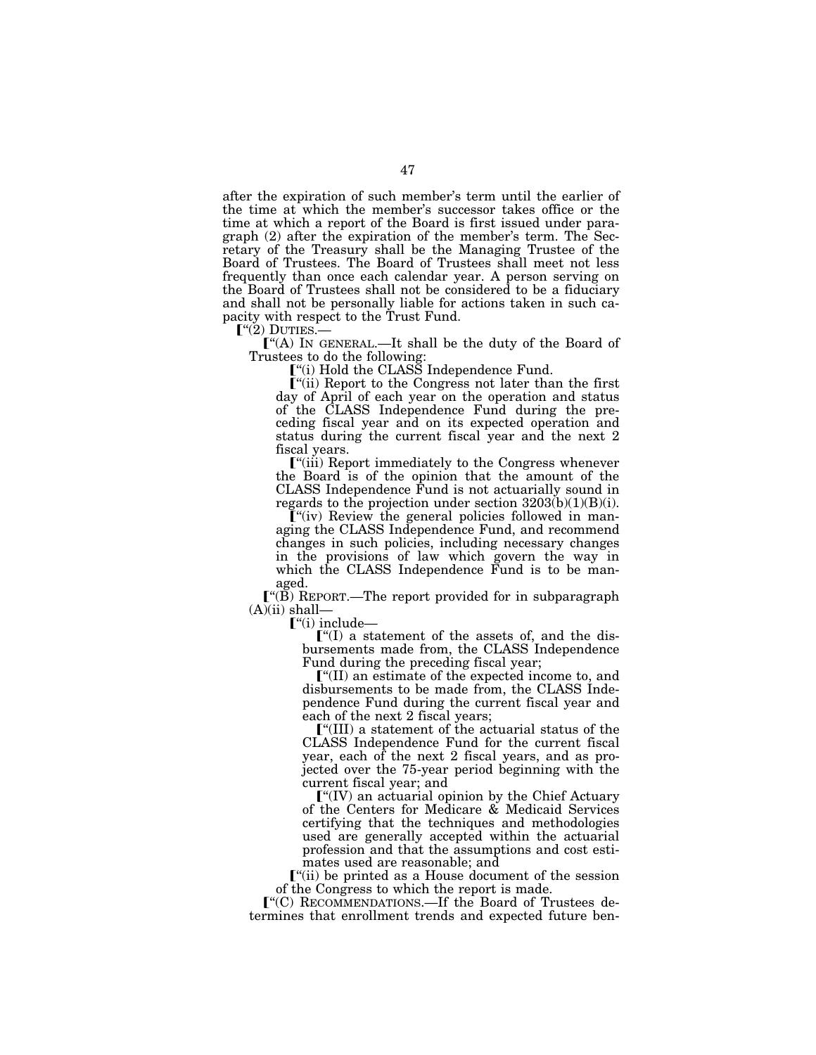after the expiration of such member's term until the earlier of the time at which the member's successor takes office or the time at which a report of the Board is first issued under paragraph (2) after the expiration of the member's term. The Secretary of the Treasury shall be the Managing Trustee of the Board of Trustees. The Board of Trustees shall meet not less frequently than once each calendar year. A person serving on the Board of Trustees shall not be considered to be a fiduciary and shall not be personally liable for actions taken in such capacity with respect to the Trust Fund.<br> $\int_{0}^{\infty}$  ( $\int_{0}^{\infty}$ ) DUTIES.

 $\llbracket$ "(A) In GENERAL.—It shall be the duty of the Board of Trustees to do the following:

ø''(i) Hold the CLASS Independence Fund.

ø''(ii) Report to the Congress not later than the first day of April of each year on the operation and status of the CLASS Independence Fund during the preceding fiscal year and on its expected operation and status during the current fiscal year and the next 2 fiscal years.

 $\lceil$ "(iii) Report immediately to the Congress whenever the Board is of the opinion that the amount of the CLASS Independence Fund is not actuarially sound in regards to the projection under section  $3203(b)(1)(B)(i)$ .

 $\lceil$  "(iv) Review the general policies followed in managing the CLASS Independence Fund, and recommend changes in such policies, including necessary changes in the provisions of law which govern the way in which the CLASS Independence Fund is to be managed.

 $\mathbf{F}^{\prime}(\widetilde{\mathbf{B}})$  REPORT.—The report provided for in subparagraph  $(A)(ii)$  shall—

 $\lbrack$ "(i) include—

 $\lceil$  (I) a statement of the assets of, and the disbursements made from, the CLASS Independence Fund during the preceding fiscal year;

ø''(II) an estimate of the expected income to, and disbursements to be made from, the CLASS Independence Fund during the current fiscal year and each of the next 2 fiscal years;

ø''(III) a statement of the actuarial status of the CLASS Independence Fund for the current fiscal year, each of the next 2 fiscal years, and as projected over the 75-year period beginning with the current fiscal year; and

 $\llbracket$ "(IV) an actuarial opinion by the Chief Actuary of the Centers for Medicare & Medicaid Services certifying that the techniques and methodologies used are generally accepted within the actuarial profession and that the assumptions and cost estimates used are reasonable; and

 $\lbrack$ "(ii) be printed as a House document of the session of the Congress to which the report is made.

ø''(C) RECOMMENDATIONS.—If the Board of Trustees determines that enrollment trends and expected future ben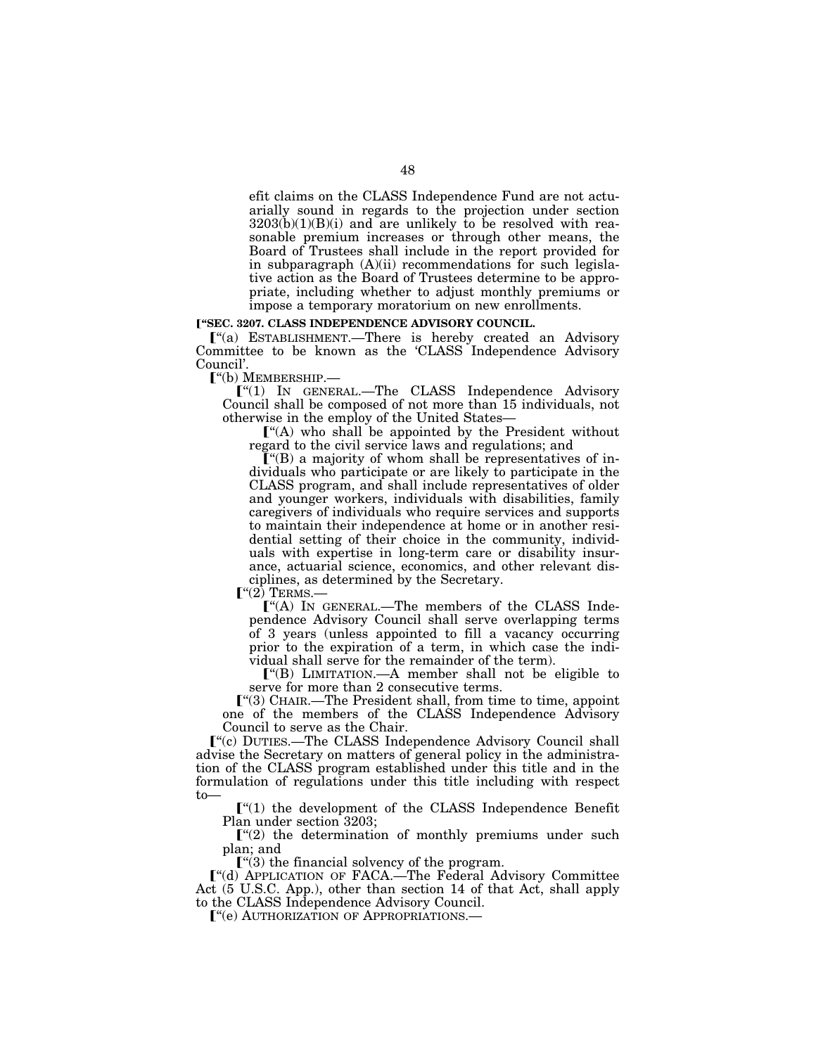efit claims on the CLASS Independence Fund are not actuarially sound in regards to the projection under section  $3203(b)(1)(B)(i)$  and are unlikely to be resolved with reasonable premium increases or through other means, the Board of Trustees shall include in the report provided for in subparagraph (A)(ii) recommendations for such legislative action as the Board of Trustees determine to be appropriate, including whether to adjust monthly premiums or impose a temporary moratorium on new enrollments.

### ø**''SEC. 3207. CLASS INDEPENDENCE ADVISORY COUNCIL.**

ø''(a) ESTABLISHMENT.—There is hereby created an Advisory Committee to be known as the 'CLASS Independence Advisory Council'.

ø''(b) MEMBERSHIP.—

 $\lceil$ "(1) IN GENERAL.—The CLASS Independence Advisory Council shall be composed of not more than 15 individuals, not otherwise in the employ of the United States—

 $\llbracket$ "(A) who shall be appointed by the President without regard to the civil service laws and regulations; and

 $\tilde{\mathbf{I}}^{\text{w}}(\text{B})$  a majority of whom shall be representatives of individuals who participate or are likely to participate in the CLASS program, and shall include representatives of older and younger workers, individuals with disabilities, family caregivers of individuals who require services and supports to maintain their independence at home or in another residential setting of their choice in the community, individuals with expertise in long-term care or disability insurance, actuarial science, economics, and other relevant disciplines, as determined by the Secretary.

 $\lceil$ "(2) TERMS.-

 $\lbrack$  ("(A) In GENERAL.—The members of the CLASS Independence Advisory Council shall serve overlapping terms of 3 years (unless appointed to fill a vacancy occurring prior to the expiration of a term, in which case the individual shall serve for the remainder of the term).

 $\llbracket$ <sup>"(B)</sup> LIMITATION.—A member shall not be eligible to serve for more than 2 consecutive terms.

ø''(3) CHAIR.—The President shall, from time to time, appoint one of the members of the CLASS Independence Advisory Council to serve as the Chair.

ø''(c) DUTIES.—The CLASS Independence Advisory Council shall advise the Secretary on matters of general policy in the administration of the CLASS program established under this title and in the formulation of regulations under this title including with respect to—

 $\lbrack$  ( $\lbrack$ ) the development of the CLASS Independence Benefit Plan under section 3203;

 $\llbracket$ "(2) the determination of monthly premiums under such plan; and

 $\lbrack$ <sup>"(3)</sup> the financial solvency of the program.

**[**"(d) APPLICATION OF FACA.—The Federal Advisory Committee Act (5 U.S.C. App.), other than section 14 of that Act, shall apply to the CLASS Independence Advisory Council.

ø''(e) AUTHORIZATION OF APPROPRIATIONS.—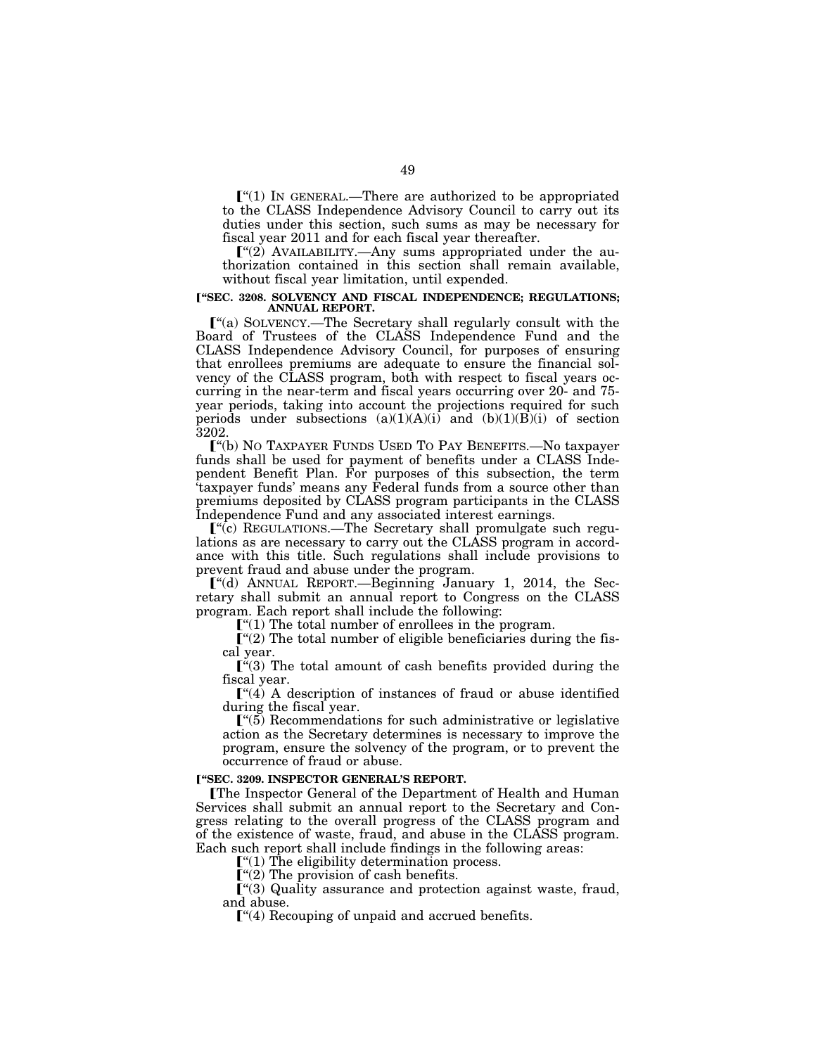$\lceil$  (1) In GENERAL.—There are authorized to be appropriated to the CLASS Independence Advisory Council to carry out its duties under this section, such sums as may be necessary for fiscal year 2011 and for each fiscal year thereafter.

 $\lbrack$  "(2) AVAILABILITY.—Any sums appropriated under the authorization contained in this section shall remain available, without fiscal year limitation, until expended.

### ø**''SEC. 3208. SOLVENCY AND FISCAL INDEPENDENCE; REGULATIONS; ANNUAL REPORT.**

ø''(a) SOLVENCY.—The Secretary shall regularly consult with the Board of Trustees of the CLASS Independence Fund and the CLASS Independence Advisory Council, for purposes of ensuring that enrollees premiums are adequate to ensure the financial solvency of the CLASS program, both with respect to fiscal years occurring in the near-term and fiscal years occurring over 20- and 75 year periods, taking into account the projections required for such periods under subsections  $(a)(1)(A)(i)$  and  $(b)(1)(B)(i)$  of section 3202.

ø''(b) NO TAXPAYER FUNDS USED TO PAY BENEFITS.—No taxpayer funds shall be used for payment of benefits under a CLASS Independent Benefit Plan. For purposes of this subsection, the term 'taxpayer funds' means any Federal funds from a source other than premiums deposited by CLASS program participants in the CLASS Independence Fund and any associated interest earnings.

 $\int^{\alpha}(c)$  REGULATIONS.—The Secretary shall promulgate such regulations as are necessary to carry out the CLASS program in accordance with this title. Such regulations shall include provisions to prevent fraud and abuse under the program.

ø''(d) ANNUAL REPORT.—Beginning January 1, 2014, the Secretary shall submit an annual report to Congress on the CLASS program. Each report shall include the following:

 $\lbrack$  (1) The total number of enrollees in the program.

 $\Gamma$ "(2) The total number of eligible beneficiaries during the fiscal year.

 $\llbracket$  "(3) The total amount of cash benefits provided during the fiscal year.

 $\lbrack$  (4) A description of instances of fraud or abuse identified during the fiscal year.

 $\lceil$  "(5) Recommendations for such administrative or legislative action as the Secretary determines is necessary to improve the program, ensure the solvency of the program, or to prevent the occurrence of fraud or abuse.

#### ø**''SEC. 3209. INSPECTOR GENERAL'S REPORT.**

øThe Inspector General of the Department of Health and Human Services shall submit an annual report to the Secretary and Congress relating to the overall progress of the CLASS program and of the existence of waste, fraud, and abuse in the CLASS program. Each such report shall include findings in the following areas:

 $\lceil$  "(1) The eligibility determination process.

 $\lceil$  "(2) The provision of cash benefits.

 $\lceil$  (3) Quality assurance and protection against waste, fraud, and abuse.

 $\llbracket$ <sup>"(4)</sup> Recouping of unpaid and accrued benefits.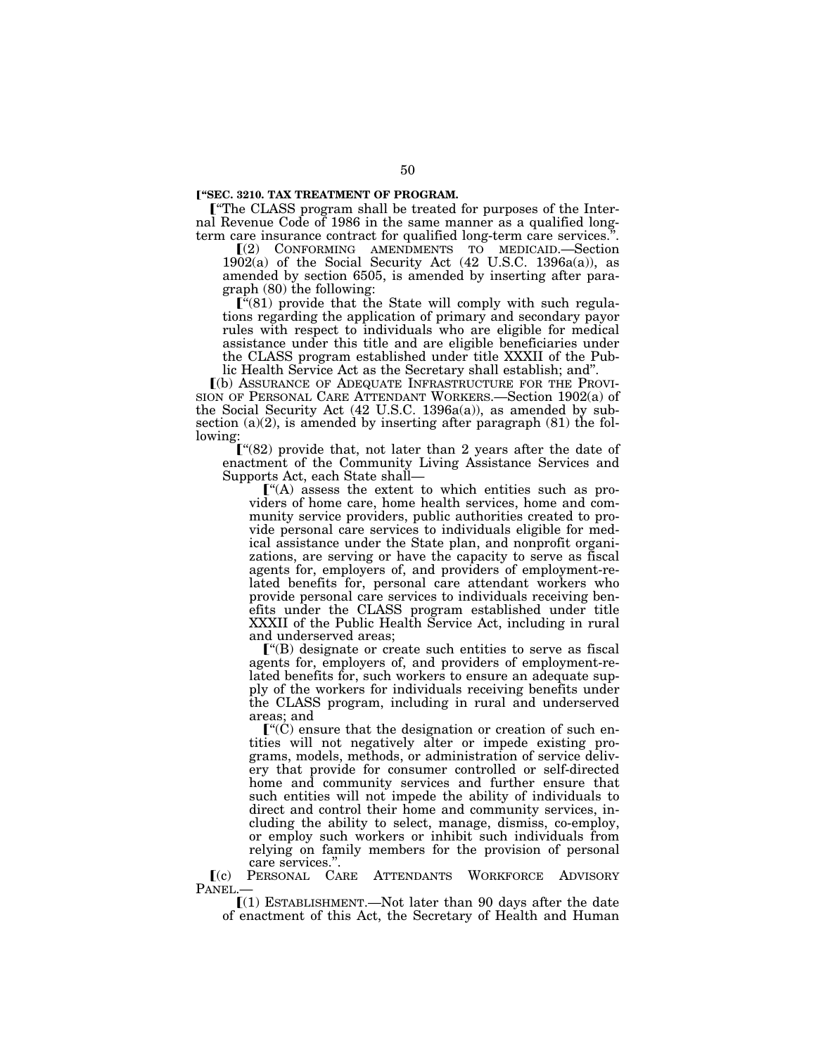#### ø**''SEC. 3210. TAX TREATMENT OF PROGRAM.**

ø''The CLASS program shall be treated for purposes of the Internal Revenue Code of 1986 in the same manner as a qualified longterm care insurance contract for qualified long-term care services.''.

ø(2) CONFORMING AMENDMENTS TO MEDICAID.—Section  $1902(a)$  of the Social Security Act (42 U.S.C. 1396a(a)), as amended by section 6505, is amended by inserting after paragraph (80) the following:

 $\mathbf{C}^{\alpha}(81)$  provide that the State will comply with such regulations regarding the application of primary and secondary payor rules with respect to individuals who are eligible for medical assistance under this title and are eligible beneficiaries under the CLASS program established under title XXXII of the Public Health Service Act as the Secretary shall establish; and''.

ø(b) ASSURANCE OF ADEQUATE INFRASTRUCTURE FOR THE PROVI-SION OF PERSONAL CARE ATTENDANT WORKERS.—Section 1902(a) of the Social Security Act (42 U.S.C. 1396a(a)), as amended by subsection  $(a)(2)$ , is amended by inserting after paragraph  $(81)$  the following:

 $\llbracket$ <sup>"(82)</sup> provide that, not later than 2 years after the date of enactment of the Community Living Assistance Services and Supports Act, each State shall—

 $\mathbb{I}^{\alpha}(A)$  assess the extent to which entities such as providers of home care, home health services, home and community service providers, public authorities created to provide personal care services to individuals eligible for medical assistance under the State plan, and nonprofit organizations, are serving or have the capacity to serve as fiscal agents for, employers of, and providers of employment-related benefits for, personal care attendant workers who provide personal care services to individuals receiving benefits under the CLASS program established under title XXXII of the Public Health Service Act, including in rural and underserved areas;

 $\lbrack$ <sup>"(B)</sup> designate or create such entities to serve as fiscal agents for, employers of, and providers of employment-related benefits for, such workers to ensure an adequate supply of the workers for individuals receiving benefits under the CLASS program, including in rural and underserved areas; and

 $\mathbf{I}^{\omega}(C)$  ensure that the designation or creation of such entities will not negatively alter or impede existing programs, models, methods, or administration of service delivery that provide for consumer controlled or self-directed home and community services and further ensure that such entities will not impede the ability of individuals to direct and control their home and community services, including the ability to select, manage, dismiss, co-employ, or employ such workers or inhibit such individuals from relying on family members for the provision of personal care services.''.

ø(c) PERSONAL CARE ATTENDANTS WORKFORCE ADVISORY PANEL.

 $(1)$  ESTABLISHMENT.—Not later than 90 days after the date of enactment of this Act, the Secretary of Health and Human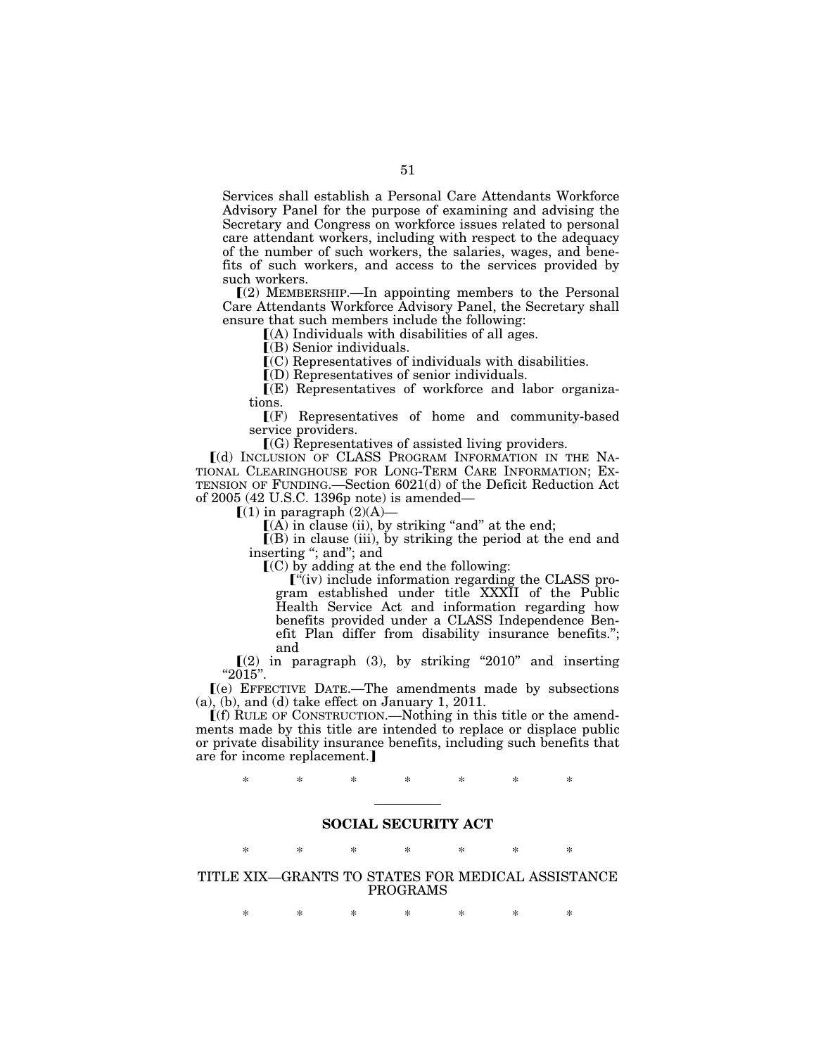Services shall establish a Personal Care Attendants Workforce Advisory Panel for the purpose of examining and advising the Secretary and Congress on workforce issues related to personal care attendant workers, including with respect to the adequacy of the number of such workers, the salaries, wages, and benefits of such workers, and access to the services provided by such workers.

 $(2)$  MEMBERSHIP.—In appointing members to the Personal Care Attendants Workforce Advisory Panel, the Secretary shall ensure that such members include the following:

 $(A)$  Individuals with disabilities of all ages.

 $\Gamma$ (B) Senior individuals.

 $\mathbf{C}(\mathbf{C})$  Representatives of individuals with disabilities.

 $\mathbf{I}(\mathbf{D})$  Representatives of senior individuals.

 $I(E)$  Representatives of workforce and labor organizations.

ø(F) Representatives of home and community-based service providers.

 $[(G)$  Representatives of assisted living providers.

 $\lceil$ (d) INCLUSION OF CLASS PROGRAM INFORMATION IN THE NA-TIONAL CLEARINGHOUSE FOR LONG-TERM CARE INFORMATION; EX-TENSION OF FUNDING.—Section 6021(d) of the Deficit Reduction Act of 2005 (42 U.S.C. 1396p note) is amended—

 $(1)$  in paragraph  $(2)(A)$ —

 $[(A)$  in clause (ii), by striking "and" at the end;

 $(6)$  in clause (iii), by striking the period at the end and inserting "; and"; and

 $\mathbf{C}(C)$  by adding at the end the following:

 $\lceil$ "(iv) include information regarding the CLASS program established under title XXXII of the Public Health Service Act and information regarding how benefits provided under a CLASS Independence Benefit Plan differ from disability insurance benefits.''; and

 $(2)$  in paragraph (3), by striking "2010" and inserting  $"2015"$ .

ø(e) EFFECTIVE DATE.—The amendments made by subsections (a), (b), and (d) take effect on January 1, 2011.

 $[(f)$  RULE OF CONSTRUCTION.—Nothing in this title or the amendments made by this title are intended to replace or displace public or private disability insurance benefits, including such benefits that are for income replacement.]

\* \* \* \* \* \* \*

## **SOCIAL SECURITY ACT**

\* \* \* \* \* \* \*

## TITLE XIX—GRANTS TO STATES FOR MEDICAL ASSISTANCE PROGRAMS

\* \* \* \* \* \* \*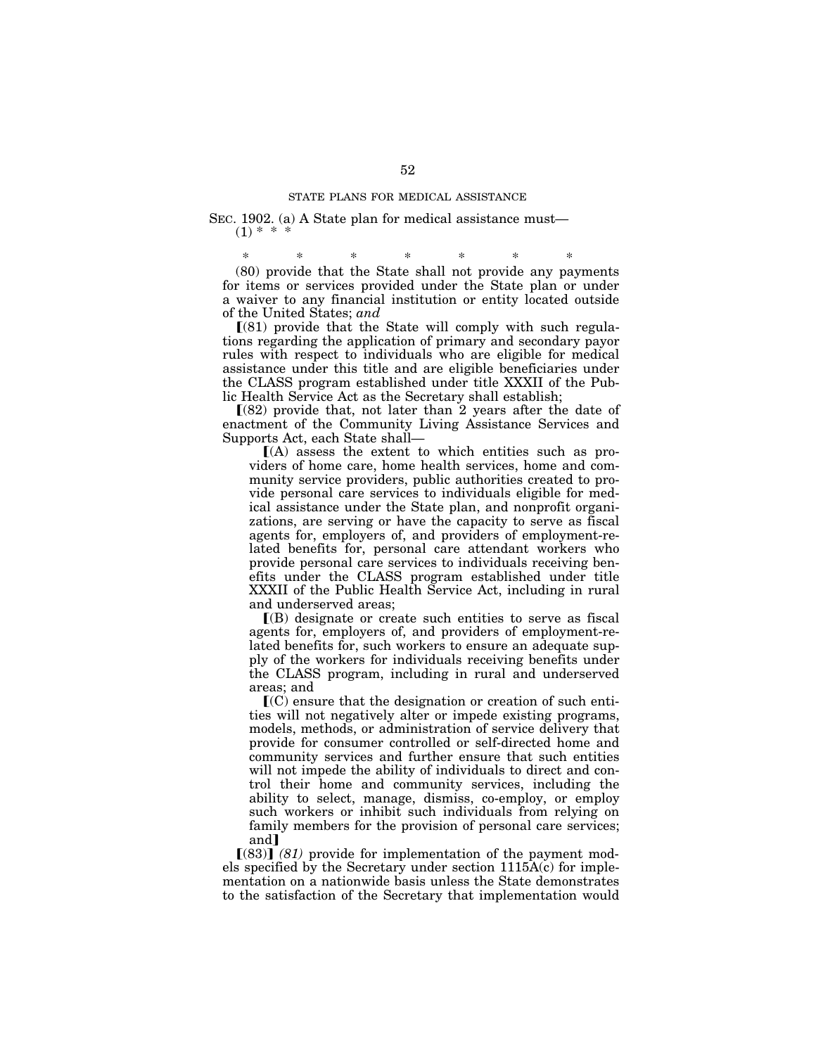#### STATE PLANS FOR MEDICAL ASSISTANCE

SEC. 1902. (a) A State plan for medical assistance must—  $(1)$  \* \*

\* \* \* \* \* \* \* (80) provide that the State shall not provide any payments for items or services provided under the State plan or under a waiver to any financial institution or entity located outside of the United States; *and* 

 $(81)$  provide that the State will comply with such regulations regarding the application of primary and secondary payor rules with respect to individuals who are eligible for medical assistance under this title and are eligible beneficiaries under the CLASS program established under title XXXII of the Public Health Service Act as the Secretary shall establish;

 $(82)$  provide that, not later than 2 years after the date of enactment of the Community Living Assistance Services and Supports Act, each State shall—

 $(A)$  assess the extent to which entities such as providers of home care, home health services, home and community service providers, public authorities created to provide personal care services to individuals eligible for medical assistance under the State plan, and nonprofit organizations, are serving or have the capacity to serve as fiscal agents for, employers of, and providers of employment-related benefits for, personal care attendant workers who provide personal care services to individuals receiving benefits under the CLASS program established under title XXXII of the Public Health Service Act, including in rural and underserved areas;

 $\Gamma(B)$  designate or create such entities to serve as fiscal agents for, employers of, and providers of employment-related benefits for, such workers to ensure an adequate supply of the workers for individuals receiving benefits under the CLASS program, including in rural and underserved areas; and

 $\mathbf{C}(C)$  ensure that the designation or creation of such entities will not negatively alter or impede existing programs, models, methods, or administration of service delivery that provide for consumer controlled or self-directed home and community services and further ensure that such entities will not impede the ability of individuals to direct and control their home and community services, including the ability to select, manage, dismiss, co-employ, or employ such workers or inhibit such individuals from relying on family members for the provision of personal care services; and<sup>1</sup>

 $(83)$  (81) provide for implementation of the payment models specified by the Secretary under section 1115A(c) for implementation on a nationwide basis unless the State demonstrates to the satisfaction of the Secretary that implementation would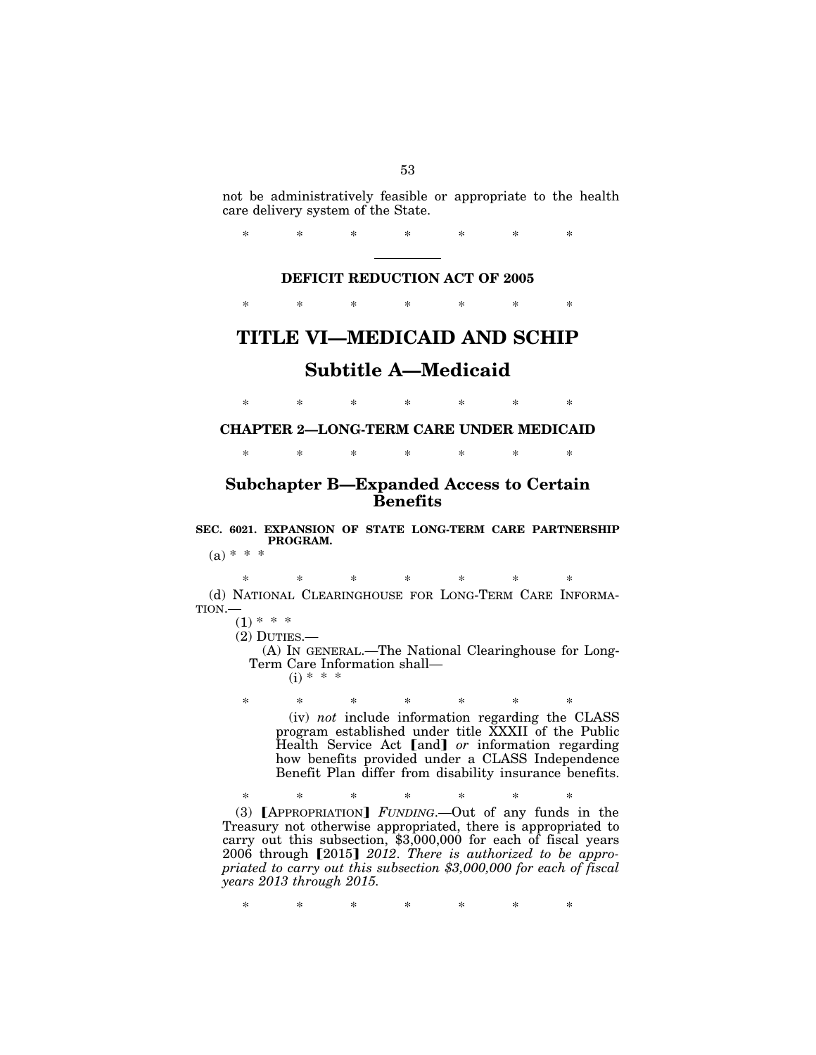not be administratively feasible or appropriate to the health care delivery system of the State.

**DEFICIT REDUCTION ACT OF 2005** 

\* \* \* \* \* \* \*

\* \* \* \* \* \* \*

# **TITLE VI—MEDICAID AND SCHIP**

## **Subtitle A—Medicaid**

\* \* \* \* \* \* \*

**CHAPTER 2—LONG-TERM CARE UNDER MEDICAID**  \* \* \* \* \* \* \*

## **Subchapter B—Expanded Access to Certain Benefits**

**SEC. 6021. EXPANSION OF STATE LONG-TERM CARE PARTNERSHIP PROGRAM.** 

 $(a) * * *$ 

\* \* \* \* \* \* \* (d) NATIONAL CLEARINGHOUSE FOR LONG-TERM CARE INFORMA-TION.—

 $(1) * * *$ 

(2) DUTIES.—

(A) IN GENERAL.—The National Clearinghouse for Long-Term Care Information shall—

 $(i) * * * *$ 

\* \* \* \* \* \* \* (iv) *not* include information regarding the CLASS program established under title XXXII of the Public Health Service Act [and] or information regarding how benefits provided under a CLASS Independence Benefit Plan differ from disability insurance benefits.

\* \* \* \* \* \* \*

(3) [APPROPRIATION] *FUNDING*.—Out of any funds in the Treasury not otherwise appropriated, there is appropriated to carry out this subsection, \$3,000,000 for each of fiscal years 2006 through [2015] 2012. *There is authorized to be appropriated to carry out this subsection \$3,000,000 for each of fiscal years 2013 through 2015.* 

\* \* \* \* \* \* \*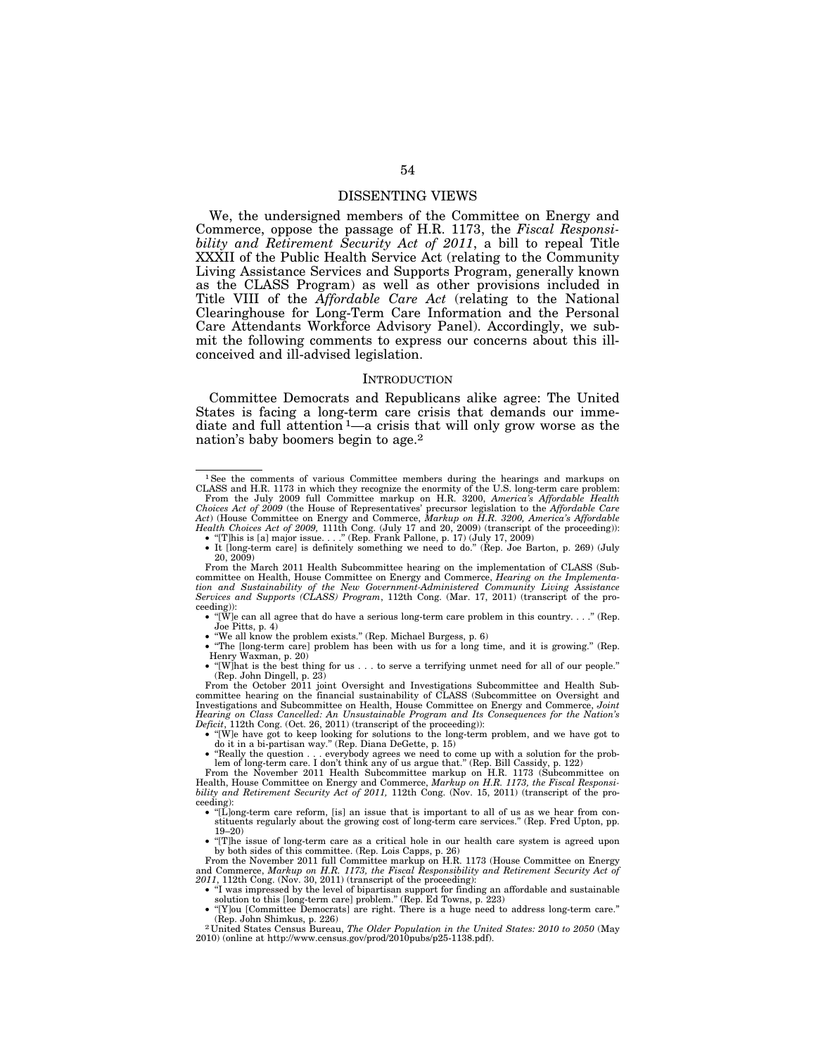## DISSENTING VIEWS

We, the undersigned members of the Committee on Energy and Commerce, oppose the passage of H.R. 1173, the *Fiscal Responsibility and Retirement Security Act of 2011*, a bill to repeal Title XXXII of the Public Health Service Act (relating to the Community Living Assistance Services and Supports Program, generally known as the CLASS Program) as well as other provisions included in Title VIII of the *Affordable Care Act* (relating to the National Clearinghouse for Long-Term Care Information and the Personal Care Attendants Workforce Advisory Panel). Accordingly, we submit the following comments to express our concerns about this illconceived and ill-advised legislation.

#### **INTRODUCTION**

Committee Democrats and Republicans alike agree: The United States is facing a long-term care crisis that demands our immediate and full attention 1—a crisis that will only grow worse as the nation's baby boomers begin to age.2

From the November 2011 full Committee markup on H.R. 1173 (House Committee on Energy and Commerce, *Markup on H.R. 1173, the Fiscal Responsibility and Retirement Security Act of*  $2011$ , 112th Cong. (Nov. 30, 2011) (trans

<sup>1</sup>See the comments of various Committee members during the hearings and markups on CLASS and H.R. 1173 in which they recognize the enormity of the U.S. long-term care problem: From the July 2009 full Committee markup on H.R. 3200, *America's Affordable Health* 

Choices Act of 2009 (the House of Representatives' precursor legislation to the Affordable Care<br>Act) (House Committee on Energy and Commerce, Markup on H.R. 3200, America's Affordable<br>Health Choices Act of 2009, 111th Cong "[T]his is [a] major issue.  $\ldots$  " (Rep. Frank Pallone, p. 17) (July 17, 2009)

<sup>•</sup> It [long-term care] is definitely something we need to do.'' (Rep. Joe Barton, p. 269) (July 20, 2009)

From the March 2011 Health Subcommittee hearing on the implementation of CLASS (Subcommittee on Health, House Committee on Energy and Commerce, *Hearing on the Implementation and Sustainability of the New Government-Administered Community Living Assistance Services and Supports (CLASS) Program*, 112th Cong. (Mar. 17, 2011) (transcript of the proceeding)):

<sup>• &</sup>quot;[W]e can all agree that do have a serious long-term care problem in this country. . . ." (Rep. Joe Pitts, p. 4) • ''We all know the problem exists.'' (Rep. Michael Burgess, p. 6)

<sup>• &</sup>quot;The [long-term care] problem has been with us for a long time, and it is growing." (Rep. Henry Waxman, p. 20)

<sup>•</sup> ''[W]hat is the best thing for us . . . to serve a terrifying unmet need for all of our people.'' (Rep. John Dingell, p. 23) From the October 2011 joint Oversight and Investigations Subcommittee and Health Sub-

committee hearing on the financial sustainability of CLASS (Subcommittee on Oversight and Investigations and Subcommittee on Health, House Committee on Energy and Commerce, *Joint Hearing on Class Cancelled: An Unsustainable Program and Its Consequences for the Nation's Deficit*, 112th Cong. (Oct. 26, 2011) (transcript of the proceeding)):

<sup>•</sup> ''[W]e have got to keep looking for solutions to the long-term problem, and we have got to do it in a bi-partisan way.'' (Rep. Diana DeGette, p. 15)

<sup>•</sup> ''Really the question . . . everybody agrees we need to come up with a solution for the prob-lem of long-term care. I don't think any of us argue that.'' (Rep. Bill Cassidy, p. 122)

From the November 2011 Health Subcommittee markup on H.R. 1173 (Subcommittee on Health, House Committee on Energy and Commerce, *Markup on H.R. 1173, the Fiscal Responsibility and Retirement Security Act of 2011,* 112th Cong. (Nov. 15, 2011) (transcript of the proceeding):

<sup>•</sup> ''[L]ong-term care reform, [is] an issue that is important to all of us as we hear from con-stituents regularly about the growing cost of long-term care services.'' (Rep. Fred Upton, pp. 19–20)

<sup>•</sup> ''[T]he issue of long-term care as a critical hole in our health care system is agreed upon by both sides of this committee. (Rep. Lois Capps, p. 26)

solution to this [long-term care] problem.'' (Rep. Ed Towns, p. 223) • ''[Y]ou [Committee Democrats] are right. There is a huge need to address long-term care.''

<sup>(</sup>Rep. John Shimkus, p. 226) 2 United States Census Bureau, *The Older Population in the United States: 2010 to 2050* (May

<sup>2010) (</sup>online at http://www.census.gov/prod/2010pubs/p25-1138.pdf).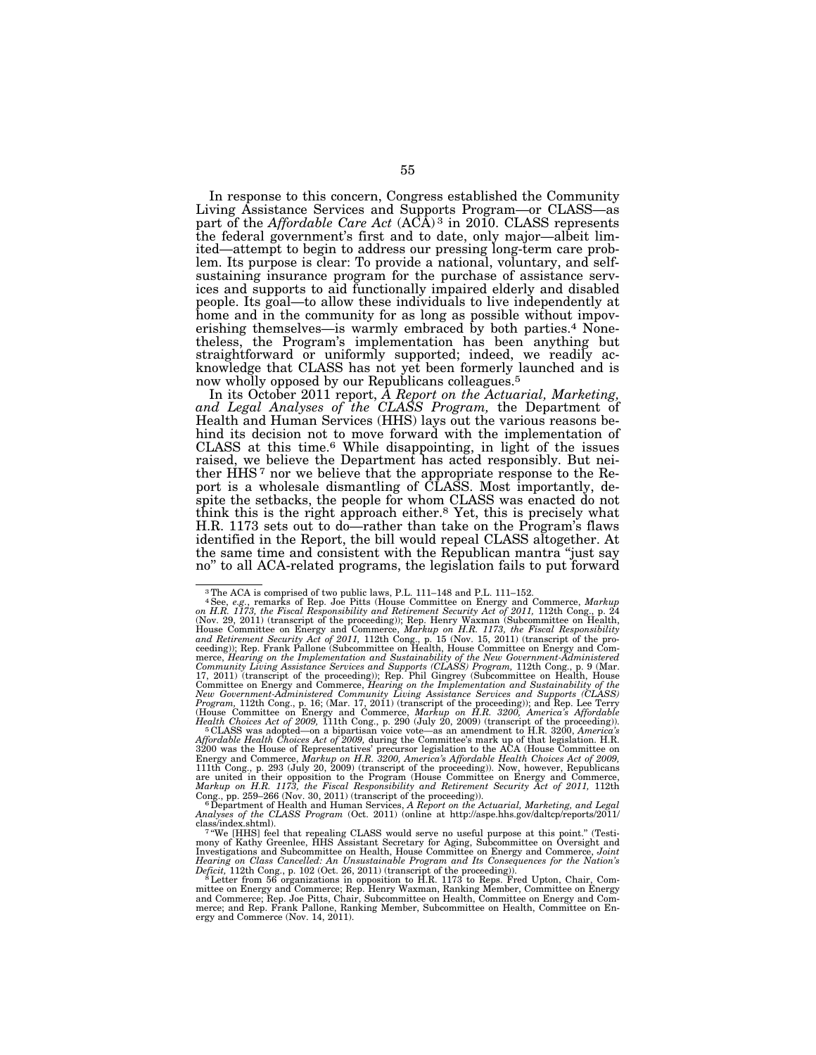In response to this concern, Congress established the Community Living Assistance Services and Supports Program—or CLASS—as part of the *Affordable Care Act* (ACA)<sup>3</sup> in 2010. CLASS represents the federal government's first and to date, only major—albeit limited—attempt to begin to address our pressing long-term care problem. Its purpose is clear: To provide a national, voluntary, and selfsustaining insurance program for the purchase of assistance services and supports to aid functionally impaired elderly and disabled people. Its goal—to allow these individuals to live independently at home and in the community for as long as possible without impoverishing themselves—is warmly embraced by both parties.<sup>4</sup> Nonetheless, the Program's implementation has been anything but straightforward or uniformly supported; indeed, we readily acknowledge that CLASS has not yet been formerly launched and is now wholly opposed by our Republicans colleagues.5

In its October 2011 report, *A Report on the Actuarial, Marketing, and Legal Analyses of the CLASS Program,* the Department of Health and Human Services (HHS) lays out the various reasons behind its decision not to move forward with the implementation of CLASS at this time.6 While disappointing, in light of the issues raised, we believe the Department has acted responsibly. But neither HHS 7 nor we believe that the appropriate response to the Report is a wholesale dismantling of CLASS. Most importantly, despite the setbacks, the people for whom CLASS was enacted do not think this is the right approach either.8 Yet, this is precisely what H.R. 1173 sets out to do—rather than take on the Program's flaws identified in the Report, the bill would repeal CLASS altogether. At the same time and consistent with the Republican mantra ''just say no'' to all ACA-related programs, the legislation fails to put forward

<sup>&</sup>lt;sup>3</sup>The ACA is comprised of two public laws, P.L. 111–148 and P.L. 111–152.<br>
<sup>4</sup>The ACA is comprised of Rep. Joe Pitts (House Committee on Energy and Commerce, *Markup* on H.R. 1773, the Fiscal Responsibility and Retiremen

Cong., pp. 259–266 (Nov. 30, 2011) (transcript of the proceeding)).<br>Cong., pp. 259–266 (Nov. 30, 2011) (transcript of the proceeding)).<br><sup>6</sup>Department of Health and Human Services, *A Report on the Actuarial, Marketing, and* 

*Analyses of the CLASS Program* (Oct. 2011) (online at http://aspe.hhs.gov/daltcp/reports/2011/ class/index.shtml). 7 ''We [HHS] feel that repealing CLASS would serve no useful purpose at this point.'' (Testi-

mony of Kathy Greenlee, HHS Assistant Secretary for Aging, Subcommittee on Oversight and<br>Investigations and Subcommittee on Health, House Committee on Energy and Commerce, Joint<br>Hearing on Class Cancelled: An Unsustainable

*Deficit,* 112th Cong., p. 102 (Oct. 26, 2011) (transcript of the proceeding)).<br><sup>8</sup> Letter from 56 organizations in opposition to H.R. 1173 to Reps. Fred Upton, Chair, Com-<br>mittee on Energy and Commerce; Rep. Henry Waxman, and Commerce; Rep. Joe Pitts, Chair, Subcommittee on Health, Committee on Energy and Com-merce; and Rep. Frank Pallone, Ranking Member, Subcommittee on Health, Committee on En-ergy and Commerce (Nov. 14, 2011).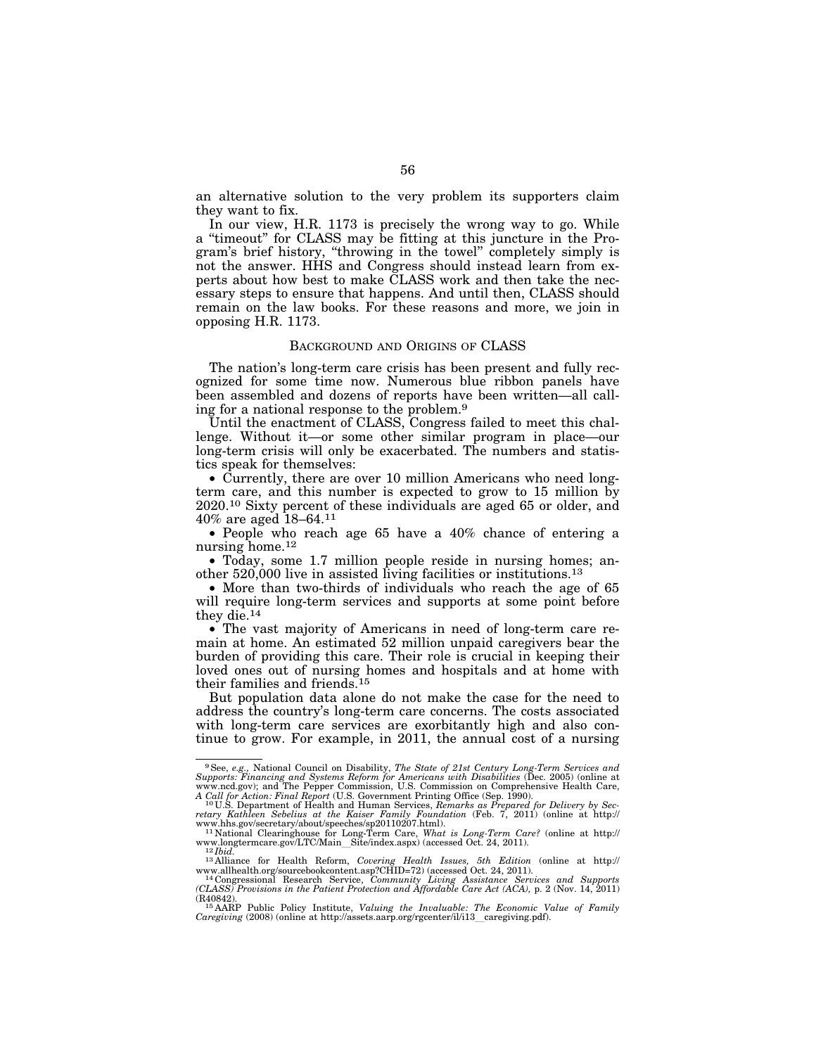an alternative solution to the very problem its supporters claim they want to fix.

In our view, H.R. 1173 is precisely the wrong way to go. While a "timeout" for CLASS may be fitting at this juncture in the Program's brief history, ''throwing in the towel'' completely simply is not the answer. HHS and Congress should instead learn from experts about how best to make CLASS work and then take the necessary steps to ensure that happens. And until then, CLASS should remain on the law books. For these reasons and more, we join in opposing H.R. 1173.

#### BACKGROUND AND ORIGINS OF CLASS

The nation's long-term care crisis has been present and fully recognized for some time now. Numerous blue ribbon panels have been assembled and dozens of reports have been written—all calling for a national response to the problem.9

Until the enactment of CLASS, Congress failed to meet this challenge. Without it—or some other similar program in place—our long-term crisis will only be exacerbated. The numbers and statistics speak for themselves:

• Currently, there are over 10 million Americans who need longterm care, and this number is expected to grow to 15 million by 2020.10 Sixty percent of these individuals are aged 65 or older, and 40% are aged 18–64.11

• People who reach age 65 have a 40% chance of entering a nursing home.12

• Today, some 1.7 million people reside in nursing homes; another  $520,000$  live in assisted living facilities or institutions.<sup>13</sup>

• More than two-thirds of individuals who reach the age of 65 will require long-term services and supports at some point before they die.<sup>14</sup>

• The vast majority of Americans in need of long-term care remain at home. An estimated 52 million unpaid caregivers bear the burden of providing this care. Their role is crucial in keeping their loved ones out of nursing homes and hospitals and at home with their families and friends.15

But population data alone do not make the case for the need to address the country's long-term care concerns. The costs associated with long-term care services are exorbitantly high and also continue to grow. For example, in 2011, the annual cost of a nursing

<sup>9</sup>See, *e.g.,* National Council on Disability, *The State of 21st Century Long-Term Services and Supports: Financing and Systems Reform for Americans with Disabilities* (Dec. 2005) (online at www.ncd.gov); and The Pepper Commission, U.S. Commission on Comprehensive Health Care,<br>A Call for Action: Final Report (U.S. Government Printing Office (Sep. 1990).<br><sup>10</sup>U.S. Department of Health and Human Services, *Remark* 

retary Kathleen Sebelius at the Kaiser Family Foundation (Feb. 7, 2011) (online at http://<br>www.hhs.gov/secretary/about/speeches/sp20110207.html).<br><sup>11</sup>National Clearinghouse for Long-Term Care, What is Long-Term Care? (onli

www.longtermcare.gov/LTC/MainlSite/index.aspx) (accessed Oct. 24, 2011). 12 *Ibid.* <sup>13</sup> Alliance for Health Reform, *Covering Health Issues, 5th Edition* (online at http://

www.allhealth.org/sourcebookcontent.asp?CHID=72) (accessed Oct. 24, 2011).<br><sup>14</sup> Congressional Research Service, *Community Living Assistance Services and Supports*<br>(CLASS) Provisions in the Patient Protection and Affordabl

<sup>(</sup>R40842). 15 AARP Public Policy Institute, *Valuing the Invaluable: The Economic Value of Family Caregiving* (2008) (online at http://assets.aarp.org/rgcenter/il/i13\_caregiving.pdf).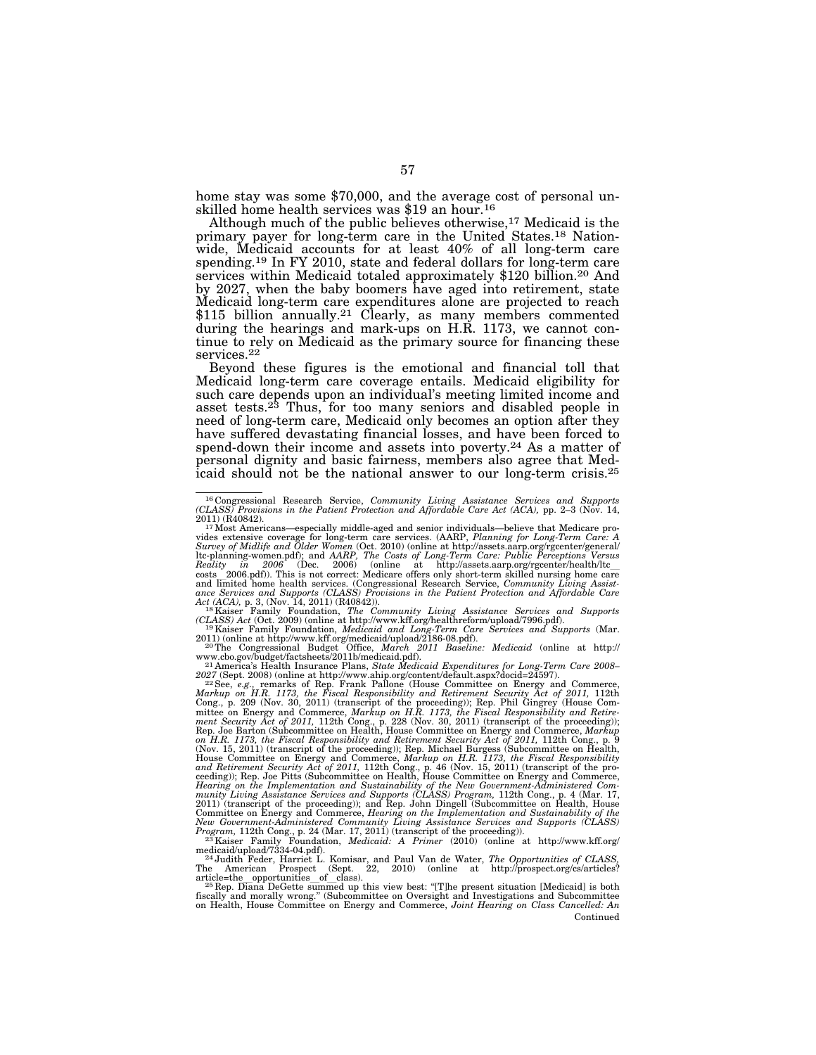home stay was some \$70,000, and the average cost of personal unskilled home health services was \$19 an hour.16

Although much of the public believes otherwise,17 Medicaid is the primary payer for long-term care in the United States.18 Nationwide, Medicaid accounts for at least 40% of all long-term care spending.<sup>19</sup> In FY 2010, state and federal dollars for long-term care services within Medicaid totaled approximately \$120 billion.<sup>20</sup> And by 2027, when the baby boomers have aged into retirement, state Medicaid long-term care expenditures alone are projected to reach \$115 billion annually.<sup>21</sup> Clearly, as many members commented during the hearings and mark-ups on H.R. 1173, we cannot continue to rely on Medicaid as the primary source for financing these services.<sup>22</sup>

Beyond these figures is the emotional and financial toll that Medicaid long-term care coverage entails. Medicaid eligibility for such care depends upon an individual's meeting limited income and asset tests.23 Thus, for too many seniors and disabled people in need of long-term care, Medicaid only becomes an option after they have suffered devastating financial losses, and have been forced to spend-down their income and assets into poverty.24 As a matter of personal dignity and basic fairness, members also agree that Medicaid should not be the national answer to our long-term crisis.25

*(CLASS) Act* (Oct. 2009) (online at http://www.kff.org/healthreform/upload/7996.pdf). 19Kaiser Family Foundation, *Medicaid and Long-Term Care Services and Supports* (Mar.

2011) (online at http://www.kff.org/medicaid/upload/2186-08.pdf). 20The Congressional Budget Office, *March 2011 Baseline: Medicaid* (online at http://

www.cbo.gov/budget/factsheets/2011b/medicaid.pdf). 21 America's Health Insurance Plans, *State Medicaid Expenditures for Long-Term Care 2008–* 

<sup>16</sup> Congressional Research Service, *Community Living Assistance Services and Supports (CLASS) Provisions in the Patient Protection and Affordable Care Act (ACA),* pp. 2–3 (Nov. 14, 2011) (R40842). 17Most Americans—especially middle-aged and senior individuals—believe that Medicare pro-

vides extensive coverage for long-term care services. (AARP, *Planning for Long-Term Care: A Survey of Midlife and Older Women* (Oct. 2010) (online at http://assets.aarp.org/rgcenter/general/ ltc-planning-women.pdf); and *AARP*, *The Costs of Long-Term Care: Public Perceptions Versus*<br>Reality in 2006 (Dec. 2006) (online at http://assets.aarp.org/rgcenter/health/ltc<br>costs \_2006,pdf). This is not correct: Medicar ance Services and Supports (CLASS) Provisions in the Patient Protection and Affordable Care<br>Act (ACA), p. 3, (Nov. 14, 2011) (R40842)).<br><sup>18</sup>Kaiser Family Foundation, *The Community Living Assistance Services and Supports* 

<sup>2027 (</sup>Sept. 2008) (online at http://www.ahip.org/content/default.aspx?docid=24597).<br>
<sup>22</sup>26e, *e.g.*, remarks of Rep. Frank Pallone (House Committee on Energy and Commerce,<br> *Markup on H.R. 1173, the Fiscal Responsibility* (Nov. 15, 2011) (transcript of the proceeding)); Rep. Michael Burgess (Subcommittee on Health,<br>House Committee on Energy and Commerce, Markup on H.R. 1173, the Fiscal Responsibility<br>and Retirement Security Act of 2011, 112 ceeding)); Rep. Joe Pitts (Subcommittee on Health, House Committee on Energy and Commerce, Hearing on the Implementation and Sustainability of the New Government-Administered Committy Living Assistance Services and Suppor

medicaid/upload/7334-04.pdf).<br><sup>241</sup>Judith Feder, Harriet L. Komisar, and Paul Van de Water, *The Opportunities of CLASS*,<br>The American Prospect (Sept. 22, 2010) (online at http://prospect.org/cs/articles?<br>article=the oppor

Continued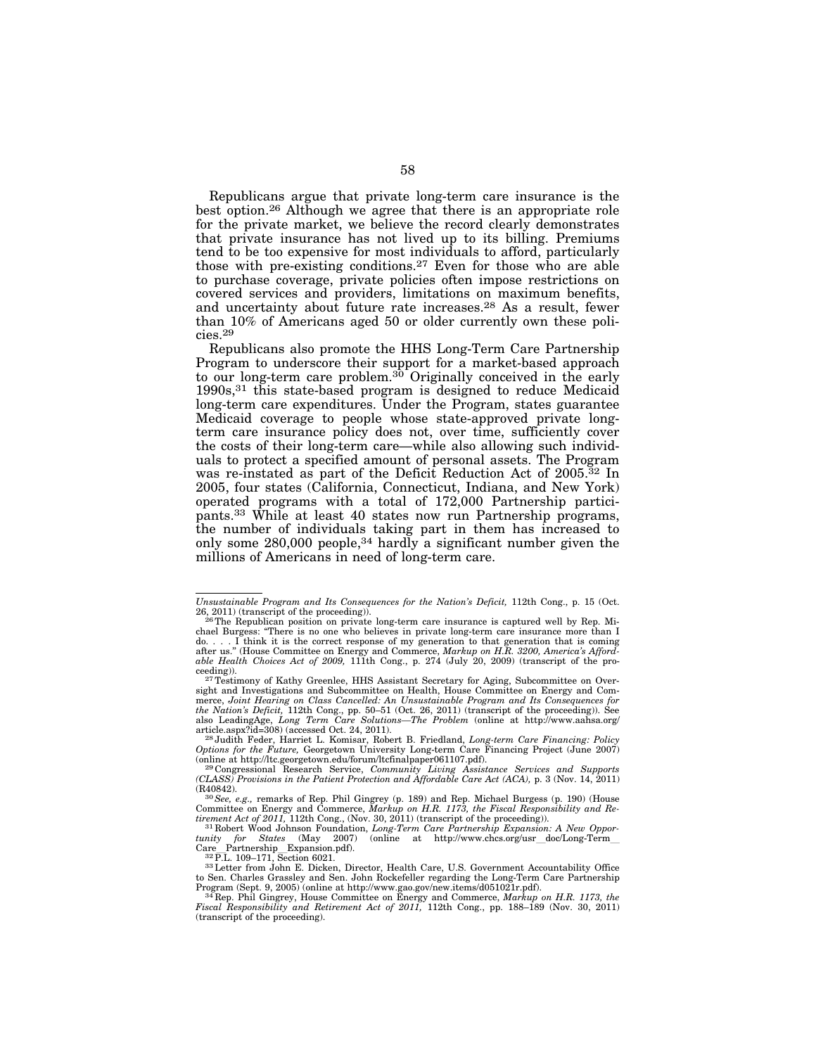Republicans argue that private long-term care insurance is the best option.26 Although we agree that there is an appropriate role for the private market, we believe the record clearly demonstrates that private insurance has not lived up to its billing. Premiums tend to be too expensive for most individuals to afford, particularly those with pre-existing conditions.27 Even for those who are able to purchase coverage, private policies often impose restrictions on covered services and providers, limitations on maximum benefits, and uncertainty about future rate increases.28 As a result, fewer than 10% of Americans aged 50 or older currently own these policies.29

Republicans also promote the HHS Long-Term Care Partnership Program to underscore their support for a market-based approach to our long-term care problem.30 Originally conceived in the early 1990s,31 this state-based program is designed to reduce Medicaid long-term care expenditures. Under the Program, states guarantee Medicaid coverage to people whose state-approved private longterm care insurance policy does not, over time, sufficiently cover the costs of their long-term care—while also allowing such individuals to protect a specified amount of personal assets. The Program was re-instated as part of the Deficit Reduction Act of 2005.32 In 2005, four states (California, Connecticut, Indiana, and New York) operated programs with a total of 172,000 Partnership participants.<sup>33</sup> While at least 40 states now run Partnership programs, the number of individuals taking part in them has increased to only some 280,000 people,34 hardly a significant number given the millions of Americans in need of long-term care.

*Unsustainable Program and Its Consequences for the Nation's Deficit,* 112th Cong., p. 15 (Oct. 26, 2011) (transcript of the proceeding)).

<sup>&</sup>lt;sup>26</sup>The Republican position on private long-term care insurance is captured well by Rep. Michael Burgess: ''There is no one who believes in private long-term care insurance more than I do. . . . I think it is the correct response of my generation to that generation that is coming after us.'' (House Committee on Energy and Commerce, *Markup on H.R. 3200, America's Affordable Health Choices Act of 2009, 111th Cong., p. 274 (July 20, 2009) (transcript of the pro-*

ceeding)).<br><sup>27</sup>Testimony of Kathy Greenlee, HHS Assistant Secretary for Aging, Subcommittee on Over-<br>sight and Investigations and Subcommittee on Health, House Committee on Energy and Commerce, *Joint Hearing on Class Cancelled: An Unsustainable Program and Its Consequences for the Nation's Deficit,* 112th Cong., pp. 50–51 (Oct. 26, 2011) (transcript of the proceeding)). See also LeadingAge, *Long Term Care Solutions—The Problem* (online at http://www.aahsa.org/

article.aspx?id=308) (accessed Oct. 24, 2011).<br><sup>28</sup> Judith Feder, Harriet L. Komisar, Robert B. Friedland, *Long-term Care Financing: Policy*<br>*Options for the Future,* Georgetown University Long-term Care Financing Project

<sup>(</sup>online at http://ltc.georgetown.edu/forum/ltcfinalpaper061107.pdf).<br><sup>29</sup>Congressional Research Service, *Community Living Assistance Services and Supports*<br>(CLASS) Provisions in the Patient Protection and Affordable Care

<sup>(</sup>R40842). 30*See, e.g.,* remarks of Rep. Phil Gingrey (p. 189) and Rep. Michael Burgess (p. 190) (House Committee on Energy and Commerce, *Markup on H.R. 1173, the Fiscal Responsibility and Re-*

*tirement Act of 2011,* 112th Cong., (Nov. 30, 2011) (transcript of the proceeding)).<br><sup>31</sup> Robert Wood Johnson Foundation, *Long-Term Care Partnership Expansion: A New Oppor-*<br>*tunity for States* (May 2007) (online at http *tunity for States (May 2007)*<br>Care Partnership Expansion.pdf).<br><sup>32</sup>P.L. 109-171, Section 6021.

<sup>&</sup>lt;sup>33</sup> Letter from John E. Dicken, Director, Health Care, U.S. Government Accountability Office to Sen. Charles Grassley and Sen. John Rockefeller regarding the Long-Term Care Partnership Program (Sept. 9, 2005) (online at http://www.gao.gov/new.items/d051021r.pdf). 34 Rep. Phil Gingrey, House Committee on Energy and Commerce, *Markup on H.R. 1173, the* 

*Fiscal Responsibility and Retirement Act of 2011,* 112th Cong., pp. 188–189 (Nov. 30, 2011) (transcript of the proceeding).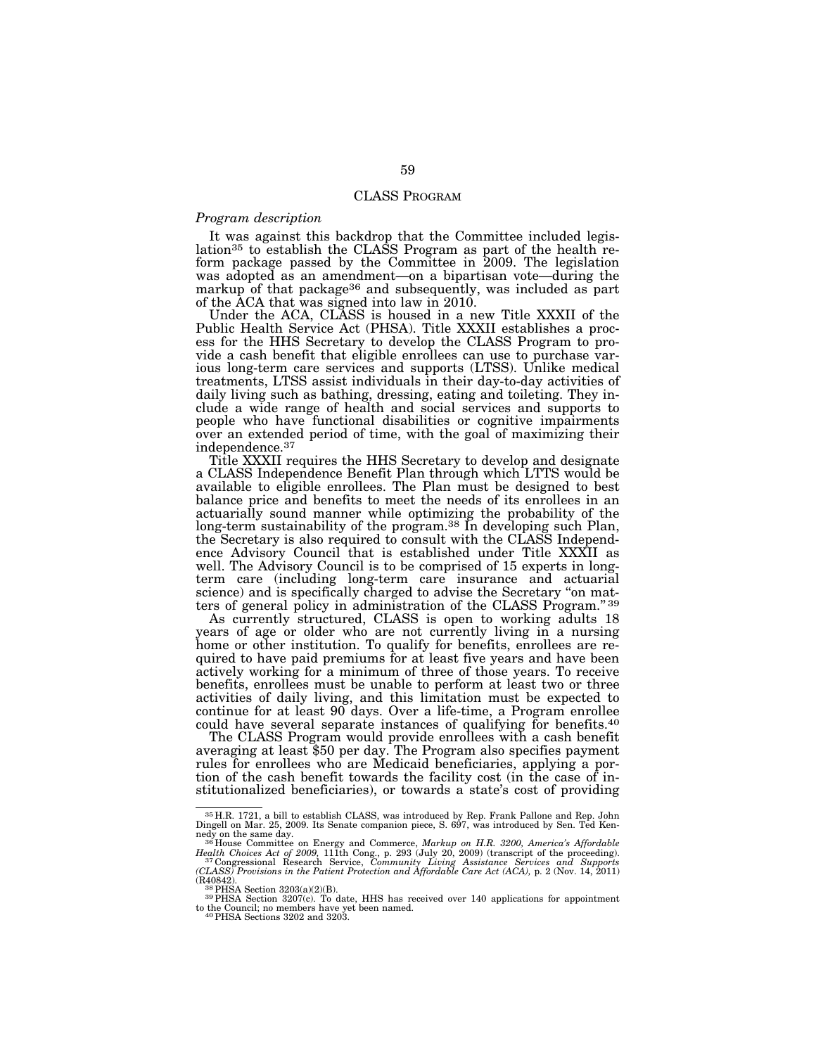#### CLASS PROGRAM

#### *Program description*

It was against this backdrop that the Committee included legislation<sup>35</sup> to establish the CLASS Program as part of the health reform package passed by the Committee in 2009. The legislation was adopted as an amendment—on a bipartisan vote—during the markup of that package<sup>36</sup> and subsequently, was included as part of the ACA that was signed into law in 2010.

Under the ACA, CLASS is housed in a new Title XXXII of the Public Health Service Act (PHSA). Title XXXII establishes a process for the HHS Secretary to develop the CLASS Program to provide a cash benefit that eligible enrollees can use to purchase various long-term care services and supports (LTSS). Unlike medical treatments, LTSS assist individuals in their day-to-day activities of daily living such as bathing, dressing, eating and toileting. They include a wide range of health and social services and supports to people who have functional disabilities or cognitive impairments over an extended period of time, with the goal of maximizing their independence.37

Title XXXII requires the HHS Secretary to develop and designate a CLASS Independence Benefit Plan through which LTTS would be available to eligible enrollees. The Plan must be designed to best balance price and benefits to meet the needs of its enrollees in an actuarially sound manner while optimizing the probability of the long-term sustainability of the program.<sup>38</sup> In developing such Plan, the Secretary is also required to consult with the CLASS Independence Advisory Council that is established under Title XXXII as well. The Advisory Council is to be comprised of 15 experts in longterm care (including long-term care insurance and actuarial science) and is specifically charged to advise the Secretary "on matters of general policy in administration of the CLASS Program.'' 39

As currently structured, CLASS is open to working adults 18 years of age or older who are not currently living in a nursing home or other institution. To qualify for benefits, enrollees are required to have paid premiums for at least five years and have been actively working for a minimum of three of those years. To receive benefits, enrollees must be unable to perform at least two or three activities of daily living, and this limitation must be expected to continue for at least 90 days. Over a life-time, a Program enrollee could have several separate instances of qualifying for benefits.<sup>40</sup>

The CLASS Program would provide enrollees with a cash benefit averaging at least \$50 per day. The Program also specifies payment rules for enrollees who are Medicaid beneficiaries, applying a portion of the cash benefit towards the facility cost (in the case of institutionalized beneficiaries), or towards a state's cost of providing

<sup>35</sup> H.R. 1721, a bill to establish CLASS, was introduced by Rep. Frank Pallone and Rep. John Dingell on Mar. 25, 2009. Its Senate companion piece, S. 697, was introduced by Sen. Ted Ken-

nedy on the same day. 36 House Committee on Energy and Commerce, *Markup on H.R. 3200, America's Affordable Health Choices Act of 2009*, 111th Cong., p. 293 (July 20, 2009) (transcript of the proceeding).<br><sup>37</sup> Congressional Research Service, *Community Living Assistance Services and Supports*<br>(CLASS) Provisions in the Patient

<sup>(</sup>R40842).<br><sup>38</sup>PHSA Section 3203(a)(2)(B).<br><sup>39</sup>PHSA Section 3207(c). To date, HHS has received over 140 applications for appointment to the Council; no members have yet been named. 40PHSA Sections 3202 and 3203.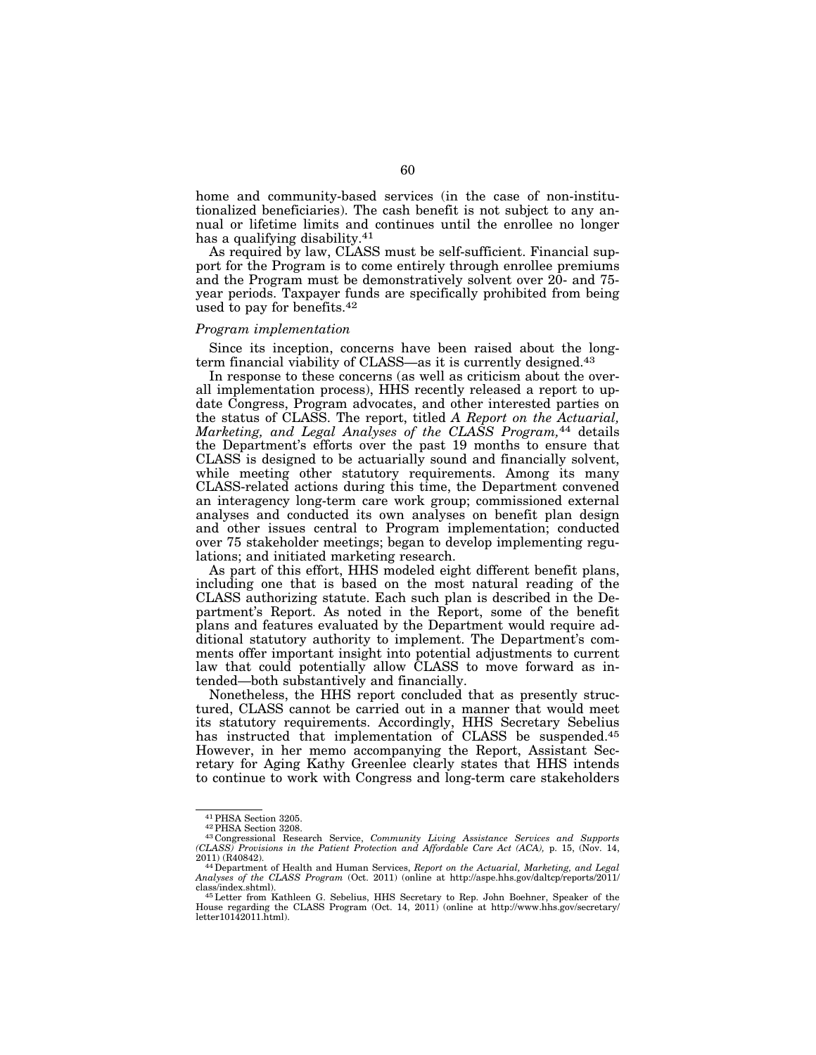home and community-based services (in the case of non-institutionalized beneficiaries). The cash benefit is not subject to any annual or lifetime limits and continues until the enrollee no longer has a qualifying disability.<sup>41</sup>

As required by law, CLASS must be self-sufficient. Financial support for the Program is to come entirely through enrollee premiums and the Program must be demonstratively solvent over 20- and 75 year periods. Taxpayer funds are specifically prohibited from being used to pay for benefits.42

### *Program implementation*

Since its inception, concerns have been raised about the longterm financial viability of CLASS—as it is currently designed.43

In response to these concerns (as well as criticism about the overall implementation process), HHS recently released a report to update Congress, Program advocates, and other interested parties on the status of CLASS. The report, titled *A Report on the Actuarial, Marketing, and Legal Analyses of the CLASS Program,*44 details the Department's efforts over the past 19 months to ensure that CLASS is designed to be actuarially sound and financially solvent, while meeting other statutory requirements. Among its many CLASS-related actions during this time, the Department convened an interagency long-term care work group; commissioned external analyses and conducted its own analyses on benefit plan design and other issues central to Program implementation; conducted over 75 stakeholder meetings; began to develop implementing regulations; and initiated marketing research.

As part of this effort, HHS modeled eight different benefit plans, including one that is based on the most natural reading of the CLASS authorizing statute. Each such plan is described in the Department's Report. As noted in the Report, some of the benefit plans and features evaluated by the Department would require additional statutory authority to implement. The Department's comments offer important insight into potential adjustments to current law that could potentially allow CLASS to move forward as intended—both substantively and financially.

Nonetheless, the HHS report concluded that as presently structured, CLASS cannot be carried out in a manner that would meet its statutory requirements. Accordingly, HHS Secretary Sebelius has instructed that implementation of CLASS be suspended.<sup>45</sup> However, in her memo accompanying the Report, Assistant Secretary for Aging Kathy Greenlee clearly states that HHS intends to continue to work with Congress and long-term care stakeholders

<sup>&</sup>lt;sup>41</sup> PHSA Section 3205.<br><sup>42</sup> PHSA Section 3208.<br><sup>43</sup> Congressional Research Service, *Community Living Assistance Services and Supports*<br>(CLASS) Provisions in the Patient Protection and Affordable Care Act (ACA), p. 15, (

<sup>2011) (</sup>R40842). 44Department of Health and Human Services, *Report on the Actuarial, Marketing, and Legal Analyses of the CLASS Program* (Oct. 2011) (online at http://aspe.hhs.gov/daltcp/reports/2011/ class/index.shtml). 45Letter from Kathleen G. Sebelius, HHS Secretary to Rep. John Boehner, Speaker of the

House regarding the CLASS Program (Oct. 14, 2011) (online at http://www.hhs.gov/secretary/ letter10142011.html).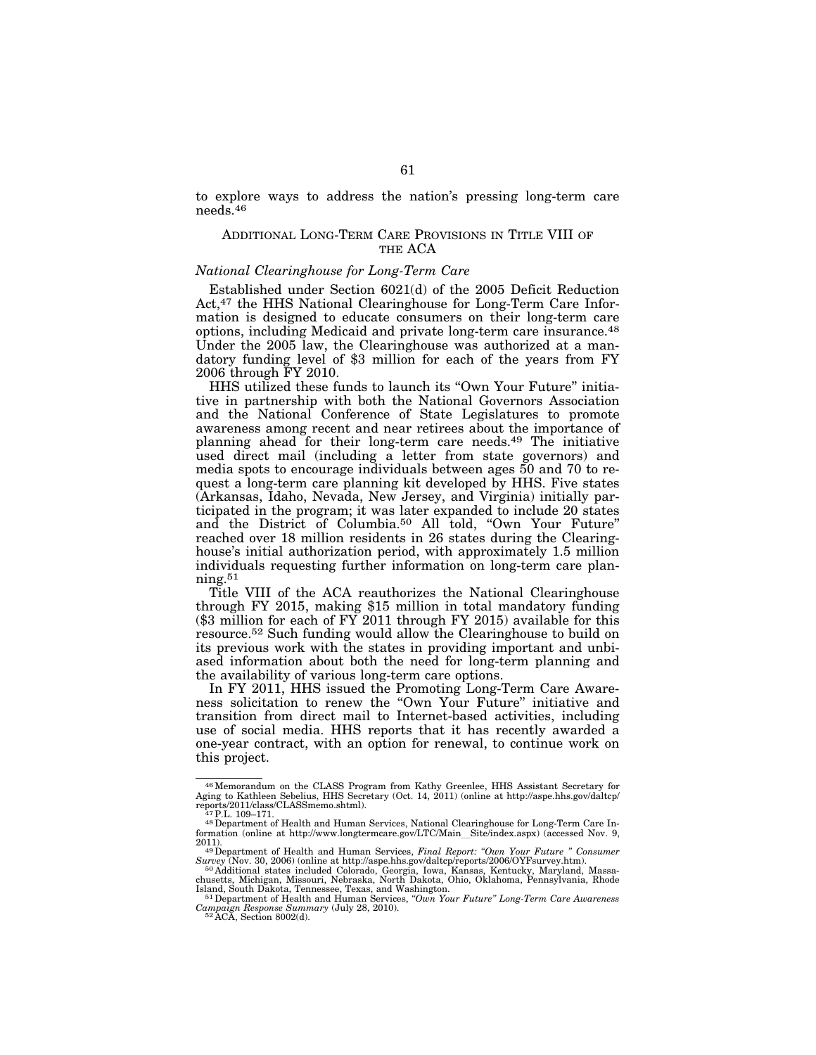to explore ways to address the nation's pressing long-term care needs.46

## ADDITIONAL LONG-TERM CARE PROVISIONS IN TITLE VIII OF THE ACA

## *National Clearinghouse for Long-Term Care*

Established under Section 6021(d) of the 2005 Deficit Reduction Act,<sup>47</sup> the HHS National Clearinghouse for Long-Term Care Information is designed to educate consumers on their long-term care options, including Medicaid and private long-term care insurance.48 Under the 2005 law, the Clearinghouse was authorized at a mandatory funding level of \$3 million for each of the years from FY 2006 through FY 2010.

HHS utilized these funds to launch its "Own Your Future" initiative in partnership with both the National Governors Association and the National Conference of State Legislatures to promote awareness among recent and near retirees about the importance of planning ahead for their long-term care needs.49 The initiative used direct mail (including a letter from state governors) and media spots to encourage individuals between ages 50 and 70 to request a long-term care planning kit developed by HHS. Five states (Arkansas, Idaho, Nevada, New Jersey, and Virginia) initially participated in the program; it was later expanded to include 20 states and the District of Columbia.50 All told, ''Own Your Future'' reached over 18 million residents in 26 states during the Clearinghouse's initial authorization period, with approximately 1.5 million individuals requesting further information on long-term care plan $ning.<sup>51</sup>$ 

Title VIII of the ACA reauthorizes the National Clearinghouse through FY 2015, making \$15 million in total mandatory funding (\$3 million for each of FY 2011 through FY 2015) available for this resource.52 Such funding would allow the Clearinghouse to build on its previous work with the states in providing important and unbiased information about both the need for long-term planning and the availability of various long-term care options.

In FY 2011, HHS issued the Promoting Long-Term Care Awareness solicitation to renew the "Own Your Future" initiative and transition from direct mail to Internet-based activities, including use of social media. HHS reports that it has recently awarded a one-year contract, with an option for renewal, to continue work on this project.

 $^{46}$  Memorandum on the CLASS Program from Kathy Greenlee, HHS Assistant Secretary for Aging to Kathleen Sebelius, HHS Secretary (Oct. 14, 2011) (online at http://aspe.hhs.gov/daltcp/<br>reports/2011/class/CLASSmemo.shtml).

formation (online at http://www.longtermcare.gov/LTC/Main\_Site/index.aspx) (accessed Nov. 9,<br>2011).<br><sup>49</sup>Department of Health and Human Services, *Final Report: "Own Your Future " Consumer* 

*Survey* (Nov. 30, 2006) (online at http://aspe.hhs.gov/daltcp/reports/2006/OYFsurvey.htm).<br><sup>50</sup> Additional states included Colorado, Georgia, Iowa, Kansas, Kentucky, Maryland, Massa-<br>chusetts, Michigan, Missouri, Nebraska Island, South Dakota, Tennessee, Texas, and Washington. 51Department of Health and Human Services, *''Own Your Future'' Long-Term Care Awareness* 

*Campaign Response Summary* (July 28, 2010). 52 ACA, Section 8002(d).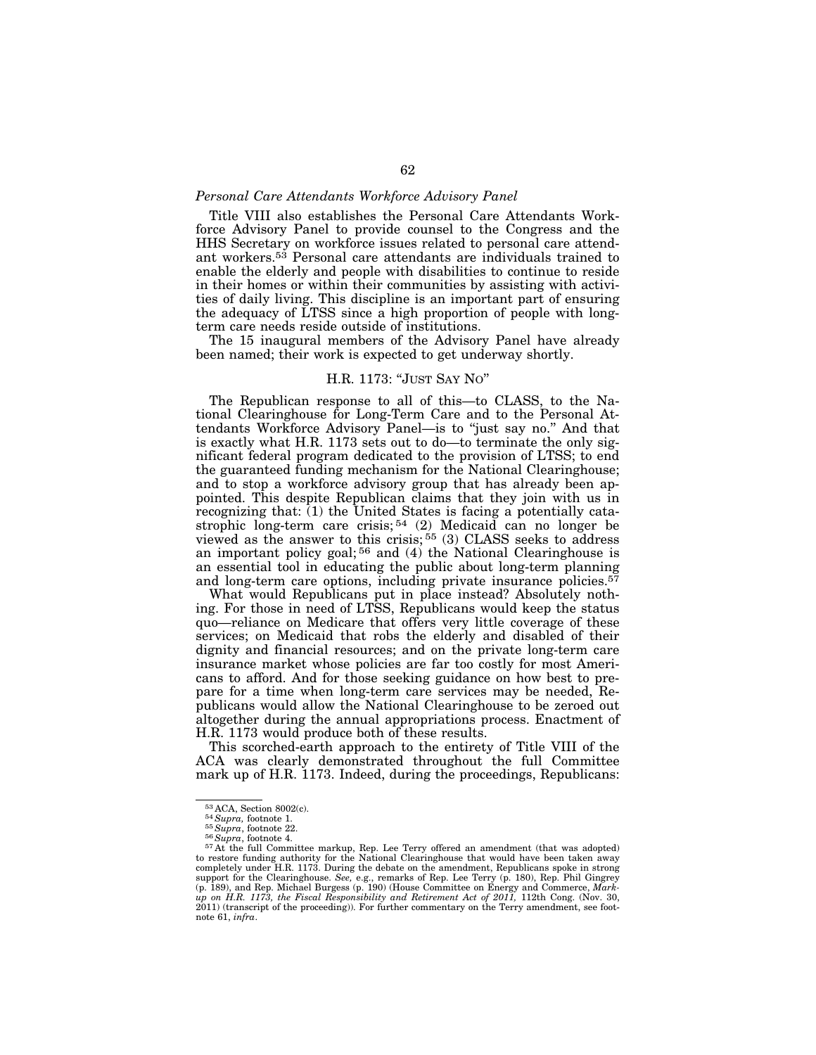#### *Personal Care Attendants Workforce Advisory Panel*

Title VIII also establishes the Personal Care Attendants Workforce Advisory Panel to provide counsel to the Congress and the HHS Secretary on workforce issues related to personal care attendant workers.53 Personal care attendants are individuals trained to enable the elderly and people with disabilities to continue to reside in their homes or within their communities by assisting with activities of daily living. This discipline is an important part of ensuring the adequacy of LTSS since a high proportion of people with longterm care needs reside outside of institutions.

The 15 inaugural members of the Advisory Panel have already been named; their work is expected to get underway shortly.

## H.R. 1173: ''JUST SAY NO''

The Republican response to all of this—to CLASS, to the National Clearinghouse for Long-Term Care and to the Personal Attendants Workforce Advisory Panel—is to ''just say no.'' And that is exactly what H.R. 1173 sets out to do—to terminate the only significant federal program dedicated to the provision of LTSS; to end the guaranteed funding mechanism for the National Clearinghouse; and to stop a workforce advisory group that has already been appointed. This despite Republican claims that they join with us in recognizing that: (1) the United States is facing a potentially catastrophic long-term care crisis; 54 (2) Medicaid can no longer be viewed as the answer to this crisis; 55 (3) CLASS seeks to address an important policy goal;<sup>56</sup> and  $(4)$  the National Clearinghouse is an essential tool in educating the public about long-term planning and long-term care options, including private insurance policies.<sup>57</sup>

What would Republicans put in place instead? Absolutely nothing. For those in need of LTSS, Republicans would keep the status quo—reliance on Medicare that offers very little coverage of these services; on Medicaid that robs the elderly and disabled of their dignity and financial resources; and on the private long-term care insurance market whose policies are far too costly for most Americans to afford. And for those seeking guidance on how best to prepare for a time when long-term care services may be needed, Republicans would allow the National Clearinghouse to be zeroed out altogether during the annual appropriations process. Enactment of H.R. 1173 would produce both of these results.

This scorched-earth approach to the entirety of Title VIII of the ACA was clearly demonstrated throughout the full Committee mark up of H.R. 1173. Indeed, during the proceedings, Republicans:

<sup>53</sup> ACA, Section 8002(c). 54*Supra,* footnote 1. 55*Supra*, footnote 22. 56*Supra*, footnote 4. 57 At the full Committee markup, Rep. Lee Terry offered an amendment (that was adopted) to restore funding authority for the National Clearinghouse that would have been taken away completely under H.R. 1173. During the debate on the amendment, Republicans spoke in strong support for the Clearinghouse. See, e.g., remarks of Rep. Lee Terry (p. 180), Rep. Phil Gingrey<br>(p. 189), and Rep. Michael Burgess (p. 190) (House Committee on Energy and Commerce, Mark-<br>up on H.R. 1173, the Fiscal Respons 2011) (transcript of the proceeding)). For further commentary on the Terry amendment, see footnote 61, *infra*.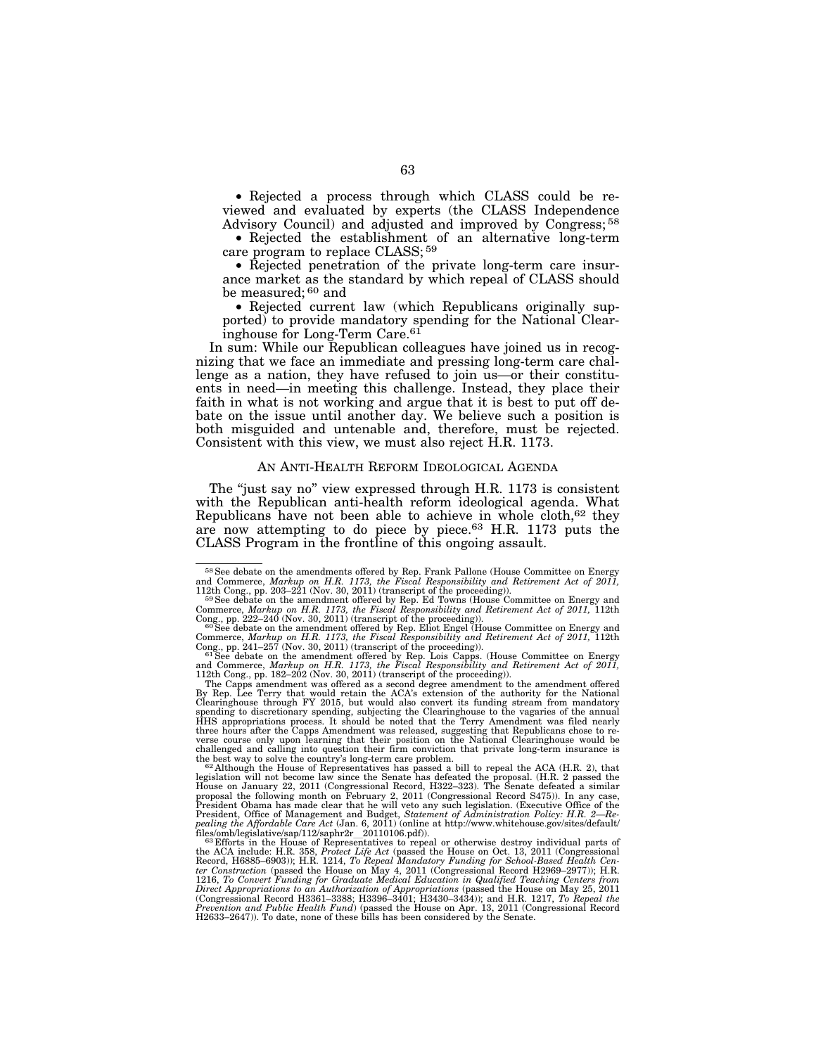• Rejected a process through which CLASS could be reviewed and evaluated by experts (the CLASS Independence Advisory Council) and adjusted and improved by Congress; 58

• Rejected the establishment of an alternative long-term care program to replace CLASS; 59

• Rejected penetration of the private long-term care insurance market as the standard by which repeal of CLASS should be measured; 60 and

• Rejected current law (which Republicans originally supported) to provide mandatory spending for the National Clearinghouse for Long-Term Care.61

In sum: While our Republican colleagues have joined us in recognizing that we face an immediate and pressing long-term care challenge as a nation, they have refused to join us—or their constituents in need—in meeting this challenge. Instead, they place their faith in what is not working and argue that it is best to put off debate on the issue until another day. We believe such a position is both misguided and untenable and, therefore, must be rejected. Consistent with this view, we must also reject H.R. 1173.

### AN ANTI-HEALTH REFORM IDEOLOGICAL AGENDA

The "just say no" view expressed through H.R. 1173 is consistent with the Republican anti-health reform ideological agenda. What Republicans have not been able to achieve in whole cloth,62 they are now attempting to do piece by piece.63 H.R. 1173 puts the CLASS Program in the frontline of this ongoing assault.

<sup>&</sup>lt;sup>58</sup> See debate on the amendments offered by Rep. Frank Pallone (House Committee on Energy and Commerce, *Markup on H.R. 1173, the Fiscal Responsibility and Retirement Act of 2011,* 

<sup>112</sup>th Cong., pp. 203–221 (Nov. 30, 2011) (transcript of the proceeding).<br><sup>59</sup> See debate on the amendment offered by Rep. Ed Towns (House Commerce, *Markup on H.R. 1173, the Fiscal Responsibility and Retirement Act of 201* 

<sup>112</sup>th Cong., pp. 182–202 (Nov. 30, 2011) (transcript of the proceeding)).

The Capps amendment was offered as a second degree amendment to the amendment offered By Rep. Lee Terry that would retain the ACA's extension of the authority for the National Clearinghouse through FY 2015, but would also convert its funding stream from mandatory<br>spending to discretionary spending, subjecting the Clearinghouse to the vagaries of the annual<br>HHS appropriations process. It should b three hours after the Capps Amendment was released, suggesting that Republicans chose to re-<br>verse course only upon learning that their position on the National Clearinghouse would be<br>challenged and calling into question t

the best way to solve the country's long-term care problem.<br><sup>62</sup> Although the House of Representatives has passed a bill to repeal the ACA (H.R. 2), that<br>legislation will not become law since the Senate has defeated the pr House on January 22, 2011 (Congressional Record, H322–323). The Senate defeated a similar<br>proposal the following month on February 2, 2011 (Congressional Record S475)). In any case,<br>President Obama has made clear that he w President, Office of Management and Budget, *Statement of Administration Policy: H.R. 2—Re-pealing the Affordable Care Act* (Jan. 6, 2011) (online at http://www.whitehouse.gov/sites/default/

files/omb/legislative/sap/112/saphr2r\_20110106.pdf)).<br>
<sup>63</sup>Efforts in the House of Representatives to repeal or otherwise destroy individual parts of<br>
the ACA include: H.R. 358, *Protect Life Act* (passed the House on Oct. ter Construction (passed the House on May 4, 2011 (Congressional Record H2969–2977)); H.R. 1216, To Convert Funding for Graduate Medical Education in Qualified Teaching Centers from<br>Direct Appropriations to an Authorizati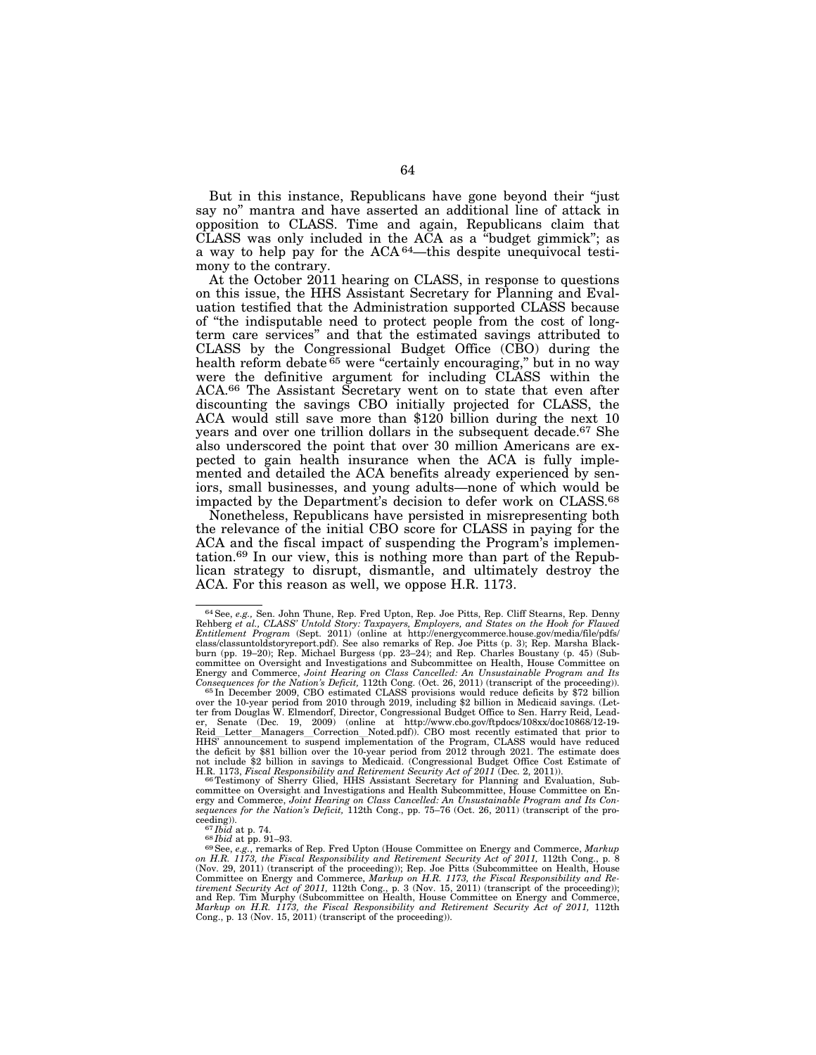But in this instance, Republicans have gone beyond their ''just say no'' mantra and have asserted an additional line of attack in opposition to CLASS. Time and again, Republicans claim that  $\overrightarrow{CL}$ ASS was only included in the ACA as a "budget gimmick"; as a way to help pay for the ACA 64—this despite unequivocal testimony to the contrary.

At the October 2011 hearing on CLASS, in response to questions on this issue, the HHS Assistant Secretary for Planning and Evaluation testified that the Administration supported CLASS because of ''the indisputable need to protect people from the cost of longterm care services'' and that the estimated savings attributed to CLASS by the Congressional Budget Office (CBO) during the health reform debate <sup>65</sup> were "certainly encouraging," but in no way were the definitive argument for including CLASS within the ACA.66 The Assistant Secretary went on to state that even after discounting the savings CBO initially projected for CLASS, the ACA would still save more than \$120 billion during the next 10 years and over one trillion dollars in the subsequent decade.67 She also underscored the point that over 30 million Americans are expected to gain health insurance when the ACA is fully implemented and detailed the ACA benefits already experienced by seniors, small businesses, and young adults—none of which would be impacted by the Department's decision to defer work on CLASS.68

Nonetheless, Republicans have persisted in misrepresenting both the relevance of the initial CBO score for CLASS in paying for the ACA and the fiscal impact of suspending the Program's implementation.69 In our view, this is nothing more than part of the Republican strategy to disrupt, dismantle, and ultimately destroy the ACA. For this reason as well, we oppose H.R. 1173.

 $64$  See, *e.g.*, Sen. John Thune, Rep. Fred Upton, Rep. Joe Pitts, Rep. Cliff Stearns, Rep. Denny Rehberg *et al., CLASS' Untold Story: Taxpayers, Employers, and States on the Hook for Flawed Entitlement <i>Program* (Sept. class/classuntoldstoryreport.pdf). See also remarks of Rep. Joe Pitts (p. 3); Rep. Marsha Blackburn (pp. 19–20); Rep. Michael Burgess (pp. 23–24); and Rep. Charles Boustany (p. 45) (Subcommittee on Oversight and Investigations and Subcommittee on Health, House Committee on Energy and Commerce, *Joint Hearing on Class Cancelled: An Unsustainable Program and Its* 

<sup>&</sup>lt;sup>65</sup> In December 2009, CBO estimated CLASS provisions would reduce deficits by \$72 billion over the 10-year period from 2010 through 2019, including \$2 billion in Medicaid savings. (Letter from Douglas W. Elmendorf, Director, Congressional Budget Office to Sen. Harry Reid, Lead-er, Senate (Dec. 19, 2009) (online at http://www.cbo.gov/ftpdocs/108xx/doc10868/12-19- Reid\_Letter\_Managers\_Correction\_Noted.pdf)). CBO most recently estimated that prior to HHS' announcement to suspend implementation of the Program, CLASS would have reduced the deficit by \$81 billion over the 10-year period from 2012 through 2021. The estimate does<br>not include \$2 billion in savings to Medicaid. (Congressional Budget Office Cost Estimate of<br>H.R. 1173, Fiscal Responsibility and

committee on Oversight and Investigations and Health Subcommittee, House Committee on Energy and Commerce, *Joint Hearing on Class Cancelled: An Unsustainable Program and Its Consequences for the Nation's Deficit,* 112th Cong., pp. 75–76 (Oct. 26, 2011) (transcript of the pro-

ceeding)).<br>
<sup>67</sup>*Ibid* at p. 74.<br>
<sup>69</sup>*See, e.g.*, remarks of Rep. Fred Upton (House Committee on Energy and Commerce, *Markup*<br>
<sup>69</sup>*See, e.g.*, remarks of Rep. Fred Upton (House Committee on Energy and Commerce, *Markup* Cong., p. 13 (Nov. 15, 2011) (transcript of the proceeding)).